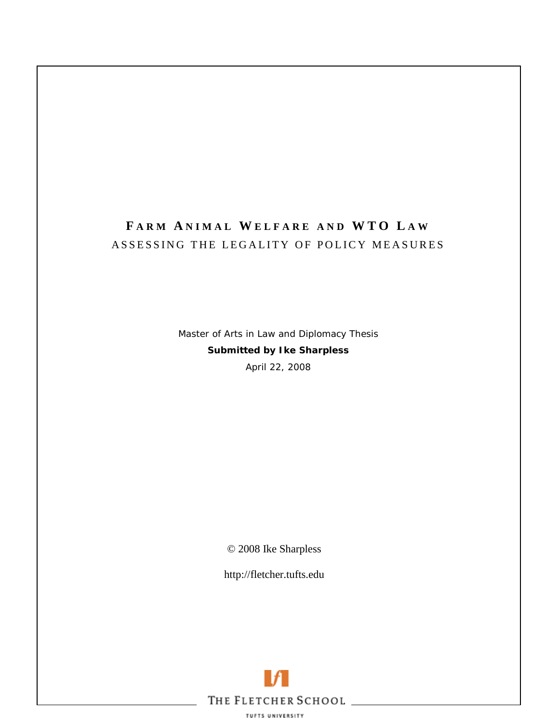# **F ARM A NIMAL W ELFARE AND WTO L A W** ASSESSING THE LEGALITY OF POLICY MEASURES

Master of Arts in Law and Diplomacy Thesis **Submitted by Ike Sharpless**  April 22, 2008

© 2008 Ike Sharpless

http://fletcher.tufts.edu

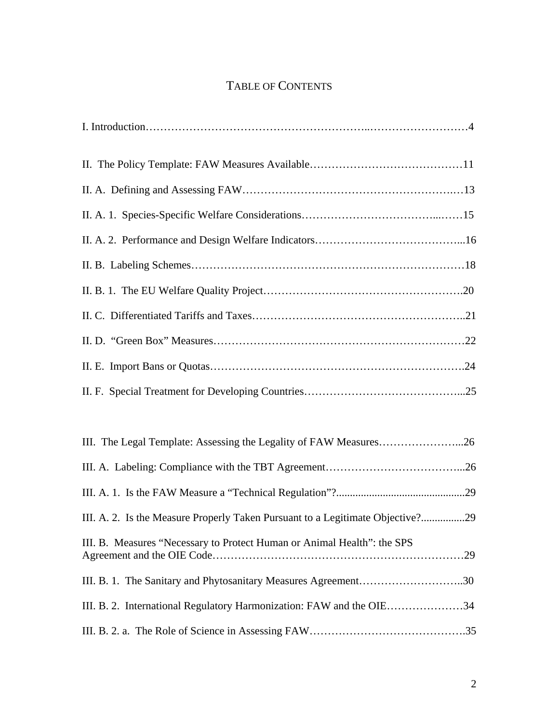# TABLE OF CONTENTS

| III. The Legal Template: Assessing the Legality of FAW Measures26              |
|--------------------------------------------------------------------------------|
|                                                                                |
|                                                                                |
| III. A. 2. Is the Measure Properly Taken Pursuant to a Legitimate Objective?29 |
| III. B. Measures "Necessary to Protect Human or Animal Health": the SPS        |
| III. B. 1. The Sanitary and Phytosanitary Measures Agreement30                 |
| III. B. 2. International Regulatory Harmonization: FAW and the OIE34           |
|                                                                                |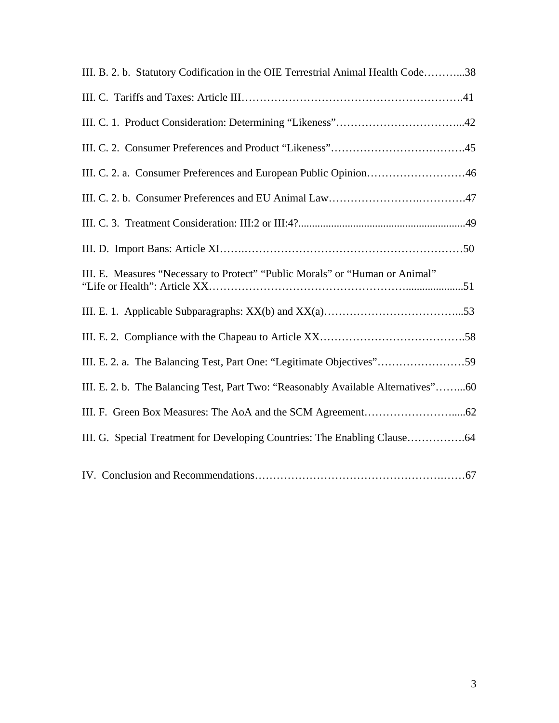| III. B. 2. b. Statutory Codification in the OIE Terrestrial Animal Health Code38  |
|-----------------------------------------------------------------------------------|
|                                                                                   |
|                                                                                   |
|                                                                                   |
| III. C. 2. a. Consumer Preferences and European Public Opinion46                  |
|                                                                                   |
|                                                                                   |
|                                                                                   |
| III. E. Measures "Necessary to Protect" "Public Morals" or "Human or Animal"      |
|                                                                                   |
|                                                                                   |
| III. E. 2. a. The Balancing Test, Part One: "Legitimate Objectives"59             |
| III. E. 2. b. The Balancing Test, Part Two: "Reasonably Available Alternatives"60 |
|                                                                                   |
| III. G. Special Treatment for Developing Countries: The Enabling Clause64         |
|                                                                                   |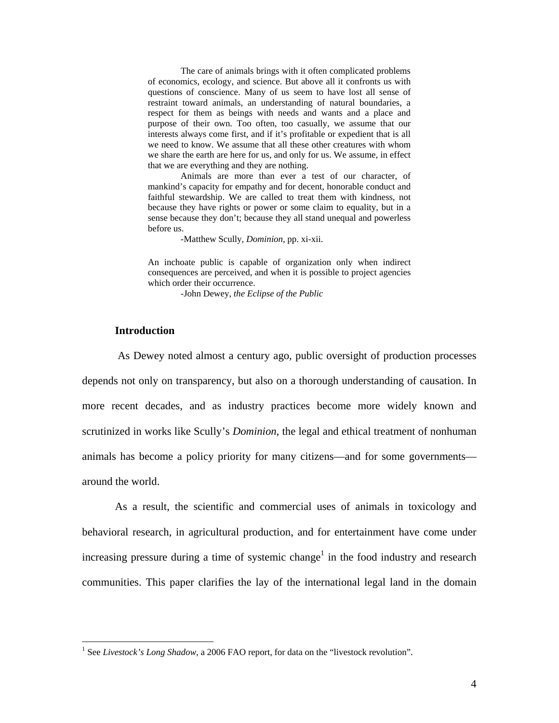The care of animals brings with it often complicated problems of economics, ecology, and science. But above all it confronts us with questions of conscience. Many of us seem to have lost all sense of restraint toward animals, an understanding of natural boundaries, a respect for them as beings with needs and wants and a place and purpose of their own. Too often, too casually, we assume that our interests always come first, and if it's profitable or expedient that is all we need to know. We assume that all these other creatures with whom we share the earth are here for us, and only for us. We assume, in effect that we are everything and they are nothing.

Animals are more than ever a test of our character, of mankind's capacity for empathy and for decent, honorable conduct and faithful stewardship. We are called to treat them with kindness, not because they have rights or power or some claim to equality, but in a sense because they don't; because they all stand unequal and powerless before us.

-Matthew Scully, *Dominion*, pp. xi-xii.

An inchoate public is capable of organization only when indirect consequences are perceived, and when it is possible to project agencies which order their occurrence.

-John Dewey, *the Eclipse of the Public*

#### **Introduction**

 $\overline{a}$ 

As Dewey noted almost a century ago, public oversight of production processes depends not only on transparency, but also on a thorough understanding of causation. In more recent decades, and as industry practices become more widely known and scrutinized in works like Scully's *Dominion*, the legal and ethical treatment of nonhuman animals has become a policy priority for many citizens—and for some governments around the world.

As a result, the scientific and commercial uses of animals in toxicology and behavioral research, in agricultural production, and for entertainment have come under increasing pressure during a time of systemic change<sup>1</sup> in the food industry and research communities. This paper clarifies the lay of the international legal land in the domain

<sup>&</sup>lt;sup>1</sup> See *Livestock's Long Shadow*, a 2006 FAO report, for data on the "livestock revolution".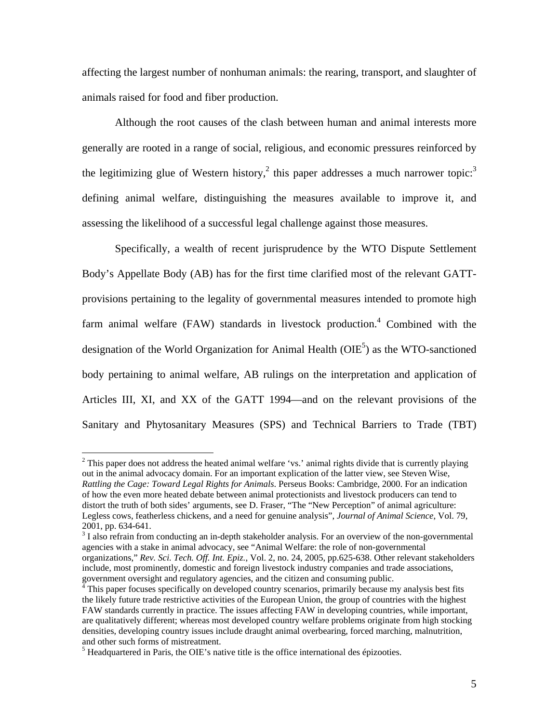affecting the largest number of nonhuman animals: the rearing, transport, and slaughter of animals raised for food and fiber production.

Although the root causes of the clash between human and animal interests more generally are rooted in a range of social, religious, and economic pressures reinforced by the legitimizing glue of Western history,<sup>2</sup> this paper addresses a much narrower topic:<sup>3</sup> defining animal welfare, distinguishing the measures available to improve it, and assessing the likelihood of a successful legal challenge against those measures.

 Specifically, a wealth of recent jurisprudence by the WTO Dispute Settlement Body's Appellate Body (AB) has for the first time clarified most of the relevant GATTprovisions pertaining to the legality of governmental measures intended to promote high farm animal welfare (FAW) standards in livestock production.<sup>4</sup> Combined with the designation of the World Organization for Animal Health ( $OIE<sup>5</sup>$ ) as the WTO-sanctioned body pertaining to animal welfare, AB rulings on the interpretation and application of Articles III, XI, and XX of the GATT 1994—and on the relevant provisions of the Sanitary and Phytosanitary Measures (SPS) and Technical Barriers to Trade (TBT)

 $2$  This paper does not address the heated animal welfare 'vs.' animal rights divide that is currently playing out in the animal advocacy domain. For an important explication of the latter view, see Steven Wise, *Rattling the Cage: Toward Legal Rights for Animals*. Perseus Books: Cambridge, 2000. For an indication of how the even more heated debate between animal protectionists and livestock producers can tend to distort the truth of both sides' arguments, see D. Fraser, "The "New Perception" of animal agriculture: Legless cows, featherless chickens, and a need for genuine analysis", *Journal of Animal Science*, Vol. 79, 2001, pp. 634-641.

 $3$  I also refrain from conducting an in-depth stakeholder analysis. For an overview of the non-governmental agencies with a stake in animal advocacy, see "Animal Welfare: the role of non-governmental organizations," *Rev. Sci. Tech. Off. Int. Epiz.*, Vol. 2, no. 24, 2005, pp.625-638. Other relevant stakeholders include, most prominently, domestic and foreign livestock industry companies and trade associations, government oversight and regulatory agencies, and the citizen and consuming public.<br><sup>4</sup> This nanor focuses specifically an davalanced country securities, primerily because m

This paper focuses specifically on developed country scenarios, primarily because my analysis best fits the likely future trade restrictive activities of the European Union, the group of countries with the highest FAW standards currently in practice. The issues affecting FAW in developing countries, while important, are qualitatively different; whereas most developed country welfare problems originate from high stocking densities, developing country issues include draught animal overbearing, forced marching, malnutrition, and other such forms of mistreatment.

 $<sup>5</sup>$  Headquartered in Paris, the OIE's native title is the office international des épizooties.</sup>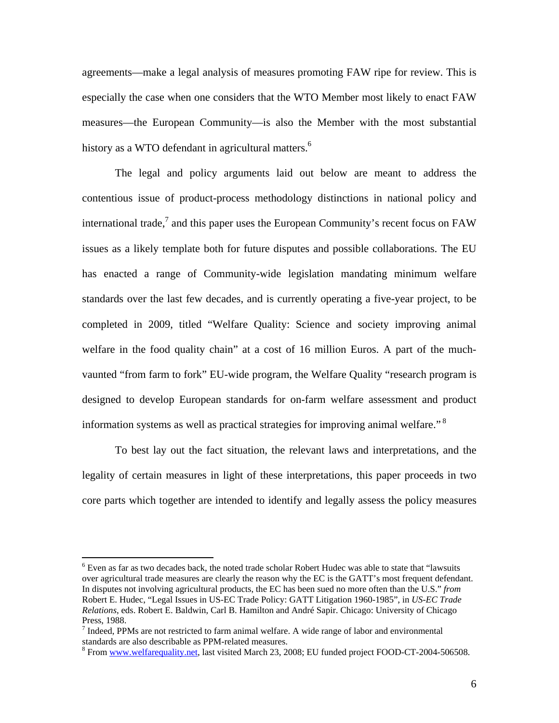agreements—make a legal analysis of measures promoting FAW ripe for review. This is especially the case when one considers that the WTO Member most likely to enact FAW measures—the European Community—is also the Member with the most substantial history as a WTO defendant in agricultural matters.<sup>6</sup>

The legal and policy arguments laid out below are meant to address the contentious issue of product-process methodology distinctions in national policy and international trade,<sup>7</sup> and this paper uses the European Community's recent focus on FAW issues as a likely template both for future disputes and possible collaborations. The EU has enacted a range of Community-wide legislation mandating minimum welfare standards over the last few decades, and is currently operating a five-year project, to be completed in 2009, titled "Welfare Quality: Science and society improving animal welfare in the food quality chain" at a cost of 16 million Euros. A part of the muchvaunted "from farm to fork" EU-wide program, the Welfare Quality "research program is designed to develop European standards for on-farm welfare assessment and product information systems as well as practical strategies for improving animal welfare." 8

 To best lay out the fact situation, the relevant laws and interpretations, and the legality of certain measures in light of these interpretations, this paper proceeds in two core parts which together are intended to identify and legally assess the policy measures

1

<sup>&</sup>lt;sup>6</sup> Even as far as two decades back, the noted trade scholar Robert Hudec was able to state that "lawsuits" over agricultural trade measures are clearly the reason why the EC is the GATT's most frequent defendant. In disputes not involving agricultural products, the EC has been sued no more often than the U.S." *from*  Robert E. Hudec, "Legal Issues in US-EC Trade Policy: GATT Litigation 1960-1985", in *US-EC Trade Relations*, eds. Robert E. Baldwin, Carl B. Hamilton and André Sapir. Chicago: University of Chicago Press, 1988.

 $<sup>7</sup>$  Indeed, PPMs are not restricted to farm animal welfare. A wide range of labor and environmental</sup> standards are also describable as PPM-related measures.

<sup>&</sup>lt;sup>8</sup> From www.welfarequality.net, last visited March 23, 2008; EU funded project FOOD-CT-2004-506508.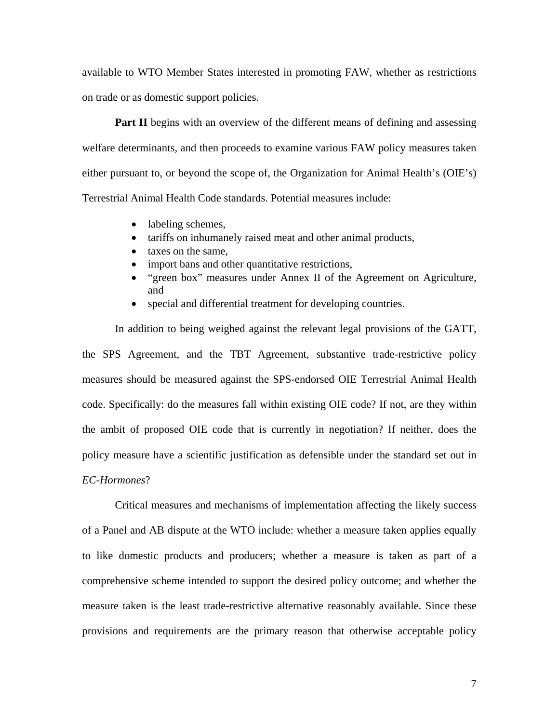available to WTO Member States interested in promoting FAW, whether as restrictions on trade or as domestic support policies.

**Part II** begins with an overview of the different means of defining and assessing welfare determinants, and then proceeds to examine various FAW policy measures taken either pursuant to, or beyond the scope of, the Organization for Animal Health's (OIE's) Terrestrial Animal Health Code standards. Potential measures include:

- labeling schemes,
- tariffs on inhumanely raised meat and other animal products,
- taxes on the same,
- import bans and other quantitative restrictions,
- "green box" measures under Annex II of the Agreement on Agriculture, and
- special and differential treatment for developing countries.

 In addition to being weighed against the relevant legal provisions of the GATT, the SPS Agreement, and the TBT Agreement, substantive trade-restrictive policy measures should be measured against the SPS-endorsed OIE Terrestrial Animal Health code. Specifically: do the measures fall within existing OIE code? If not, are they within the ambit of proposed OIE code that is currently in negotiation? If neither, does the policy measure have a scientific justification as defensible under the standard set out in *EC-Hormones*?

Critical measures and mechanisms of implementation affecting the likely success of a Panel and AB dispute at the WTO include: whether a measure taken applies equally to like domestic products and producers; whether a measure is taken as part of a comprehensive scheme intended to support the desired policy outcome; and whether the measure taken is the least trade-restrictive alternative reasonably available. Since these provisions and requirements are the primary reason that otherwise acceptable policy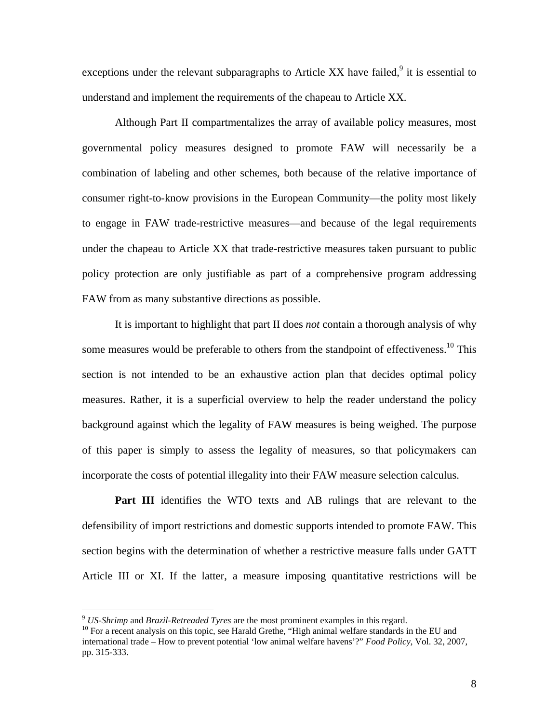exceptions under the relevant subparagraphs to Article XX have failed, $9$  it is essential to understand and implement the requirements of the chapeau to Article XX.

Although Part II compartmentalizes the array of available policy measures, most governmental policy measures designed to promote FAW will necessarily be a combination of labeling and other schemes, both because of the relative importance of consumer right-to-know provisions in the European Community—the polity most likely to engage in FAW trade-restrictive measures—and because of the legal requirements under the chapeau to Article XX that trade-restrictive measures taken pursuant to public policy protection are only justifiable as part of a comprehensive program addressing FAW from as many substantive directions as possible.

It is important to highlight that part II does *not* contain a thorough analysis of why some measures would be preferable to others from the standpoint of effectiveness.<sup>10</sup> This section is not intended to be an exhaustive action plan that decides optimal policy measures. Rather, it is a superficial overview to help the reader understand the policy background against which the legality of FAW measures is being weighed. The purpose of this paper is simply to assess the legality of measures, so that policymakers can incorporate the costs of potential illegality into their FAW measure selection calculus.

Part III identifies the WTO texts and AB rulings that are relevant to the defensibility of import restrictions and domestic supports intended to promote FAW. This section begins with the determination of whether a restrictive measure falls under GATT Article III or XI. If the latter, a measure imposing quantitative restrictions will be

<sup>&</sup>lt;sup>9</sup> *US-Shrimp* and *Brazil-Retreaded Tyres* are the most prominent examples in this regard.<br><sup>10</sup> For a recent analysis on this topic, see Harald Grethe, "High animal welfare standards in the EU and international trade – How to prevent potential 'low animal welfare havens'?" *Food Policy*, Vol. 32, 2007, pp. 315-333.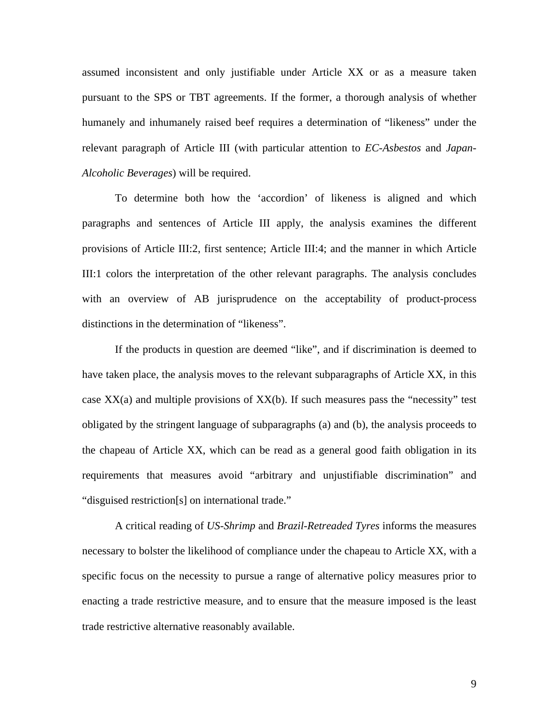assumed inconsistent and only justifiable under Article XX or as a measure taken pursuant to the SPS or TBT agreements. If the former, a thorough analysis of whether humanely and inhumanely raised beef requires a determination of "likeness" under the relevant paragraph of Article III (with particular attention to *EC-Asbestos* and *Japan-Alcoholic Beverages*) will be required.

To determine both how the 'accordion' of likeness is aligned and which paragraphs and sentences of Article III apply, the analysis examines the different provisions of Article III:2, first sentence; Article III:4; and the manner in which Article III:1 colors the interpretation of the other relevant paragraphs. The analysis concludes with an overview of AB jurisprudence on the acceptability of product-process distinctions in the determination of "likeness".

If the products in question are deemed "like", and if discrimination is deemed to have taken place, the analysis moves to the relevant subparagraphs of Article XX, in this case  $XX(a)$  and multiple provisions of  $XX(b)$ . If such measures pass the "necessity" test obligated by the stringent language of subparagraphs (a) and (b), the analysis proceeds to the chapeau of Article XX, which can be read as a general good faith obligation in its requirements that measures avoid "arbitrary and unjustifiable discrimination" and "disguised restriction[s] on international trade."

A critical reading of *US-Shrimp* and *Brazil-Retreaded Tyres* informs the measures necessary to bolster the likelihood of compliance under the chapeau to Article XX, with a specific focus on the necessity to pursue a range of alternative policy measures prior to enacting a trade restrictive measure, and to ensure that the measure imposed is the least trade restrictive alternative reasonably available.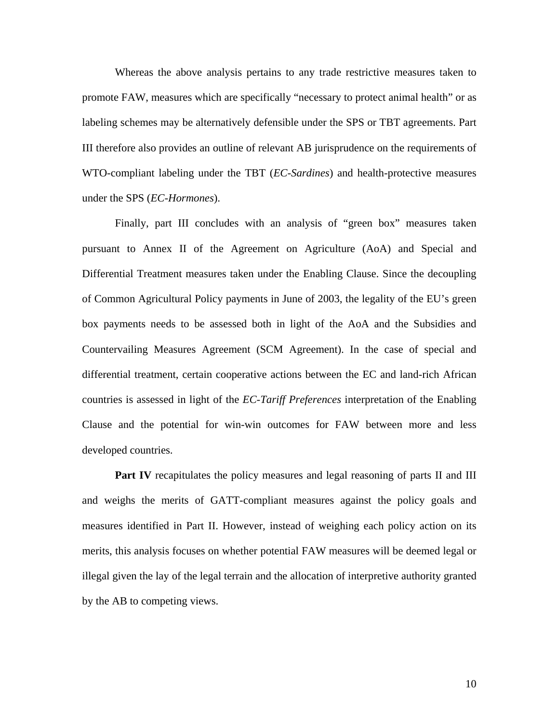Whereas the above analysis pertains to any trade restrictive measures taken to promote FAW, measures which are specifically "necessary to protect animal health" or as labeling schemes may be alternatively defensible under the SPS or TBT agreements. Part III therefore also provides an outline of relevant AB jurisprudence on the requirements of WTO-compliant labeling under the TBT (*EC-Sardines*) and health-protective measures under the SPS (*EC-Hormones*).

Finally, part III concludes with an analysis of "green box" measures taken pursuant to Annex II of the Agreement on Agriculture (AoA) and Special and Differential Treatment measures taken under the Enabling Clause. Since the decoupling of Common Agricultural Policy payments in June of 2003, the legality of the EU's green box payments needs to be assessed both in light of the AoA and the Subsidies and Countervailing Measures Agreement (SCM Agreement). In the case of special and differential treatment, certain cooperative actions between the EC and land-rich African countries is assessed in light of the *EC-Tariff Preferences* interpretation of the Enabling Clause and the potential for win-win outcomes for FAW between more and less developed countries.

**Part IV** recapitulates the policy measures and legal reasoning of parts II and III and weighs the merits of GATT-compliant measures against the policy goals and measures identified in Part II. However, instead of weighing each policy action on its merits, this analysis focuses on whether potential FAW measures will be deemed legal or illegal given the lay of the legal terrain and the allocation of interpretive authority granted by the AB to competing views.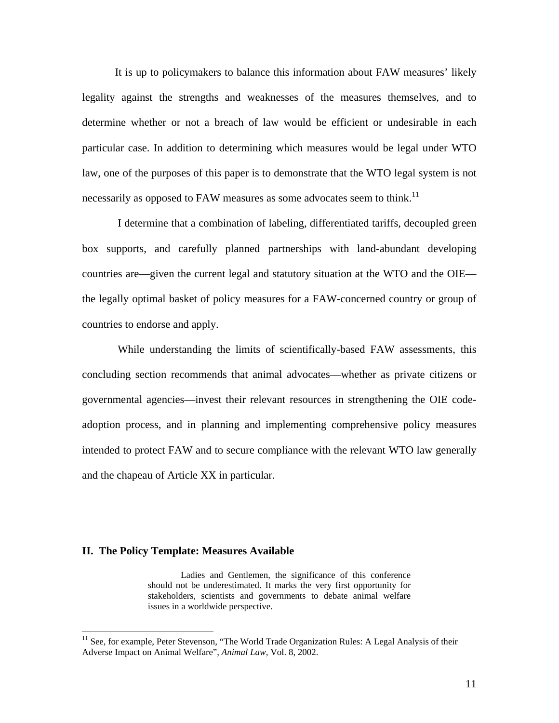It is up to policymakers to balance this information about FAW measures' likely legality against the strengths and weaknesses of the measures themselves, and to determine whether or not a breach of law would be efficient or undesirable in each particular case. In addition to determining which measures would be legal under WTO law, one of the purposes of this paper is to demonstrate that the WTO legal system is not necessarily as opposed to FAW measures as some advocates seem to think.<sup>11</sup>

 I determine that a combination of labeling, differentiated tariffs, decoupled green box supports, and carefully planned partnerships with land-abundant developing countries are—given the current legal and statutory situation at the WTO and the OIE the legally optimal basket of policy measures for a FAW-concerned country or group of countries to endorse and apply.

 While understanding the limits of scientifically-based FAW assessments, this concluding section recommends that animal advocates—whether as private citizens or governmental agencies—invest their relevant resources in strengthening the OIE codeadoption process, and in planning and implementing comprehensive policy measures intended to protect FAW and to secure compliance with the relevant WTO law generally and the chapeau of Article XX in particular.

#### **II. The Policy Template: Measures Available**

 $\overline{a}$ 

Ladies and Gentlemen, the significance of this conference should not be underestimated. It marks the very first opportunity for stakeholders, scientists and governments to debate animal welfare issues in a worldwide perspective.

<sup>&</sup>lt;sup>11</sup> See, for example, Peter Stevenson, "The World Trade Organization Rules: A Legal Analysis of their Adverse Impact on Animal Welfare", *Animal Law*, Vol. 8, 2002.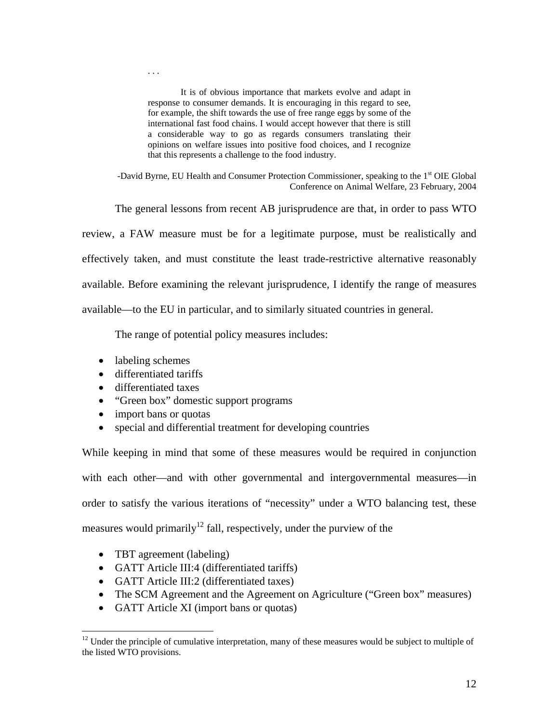It is of obvious importance that markets evolve and adapt in response to consumer demands. It is encouraging in this regard to see, for example, the shift towards the use of free range eggs by some of the international fast food chains. I would accept however that there is still a considerable way to go as regards consumers translating their opinions on welfare issues into positive food choices, and I recognize that this represents a challenge to the food industry.

-David Byrne, EU Health and Consumer Protection Commissioner, speaking to the 1<sup>st</sup> OIE Global Conference on Animal Welfare, 23 February, 2004

The general lessons from recent AB jurisprudence are that, in order to pass WTO

review, a FAW measure must be for a legitimate purpose, must be realistically and effectively taken, and must constitute the least trade-restrictive alternative reasonably available. Before examining the relevant jurisprudence, I identify the range of measures available—to the EU in particular, and to similarly situated countries in general.

The range of potential policy measures includes:

• labeling schemes

. . .

- differentiated tariffs
- differentiated taxes
- "Green box" domestic support programs
- import bans or quotas
- special and differential treatment for developing countries

While keeping in mind that some of these measures would be required in conjunction with each other—and with other governmental and intergovernmental measures—in order to satisfy the various iterations of "necessity" under a WTO balancing test, these measures would primarily<sup>12</sup> fall, respectively, under the purview of the

• TBT agreement (labeling)

- GATT Article III:4 (differentiated tariffs)
- GATT Article III:2 (differentiated taxes)
- The SCM Agreement and the Agreement on Agriculture ("Green box" measures)
- GATT Article XI (import bans or quotas)

 $12$  Under the principle of cumulative interpretation, many of these measures would be subject to multiple of the listed WTO provisions.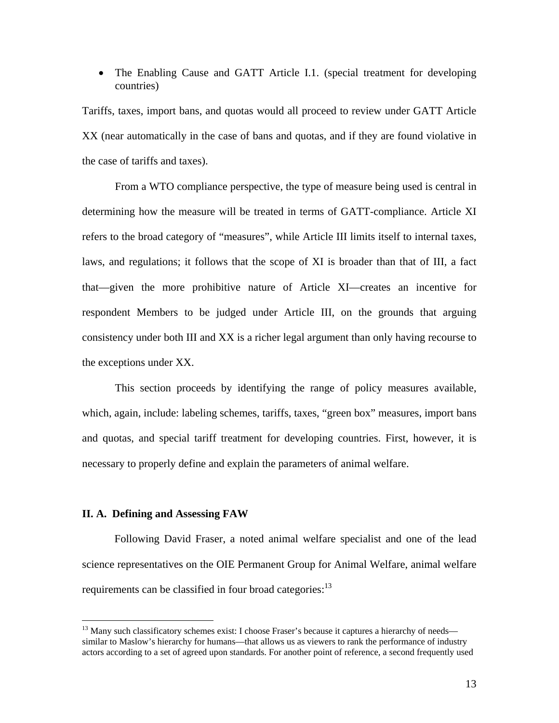• The Enabling Cause and GATT Article I.1. (special treatment for developing countries)

Tariffs, taxes, import bans, and quotas would all proceed to review under GATT Article XX (near automatically in the case of bans and quotas, and if they are found violative in the case of tariffs and taxes).

From a WTO compliance perspective, the type of measure being used is central in determining how the measure will be treated in terms of GATT-compliance. Article XI refers to the broad category of "measures", while Article III limits itself to internal taxes, laws, and regulations; it follows that the scope of XI is broader than that of III, a fact that—given the more prohibitive nature of Article XI—creates an incentive for respondent Members to be judged under Article III, on the grounds that arguing consistency under both III and XX is a richer legal argument than only having recourse to the exceptions under XX.

 This section proceeds by identifying the range of policy measures available, which, again, include: labeling schemes, tariffs, taxes, "green box" measures, import bans and quotas, and special tariff treatment for developing countries. First, however, it is necessary to properly define and explain the parameters of animal welfare.

## **II. A. Defining and Assessing FAW**

 $\overline{a}$ 

Following David Fraser, a noted animal welfare specialist and one of the lead science representatives on the OIE Permanent Group for Animal Welfare, animal welfare requirements can be classified in four broad categories:<sup>13</sup>

<sup>&</sup>lt;sup>13</sup> Many such classificatory schemes exist: I choose Fraser's because it captures a hierarchy of needs similar to Maslow's hierarchy for humans—that allows us as viewers to rank the performance of industry actors according to a set of agreed upon standards. For another point of reference, a second frequently used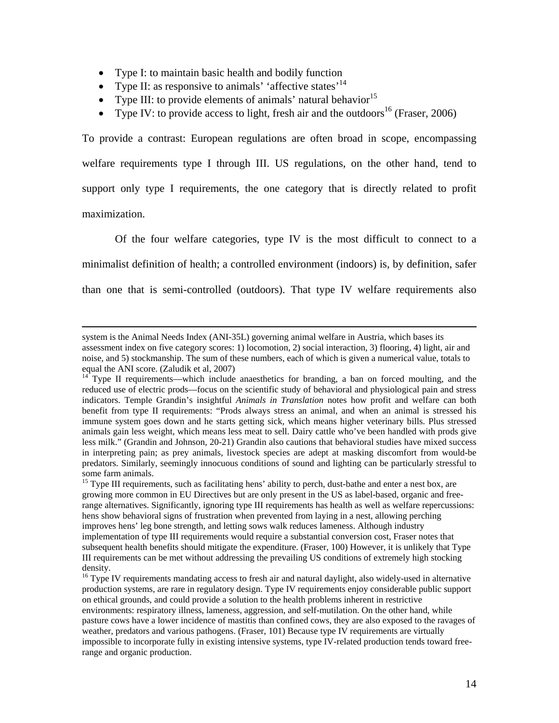- Type I: to maintain basic health and bodily function
- Type II: as responsive to animals' 'affective states'<sup>14</sup>
- Type III: to provide elements of animals' natural behavior<sup>15</sup>
- Type IV: to provide access to light, fresh air and the outdoors<sup>16</sup> (Fraser, 2006)

To provide a contrast: European regulations are often broad in scope, encompassing welfare requirements type I through III. US regulations, on the other hand, tend to support only type I requirements, the one category that is directly related to profit maximization.

 Of the four welfare categories, type IV is the most difficult to connect to a minimalist definition of health; a controlled environment (indoors) is, by definition, safer than one that is semi-controlled (outdoors). That type IV welfare requirements also

system is the Animal Needs Index (ANI-35L) governing animal welfare in Austria, which bases its assessment index on five category scores: 1) locomotion, 2) social interaction, 3) flooring, 4) light, air and noise, and 5) stockmanship. The sum of these numbers, each of which is given a numerical value, totals to equal the ANI score. (Zaludik et al, 2007)

 $14$  Type II requirements—which include anaesthetics for branding, a ban on forced moulting, and the reduced use of electric prods—focus on the scientific study of behavioral and physiological pain and stress indicators. Temple Grandin's insightful *Animals in Translation* notes how profit and welfare can both benefit from type II requirements: "Prods always stress an animal, and when an animal is stressed his immune system goes down and he starts getting sick, which means higher veterinary bills. Plus stressed animals gain less weight, which means less meat to sell. Dairy cattle who've been handled with prods give less milk." (Grandin and Johnson, 20-21) Grandin also cautions that behavioral studies have mixed success in interpreting pain; as prey animals, livestock species are adept at masking discomfort from would-be predators. Similarly, seemingly innocuous conditions of sound and lighting can be particularly stressful to some farm animals.

<sup>&</sup>lt;sup>15</sup> Type III requirements, such as facilitating hens' ability to perch, dust-bathe and enter a nest box, are growing more common in EU Directives but are only present in the US as label-based, organic and freerange alternatives. Significantly, ignoring type III requirements has health as well as welfare repercussions: hens show behavioral signs of frustration when prevented from laying in a nest, allowing perching improves hens' leg bone strength, and letting sows walk reduces lameness. Although industry implementation of type III requirements would require a substantial conversion cost, Fraser notes that subsequent health benefits should mitigate the expenditure. (Fraser, 100) However, it is unlikely that Type III requirements can be met without addressing the prevailing US conditions of extremely high stocking density.

<sup>&</sup>lt;sup>16</sup> Type IV requirements mandating access to fresh air and natural daylight, also widely-used in alternative production systems, are rare in regulatory design. Type IV requirements enjoy considerable public support on ethical grounds, and could provide a solution to the health problems inherent in restrictive environments: respiratory illness, lameness, aggression, and self-mutilation. On the other hand, while pasture cows have a lower incidence of mastitis than confined cows, they are also exposed to the ravages of weather, predators and various pathogens. (Fraser, 101) Because type IV requirements are virtually impossible to incorporate fully in existing intensive systems, type IV-related production tends toward freerange and organic production.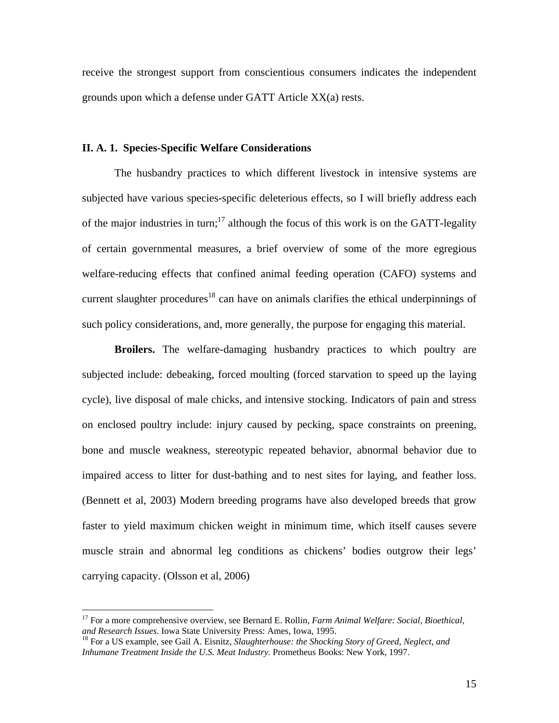receive the strongest support from conscientious consumers indicates the independent grounds upon which a defense under GATT Article XX(a) rests.

#### **II. A. 1. Species-Specific Welfare Considerations**

The husbandry practices to which different livestock in intensive systems are subjected have various species-specific deleterious effects, so I will briefly address each of the major industries in turn;<sup>17</sup> although the focus of this work is on the GATT-legality of certain governmental measures, a brief overview of some of the more egregious welfare-reducing effects that confined animal feeding operation (CAFO) systems and current slaughter procedures<sup>18</sup> can have on animals clarifies the ethical underpinnings of such policy considerations, and, more generally, the purpose for engaging this material.

**Broilers.** The welfare-damaging husbandry practices to which poultry are subjected include: debeaking, forced moulting (forced starvation to speed up the laying cycle), live disposal of male chicks, and intensive stocking. Indicators of pain and stress on enclosed poultry include: injury caused by pecking, space constraints on preening, bone and muscle weakness, stereotypic repeated behavior, abnormal behavior due to impaired access to litter for dust-bathing and to nest sites for laying, and feather loss. (Bennett et al, 2003) Modern breeding programs have also developed breeds that grow faster to yield maximum chicken weight in minimum time, which itself causes severe muscle strain and abnormal leg conditions as chickens' bodies outgrow their legs' carrying capacity. (Olsson et al, 2006)

<u>.</u>

<sup>17</sup> For a more comprehensive overview, see Bernard E. Rollin, *Farm Animal Welfare: Social, Bioethical, and Research Issues*. Iowa State University Press: Ames, Iowa, 1995.<br><sup>18</sup> For a US example, see Gail A. Eisnitz, *Slaughterhouse: the Shocking Story of Greed, Neglect, and* 

*Inhumane Treatment Inside the U.S. Meat Industry.* Prometheus Books: New York, 1997.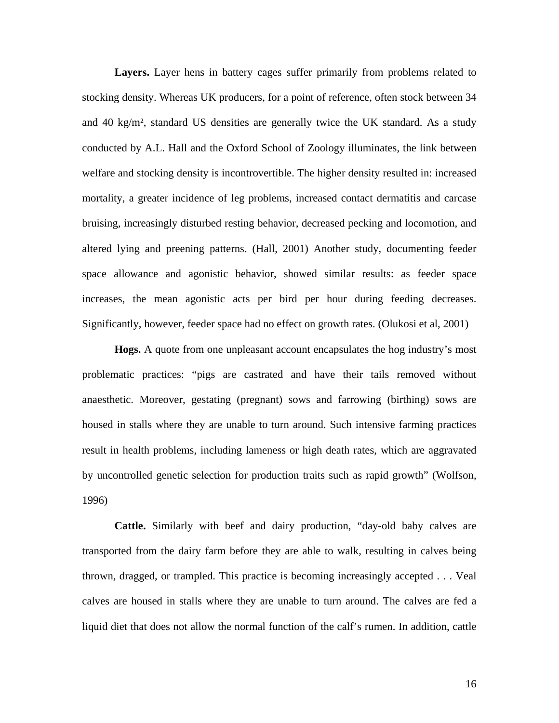**Layers.** Layer hens in battery cages suffer primarily from problems related to stocking density. Whereas UK producers, for a point of reference, often stock between 34 and 40 kg/m², standard US densities are generally twice the UK standard. As a study conducted by A.L. Hall and the Oxford School of Zoology illuminates, the link between welfare and stocking density is incontrovertible. The higher density resulted in: increased mortality, a greater incidence of leg problems, increased contact dermatitis and carcase bruising, increasingly disturbed resting behavior, decreased pecking and locomotion, and altered lying and preening patterns. (Hall, 2001) Another study, documenting feeder space allowance and agonistic behavior, showed similar results: as feeder space increases, the mean agonistic acts per bird per hour during feeding decreases. Significantly, however, feeder space had no effect on growth rates. (Olukosi et al, 2001)

**Hogs.** A quote from one unpleasant account encapsulates the hog industry's most problematic practices: "pigs are castrated and have their tails removed without anaesthetic. Moreover, gestating (pregnant) sows and farrowing (birthing) sows are housed in stalls where they are unable to turn around. Such intensive farming practices result in health problems, including lameness or high death rates, which are aggravated by uncontrolled genetic selection for production traits such as rapid growth" (Wolfson, 1996)

**Cattle.** Similarly with beef and dairy production, "day-old baby calves are transported from the dairy farm before they are able to walk, resulting in calves being thrown, dragged, or trampled. This practice is becoming increasingly accepted . . . Veal calves are housed in stalls where they are unable to turn around. The calves are fed a liquid diet that does not allow the normal function of the calf's rumen. In addition, cattle

16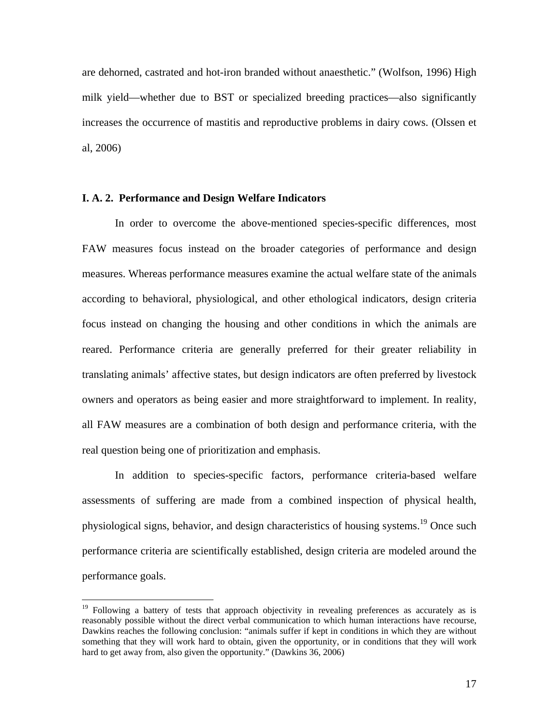are dehorned, castrated and hot-iron branded without anaesthetic." (Wolfson, 1996) High milk yield—whether due to BST or specialized breeding practices—also significantly increases the occurrence of mastitis and reproductive problems in dairy cows. (Olssen et al, 2006)

#### **I. A. 2. Performance and Design Welfare Indicators**

 $\overline{a}$ 

 In order to overcome the above-mentioned species-specific differences, most FAW measures focus instead on the broader categories of performance and design measures. Whereas performance measures examine the actual welfare state of the animals according to behavioral, physiological, and other ethological indicators, design criteria focus instead on changing the housing and other conditions in which the animals are reared. Performance criteria are generally preferred for their greater reliability in translating animals' affective states, but design indicators are often preferred by livestock owners and operators as being easier and more straightforward to implement. In reality, all FAW measures are a combination of both design and performance criteria, with the real question being one of prioritization and emphasis.

In addition to species-specific factors, performance criteria-based welfare assessments of suffering are made from a combined inspection of physical health, physiological signs, behavior, and design characteristics of housing systems.<sup>19</sup> Once such performance criteria are scientifically established, design criteria are modeled around the performance goals.

<sup>&</sup>lt;sup>19</sup> Following a battery of tests that approach objectivity in revealing preferences as accurately as is reasonably possible without the direct verbal communication to which human interactions have recourse, Dawkins reaches the following conclusion: "animals suffer if kept in conditions in which they are without something that they will work hard to obtain, given the opportunity, or in conditions that they will work hard to get away from, also given the opportunity." (Dawkins 36, 2006)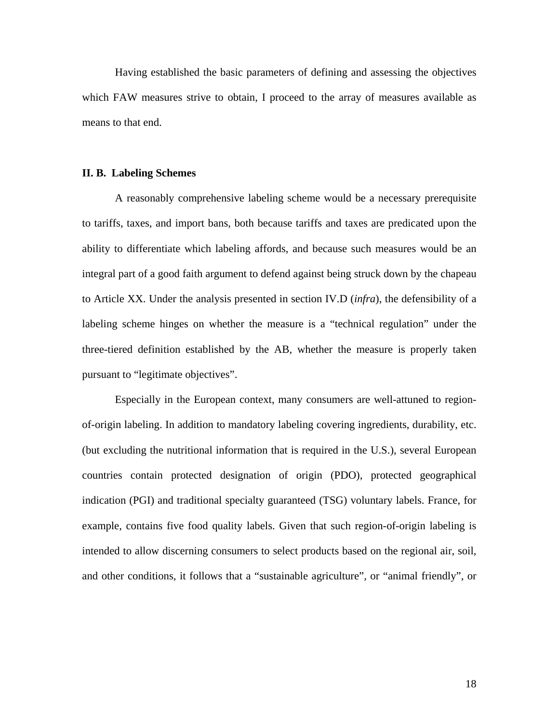Having established the basic parameters of defining and assessing the objectives which FAW measures strive to obtain, I proceed to the array of measures available as means to that end.

#### **II. B. Labeling Schemes**

 A reasonably comprehensive labeling scheme would be a necessary prerequisite to tariffs, taxes, and import bans, both because tariffs and taxes are predicated upon the ability to differentiate which labeling affords, and because such measures would be an integral part of a good faith argument to defend against being struck down by the chapeau to Article XX. Under the analysis presented in section IV.D (*infra*), the defensibility of a labeling scheme hinges on whether the measure is a "technical regulation" under the three-tiered definition established by the AB, whether the measure is properly taken pursuant to "legitimate objectives".

 Especially in the European context, many consumers are well-attuned to regionof-origin labeling. In addition to mandatory labeling covering ingredients, durability, etc. (but excluding the nutritional information that is required in the U.S.), several European countries contain protected designation of origin (PDO), protected geographical indication (PGI) and traditional specialty guaranteed (TSG) voluntary labels. France, for example, contains five food quality labels. Given that such region-of-origin labeling is intended to allow discerning consumers to select products based on the regional air, soil, and other conditions, it follows that a "sustainable agriculture", or "animal friendly", or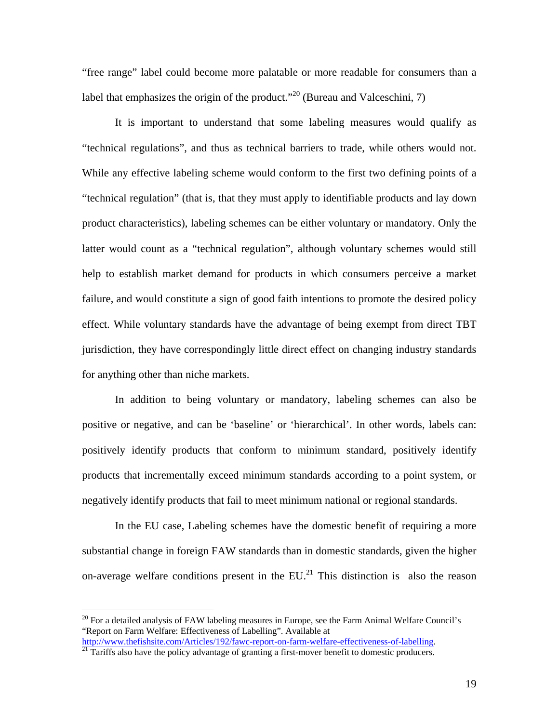"free range" label could become more palatable or more readable for consumers than a label that emphasizes the origin of the product."<sup>20</sup> (Bureau and Valceschini, 7)

 It is important to understand that some labeling measures would qualify as "technical regulations", and thus as technical barriers to trade, while others would not. While any effective labeling scheme would conform to the first two defining points of a "technical regulation" (that is, that they must apply to identifiable products and lay down product characteristics), labeling schemes can be either voluntary or mandatory. Only the latter would count as a "technical regulation", although voluntary schemes would still help to establish market demand for products in which consumers perceive a market failure, and would constitute a sign of good faith intentions to promote the desired policy effect. While voluntary standards have the advantage of being exempt from direct TBT jurisdiction, they have correspondingly little direct effect on changing industry standards for anything other than niche markets.

 In addition to being voluntary or mandatory, labeling schemes can also be positive or negative, and can be 'baseline' or 'hierarchical'. In other words, labels can: positively identify products that conform to minimum standard, positively identify products that incrementally exceed minimum standards according to a point system, or negatively identify products that fail to meet minimum national or regional standards.

 In the EU case, Labeling schemes have the domestic benefit of requiring a more substantial change in foreign FAW standards than in domestic standards, given the higher on-average welfare conditions present in the  $EU^{21}$ . This distinction is also the reason

<u>.</u>

 $20$  For a detailed analysis of FAW labeling measures in Europe, see the Farm Animal Welfare Council's "Report on Farm Welfare: Effectiveness of Labelling". Available at

http://www.thefishsite.com/Articles/192/fawc-report-on-farm-welfare-effectiveness-of-labelling.<br><sup>21</sup> Tariffs also have the policy advantage of granting a first-mover benefit to domestic producers.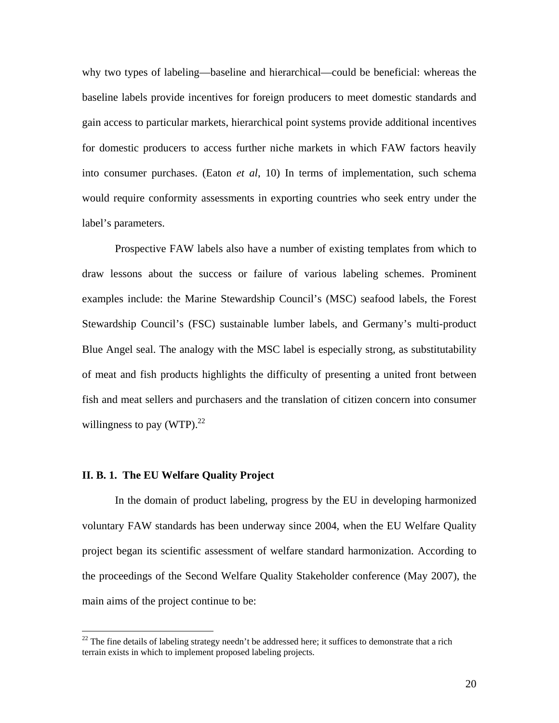why two types of labeling—baseline and hierarchical—could be beneficial: whereas the baseline labels provide incentives for foreign producers to meet domestic standards and gain access to particular markets, hierarchical point systems provide additional incentives for domestic producers to access further niche markets in which FAW factors heavily into consumer purchases. (Eaton *et al*, 10) In terms of implementation, such schema would require conformity assessments in exporting countries who seek entry under the label's parameters.

 Prospective FAW labels also have a number of existing templates from which to draw lessons about the success or failure of various labeling schemes. Prominent examples include: the Marine Stewardship Council's (MSC) seafood labels, the Forest Stewardship Council's (FSC) sustainable lumber labels, and Germany's multi-product Blue Angel seal. The analogy with the MSC label is especially strong, as substitutability of meat and fish products highlights the difficulty of presenting a united front between fish and meat sellers and purchasers and the translation of citizen concern into consumer willingness to pay  $(WTP)$ .<sup>22</sup>

#### **II. B. 1. The EU Welfare Quality Project**

 $\overline{a}$ 

 In the domain of product labeling, progress by the EU in developing harmonized voluntary FAW standards has been underway since 2004, when the EU Welfare Quality project began its scientific assessment of welfare standard harmonization. According to the proceedings of the Second Welfare Quality Stakeholder conference (May 2007), the main aims of the project continue to be:

 $22$  The fine details of labeling strategy needn't be addressed here; it suffices to demonstrate that a rich terrain exists in which to implement proposed labeling projects.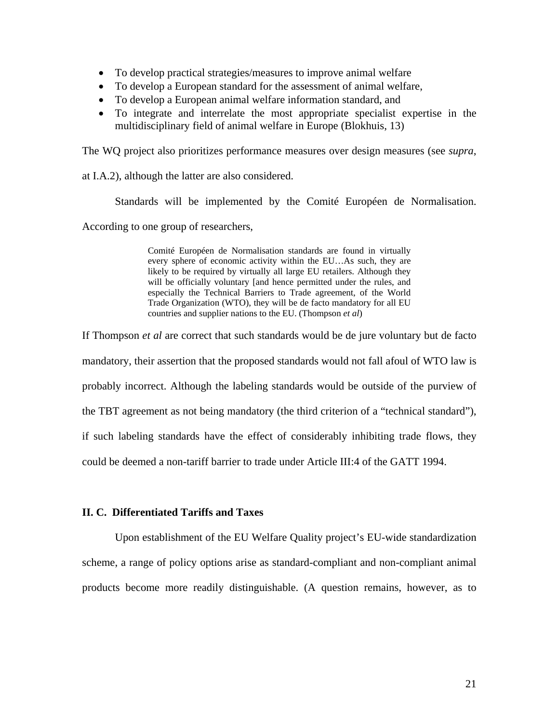- To develop practical strategies/measures to improve animal welfare
- To develop a European standard for the assessment of animal welfare,
- To develop a European animal welfare information standard, and
- To integrate and interrelate the most appropriate specialist expertise in the multidisciplinary field of animal welfare in Europe (Blokhuis, 13)

The WQ project also prioritizes performance measures over design measures (see *supra*,

at I.A.2), although the latter are also considered.

Standards will be implemented by the Comité Européen de Normalisation.

According to one group of researchers,

Comité Européen de Normalisation standards are found in virtually every sphere of economic activity within the EU…As such, they are likely to be required by virtually all large EU retailers. Although they will be officially voluntary [and hence permitted under the rules, and especially the Technical Barriers to Trade agreement, of the World Trade Organization (WTO), they will be de facto mandatory for all EU countries and supplier nations to the EU. (Thompson *et al*)

If Thompson *et al* are correct that such standards would be de jure voluntary but de facto mandatory, their assertion that the proposed standards would not fall afoul of WTO law is probably incorrect. Although the labeling standards would be outside of the purview of the TBT agreement as not being mandatory (the third criterion of a "technical standard"), if such labeling standards have the effect of considerably inhibiting trade flows, they could be deemed a non-tariff barrier to trade under Article III:4 of the GATT 1994.

# **II. C. Differentiated Tariffs and Taxes**

Upon establishment of the EU Welfare Quality project's EU-wide standardization scheme, a range of policy options arise as standard-compliant and non-compliant animal products become more readily distinguishable. (A question remains, however, as to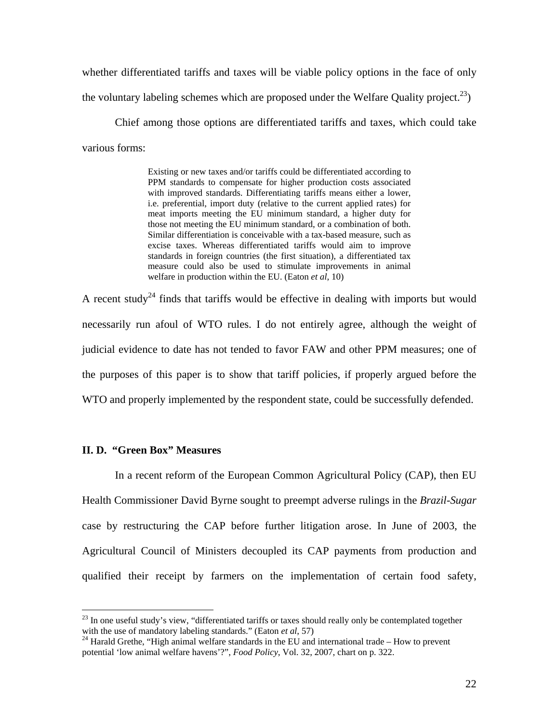whether differentiated tariffs and taxes will be viable policy options in the face of only the voluntary labeling schemes which are proposed under the Welfare Quality project.<sup>23</sup>)

Chief among those options are differentiated tariffs and taxes, which could take various forms:

> Existing or new taxes and/or tariffs could be differentiated according to PPM standards to compensate for higher production costs associated with improved standards. Differentiating tariffs means either a lower, i.e. preferential, import duty (relative to the current applied rates) for meat imports meeting the EU minimum standard, a higher duty for those not meeting the EU minimum standard, or a combination of both. Similar differentiation is conceivable with a tax-based measure, such as excise taxes. Whereas differentiated tariffs would aim to improve standards in foreign countries (the first situation), a differentiated tax measure could also be used to stimulate improvements in animal welfare in production within the EU. (Eaton *et al*, 10)

A recent study<sup>24</sup> finds that tariffs would be effective in dealing with imports but would necessarily run afoul of WTO rules. I do not entirely agree, although the weight of judicial evidence to date has not tended to favor FAW and other PPM measures; one of the purposes of this paper is to show that tariff policies, if properly argued before the WTO and properly implemented by the respondent state, could be successfully defended.

#### **II. D. "Green Box" Measures**

 $\overline{a}$ 

 In a recent reform of the European Common Agricultural Policy (CAP), then EU Health Commissioner David Byrne sought to preempt adverse rulings in the *Brazil-Sugar*  case by restructuring the CAP before further litigation arose. In June of 2003, the Agricultural Council of Ministers decoupled its CAP payments from production and qualified their receipt by farmers on the implementation of certain food safety,

 $^{23}$  In one useful study's view, "differentiated tariffs or taxes should really only be contemplated together with the use of mandatory labeling standards." (Eaton *et al*, 57)<br><sup>24</sup> Harald Grethe, "High animal welfare standards in the EU and international trade – How to prevent

potential 'low animal welfare havens'?", *Food Policy*, Vol. 32, 2007, chart on p. 322.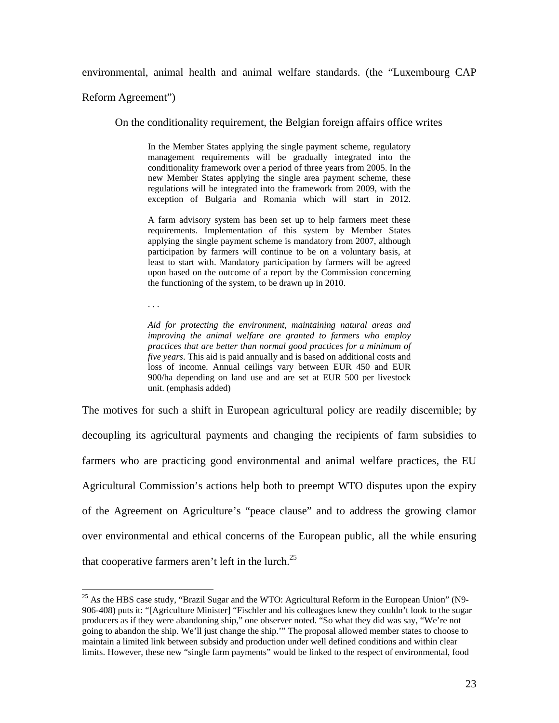environmental, animal health and animal welfare standards. (the "Luxembourg CAP

Reform Agreement")

On the conditionality requirement, the Belgian foreign affairs office writes

In the Member States applying the single payment scheme, regulatory management requirements will be gradually integrated into the conditionality framework over a period of three years from 2005. In the new Member States applying the single area payment scheme, these regulations will be integrated into the framework from 2009, with the exception of Bulgaria and Romania which will start in 2012.

A farm advisory system has been set up to help farmers meet these requirements. Implementation of this system by Member States applying the single payment scheme is mandatory from 2007, although participation by farmers will continue to be on a voluntary basis, at least to start with. Mandatory participation by farmers will be agreed upon based on the outcome of a report by the Commission concerning the functioning of the system, to be drawn up in 2010.

. . .

 $\overline{a}$ 

*Aid for protecting the environment, maintaining natural areas and improving the animal welfare are granted to farmers who employ practices that are better than normal good practices for a minimum of five years*. This aid is paid annually and is based on additional costs and loss of income. Annual ceilings vary between EUR 450 and EUR 900/ha depending on land use and are set at EUR 500 per livestock unit. (emphasis added)

The motives for such a shift in European agricultural policy are readily discernible; by decoupling its agricultural payments and changing the recipients of farm subsidies to farmers who are practicing good environmental and animal welfare practices, the EU Agricultural Commission's actions help both to preempt WTO disputes upon the expiry of the Agreement on Agriculture's "peace clause" and to address the growing clamor over environmental and ethical concerns of the European public, all the while ensuring that cooperative farmers aren't left in the lurch.<sup>25</sup>

 $^{25}$  As the HBS case study, "Brazil Sugar and the WTO: Agricultural Reform in the European Union" (N9-906-408) puts it: "[Agriculture Minister] "Fischler and his colleagues knew they couldn't look to the sugar producers as if they were abandoning ship," one observer noted. "So what they did was say, "We're not going to abandon the ship. We'll just change the ship.'" The proposal allowed member states to choose to maintain a limited link between subsidy and production under well defined conditions and within clear limits. However, these new "single farm payments" would be linked to the respect of environmental, food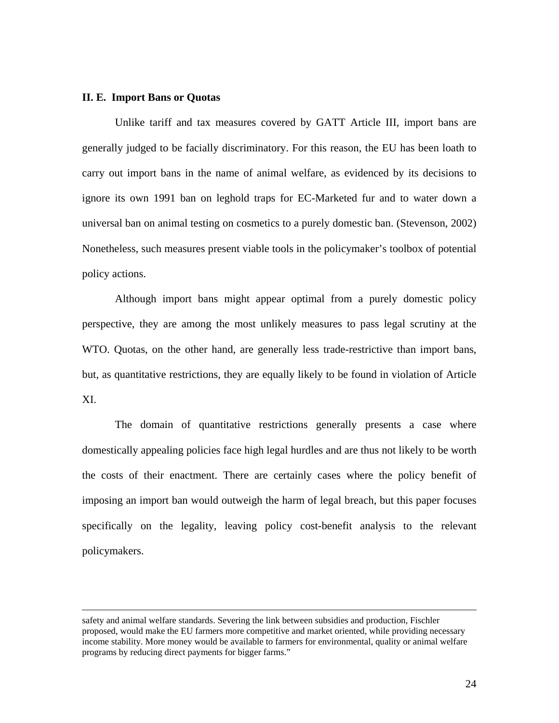#### **II. E. Import Bans or Quotas**

 Unlike tariff and tax measures covered by GATT Article III, import bans are generally judged to be facially discriminatory. For this reason, the EU has been loath to carry out import bans in the name of animal welfare, as evidenced by its decisions to ignore its own 1991 ban on leghold traps for EC-Marketed fur and to water down a universal ban on animal testing on cosmetics to a purely domestic ban. (Stevenson, 2002) Nonetheless, such measures present viable tools in the policymaker's toolbox of potential policy actions.

 Although import bans might appear optimal from a purely domestic policy perspective, they are among the most unlikely measures to pass legal scrutiny at the WTO. Quotas, on the other hand, are generally less trade-restrictive than import bans, but, as quantitative restrictions, they are equally likely to be found in violation of Article XI.

The domain of quantitative restrictions generally presents a case where domestically appealing policies face high legal hurdles and are thus not likely to be worth the costs of their enactment. There are certainly cases where the policy benefit of imposing an import ban would outweigh the harm of legal breach, but this paper focuses specifically on the legality, leaving policy cost-benefit analysis to the relevant policymakers.

safety and animal welfare standards. Severing the link between subsidies and production, Fischler proposed, would make the EU farmers more competitive and market oriented, while providing necessary income stability. More money would be available to farmers for environmental, quality or animal welfare programs by reducing direct payments for bigger farms."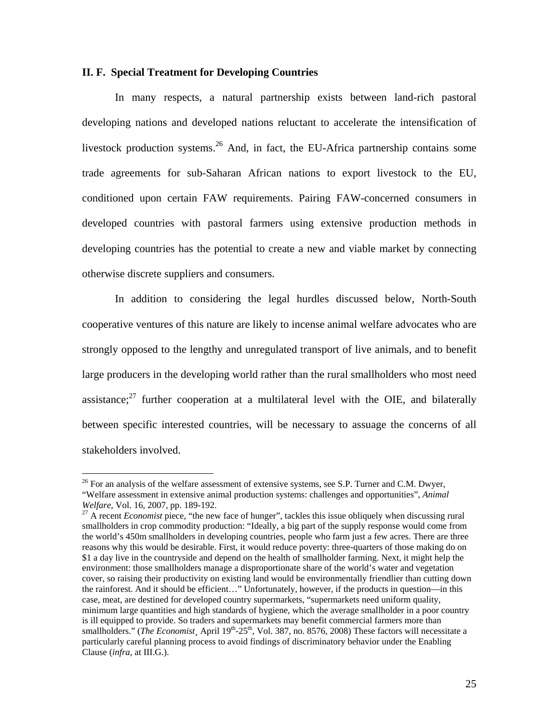#### **II. F. Special Treatment for Developing Countries**

 In many respects, a natural partnership exists between land-rich pastoral developing nations and developed nations reluctant to accelerate the intensification of livestock production systems.<sup>26</sup> And, in fact, the EU-Africa partnership contains some trade agreements for sub-Saharan African nations to export livestock to the EU, conditioned upon certain FAW requirements. Pairing FAW-concerned consumers in developed countries with pastoral farmers using extensive production methods in developing countries has the potential to create a new and viable market by connecting otherwise discrete suppliers and consumers.

In addition to considering the legal hurdles discussed below, North-South cooperative ventures of this nature are likely to incense animal welfare advocates who are strongly opposed to the lengthy and unregulated transport of live animals, and to benefit large producers in the developing world rather than the rural smallholders who most need assistance; $27$  further cooperation at a multilateral level with the OIE, and bilaterally between specific interested countries, will be necessary to assuage the concerns of all stakeholders involved.

 $26$  For an analysis of the welfare assessment of extensive systems, see S.P. Turner and C.M. Dwyer, "Welfare assessment in extensive animal production systems: challenges and opportunities", *Animal Welfare*, Vol. 16, 2007, pp. 189-192.<br><sup>27</sup> A recent *Economist* piece, "the new face of hunger", tackles this issue obliquely when discussing rural

smallholders in crop commodity production: "Ideally, a big part of the supply response would come from the world's 450m smallholders in developing countries, people who farm just a few acres. There are three reasons why this would be desirable. First, it would reduce poverty: three-quarters of those making do on \$1 a day live in the countryside and depend on the health of smallholder farming. Next, it might help the environment: those smallholders manage a disproportionate share of the world's water and vegetation cover, so raising their productivity on existing land would be environmentally friendlier than cutting down the rainforest. And it should be efficient…" Unfortunately, however, if the products in question—in this case, meat, are destined for developed country supermarkets, "supermarkets need uniform quality, minimum large quantities and high standards of hygiene, which the average smallholder in a poor country is ill equipped to provide. So traders and supermarkets may benefit commercial farmers more than smallholders." (*The Economist*, April 19<sup>th</sup>-25<sup>th</sup>, Vol. 387, no. 8576, 2008) These factors will necessitate a particularly careful planning process to avoid findings of discriminatory behavior under the Enabling Clause (*infra*, at III.G.).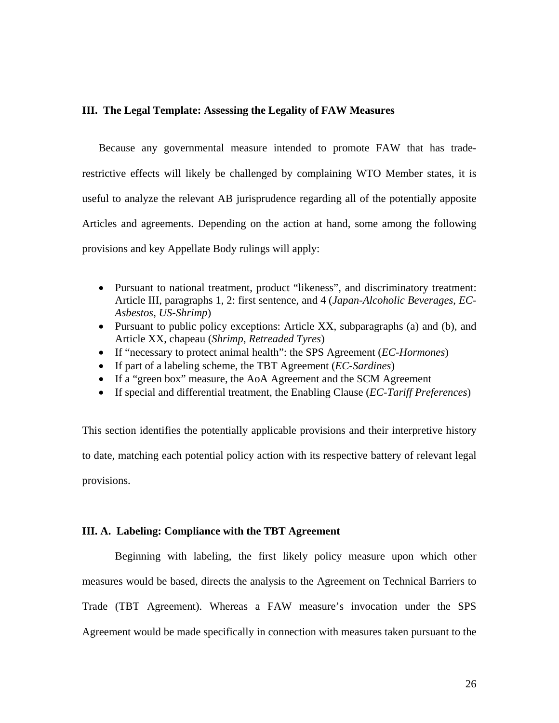#### **III. The Legal Template: Assessing the Legality of FAW Measures**

Because any governmental measure intended to promote FAW that has traderestrictive effects will likely be challenged by complaining WTO Member states, it is useful to analyze the relevant AB jurisprudence regarding all of the potentially apposite Articles and agreements. Depending on the action at hand, some among the following provisions and key Appellate Body rulings will apply:

- Pursuant to national treatment, product "likeness", and discriminatory treatment: Article III, paragraphs 1, 2: first sentence, and 4 (*Japan-Alcoholic Beverages*, *EC-Asbestos*, *US-Shrimp*)
- Pursuant to public policy exceptions: Article XX, subparagraphs (a) and (b), and Article XX, chapeau (*Shrimp*, *Retreaded Tyres*)
- If "necessary to protect animal health": the SPS Agreement (*EC-Hormones*)
- If part of a labeling scheme, the TBT Agreement (*EC-Sardines*)
- If a "green box" measure, the AoA Agreement and the SCM Agreement
- If special and differential treatment, the Enabling Clause (*EC-Tariff Preferences*)

This section identifies the potentially applicable provisions and their interpretive history to date, matching each potential policy action with its respective battery of relevant legal provisions.

#### **III. A. Labeling: Compliance with the TBT Agreement**

Beginning with labeling, the first likely policy measure upon which other measures would be based, directs the analysis to the Agreement on Technical Barriers to Trade (TBT Agreement). Whereas a FAW measure's invocation under the SPS Agreement would be made specifically in connection with measures taken pursuant to the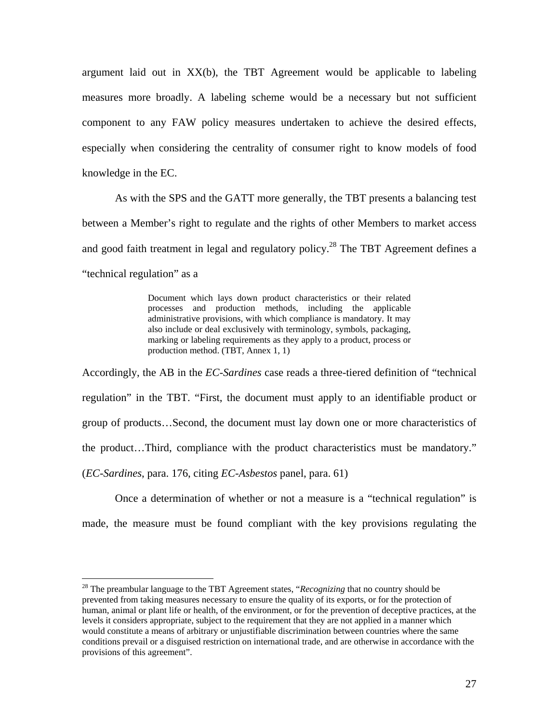argument laid out in XX(b), the TBT Agreement would be applicable to labeling measures more broadly. A labeling scheme would be a necessary but not sufficient component to any FAW policy measures undertaken to achieve the desired effects, especially when considering the centrality of consumer right to know models of food knowledge in the EC.

As with the SPS and the GATT more generally, the TBT presents a balancing test between a Member's right to regulate and the rights of other Members to market access and good faith treatment in legal and regulatory policy.<sup>28</sup> The TBT Agreement defines a "technical regulation" as a

> Document which lays down product characteristics or their related processes and production methods, including the applicable administrative provisions, with which compliance is mandatory. It may also include or deal exclusively with terminology, symbols, packaging, marking or labeling requirements as they apply to a product, process or production method. (TBT, Annex 1, 1)

Accordingly, the AB in the *EC-Sardines* case reads a three-tiered definition of "technical regulation" in the TBT. "First, the document must apply to an identifiable product or group of products…Second, the document must lay down one or more characteristics of the product…Third, compliance with the product characteristics must be mandatory." (*EC-Sardines*, para. 176, citing *EC-Asbestos* panel, para. 61)

Once a determination of whether or not a measure is a "technical regulation" is made, the measure must be found compliant with the key provisions regulating the

<sup>28</sup> The preambular language to the TBT Agreement states, "*Recognizing* that no country should be prevented from taking measures necessary to ensure the quality of its exports, or for the protection of human, animal or plant life or health, of the environment, or for the prevention of deceptive practices, at the levels it considers appropriate, subject to the requirement that they are not applied in a manner which would constitute a means of arbitrary or unjustifiable discrimination between countries where the same conditions prevail or a disguised restriction on international trade, and are otherwise in accordance with the provisions of this agreement".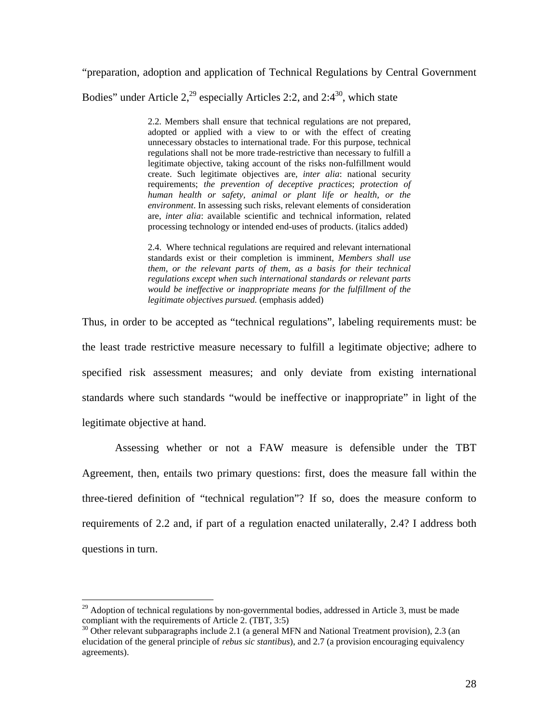"preparation, adoption and application of Technical Regulations by Central Government Bodies" under Article  $2<sup>29</sup>$  especially Articles 2:2, and 2:4<sup>30</sup>, which state

> 2.2. Members shall ensure that technical regulations are not prepared, adopted or applied with a view to or with the effect of creating unnecessary obstacles to international trade. For this purpose, technical regulations shall not be more trade-restrictive than necessary to fulfill a legitimate objective, taking account of the risks non-fulfillment would create. Such legitimate objectives are, *inter alia*: national security requirements; *the prevention of deceptive practices*; *protection of human health or safety, animal or plant life or health, or the environment*. In assessing such risks, relevant elements of consideration are, *inter alia*: available scientific and technical information, related processing technology or intended end-uses of products. (italics added)

> 2.4. Where technical regulations are required and relevant international standards exist or their completion is imminent, *Members shall use them, or the relevant parts of them, as a basis for their technical regulations except when such international standards or relevant parts would be ineffective or inappropriate means for the fulfillment of the legitimate objectives pursued.* (emphasis added)

Thus, in order to be accepted as "technical regulations", labeling requirements must: be the least trade restrictive measure necessary to fulfill a legitimate objective; adhere to specified risk assessment measures; and only deviate from existing international standards where such standards "would be ineffective or inappropriate" in light of the legitimate objective at hand.

 Assessing whether or not a FAW measure is defensible under the TBT Agreement, then, entails two primary questions: first, does the measure fall within the three-tiered definition of "technical regulation"? If so, does the measure conform to requirements of 2.2 and, if part of a regulation enacted unilaterally, 2.4? I address both questions in turn.

 $^{29}$  Adoption of technical regulations by non-governmental bodies, addressed in Article 3, must be made compliant with the requirements of Article 2. (TBT, 3:5)

<sup>&</sup>lt;sup>30</sup> Other relevant subparagraphs include 2.1 (a general MFN and National Treatment provision), 2.3 (an elucidation of the general principle of *rebus sic stantibus*), and 2.7 (a provision encouraging equivalency agreements).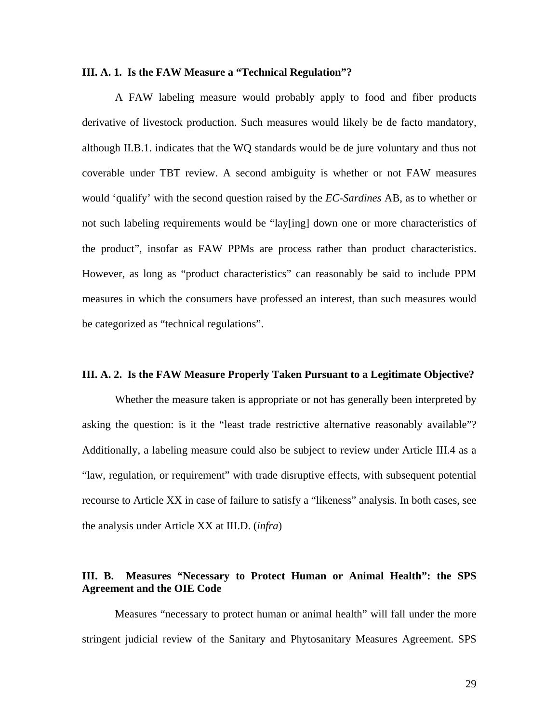#### **III. A. 1. Is the FAW Measure a "Technical Regulation"?**

A FAW labeling measure would probably apply to food and fiber products derivative of livestock production. Such measures would likely be de facto mandatory, although II.B.1. indicates that the WQ standards would be de jure voluntary and thus not coverable under TBT review. A second ambiguity is whether or not FAW measures would 'qualify' with the second question raised by the *EC-Sardines* AB, as to whether or not such labeling requirements would be "lay[ing] down one or more characteristics of the product", insofar as FAW PPMs are process rather than product characteristics. However, as long as "product characteristics" can reasonably be said to include PPM measures in which the consumers have professed an interest, than such measures would be categorized as "technical regulations".

#### **III. A. 2. Is the FAW Measure Properly Taken Pursuant to a Legitimate Objective?**

Whether the measure taken is appropriate or not has generally been interpreted by asking the question: is it the "least trade restrictive alternative reasonably available"? Additionally, a labeling measure could also be subject to review under Article III.4 as a "law, regulation, or requirement" with trade disruptive effects, with subsequent potential recourse to Article XX in case of failure to satisfy a "likeness" analysis. In both cases, see the analysis under Article XX at III.D. (*infra*)

# **III. B. Measures "Necessary to Protect Human or Animal Health": the SPS Agreement and the OIE Code**

 Measures "necessary to protect human or animal health" will fall under the more stringent judicial review of the Sanitary and Phytosanitary Measures Agreement. SPS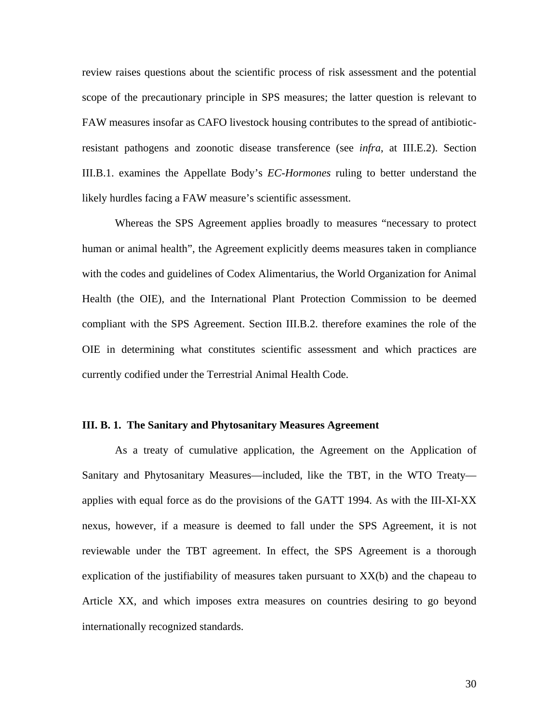review raises questions about the scientific process of risk assessment and the potential scope of the precautionary principle in SPS measures; the latter question is relevant to FAW measures insofar as CAFO livestock housing contributes to the spread of antibioticresistant pathogens and zoonotic disease transference (see *infra*, at III.E.2). Section III.B.1. examines the Appellate Body's *EC-Hormones* ruling to better understand the likely hurdles facing a FAW measure's scientific assessment.

 Whereas the SPS Agreement applies broadly to measures "necessary to protect human or animal health", the Agreement explicitly deems measures taken in compliance with the codes and guidelines of Codex Alimentarius, the World Organization for Animal Health (the OIE), and the International Plant Protection Commission to be deemed compliant with the SPS Agreement. Section III.B.2. therefore examines the role of the OIE in determining what constitutes scientific assessment and which practices are currently codified under the Terrestrial Animal Health Code.

#### **III. B. 1. The Sanitary and Phytosanitary Measures Agreement**

 As a treaty of cumulative application, the Agreement on the Application of Sanitary and Phytosanitary Measures—included, like the TBT, in the WTO Treaty applies with equal force as do the provisions of the GATT 1994. As with the III-XI-XX nexus, however, if a measure is deemed to fall under the SPS Agreement, it is not reviewable under the TBT agreement. In effect, the SPS Agreement is a thorough explication of the justifiability of measures taken pursuant to XX(b) and the chapeau to Article XX, and which imposes extra measures on countries desiring to go beyond internationally recognized standards.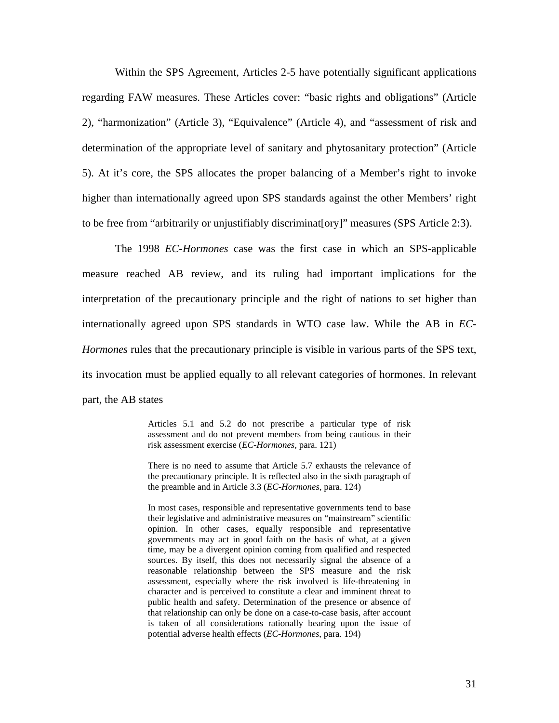Within the SPS Agreement, Articles 2-5 have potentially significant applications regarding FAW measures. These Articles cover: "basic rights and obligations" (Article 2), "harmonization" (Article 3), "Equivalence" (Article 4), and "assessment of risk and determination of the appropriate level of sanitary and phytosanitary protection" (Article 5). At it's core, the SPS allocates the proper balancing of a Member's right to invoke higher than internationally agreed upon SPS standards against the other Members' right to be free from "arbitrarily or unjustifiably discriminat[ory]" measures (SPS Article 2:3).

The 1998 *EC-Hormones* case was the first case in which an SPS-applicable measure reached AB review, and its ruling had important implications for the interpretation of the precautionary principle and the right of nations to set higher than internationally agreed upon SPS standards in WTO case law. While the AB in *EC-Hormones* rules that the precautionary principle is visible in various parts of the SPS text, its invocation must be applied equally to all relevant categories of hormones. In relevant part, the AB states

> Articles 5.1 and 5.2 do not prescribe a particular type of risk assessment and do not prevent members from being cautious in their risk assessment exercise (*EC-Hormones,* para. 121)

> There is no need to assume that Article 5.7 exhausts the relevance of the precautionary principle. It is reflected also in the sixth paragraph of the preamble and in Article 3.3 (*EC-Hormones*, para. 124)

> In most cases, responsible and representative governments tend to base their legislative and administrative measures on "mainstream" scientific opinion. In other cases, equally responsible and representative governments may act in good faith on the basis of what, at a given time, may be a divergent opinion coming from qualified and respected sources. By itself, this does not necessarily signal the absence of a reasonable relationship between the SPS measure and the risk assessment, especially where the risk involved is life-threatening in character and is perceived to constitute a clear and imminent threat to public health and safety. Determination of the presence or absence of that relationship can only be done on a case-to-case basis, after account is taken of all considerations rationally bearing upon the issue of potential adverse health effects (*EC-Hormones*, para. 194)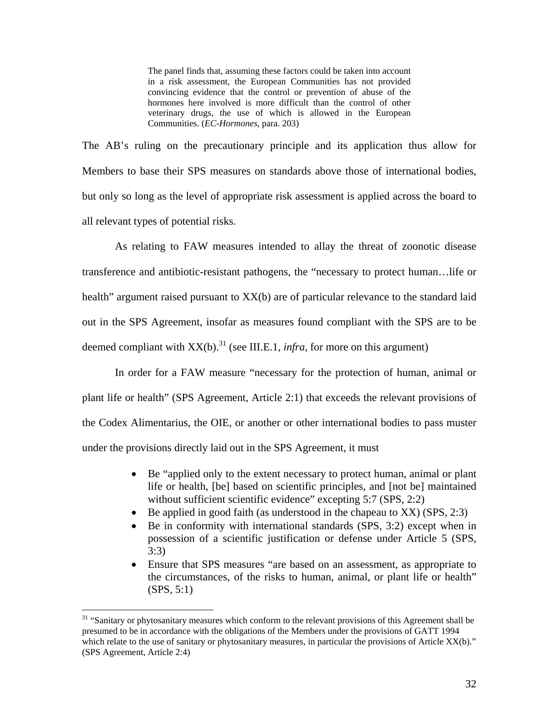The panel finds that, assuming these factors could be taken into account in a risk assessment, the European Communities has not provided convincing evidence that the control or prevention of abuse of the hormones here involved is more difficult than the control of other veterinary drugs, the use of which is allowed in the European Communities. (*EC-Hormones*, para. 203)

The AB's ruling on the precautionary principle and its application thus allow for Members to base their SPS measures on standards above those of international bodies, but only so long as the level of appropriate risk assessment is applied across the board to all relevant types of potential risks.

As relating to FAW measures intended to allay the threat of zoonotic disease transference and antibiotic-resistant pathogens, the "necessary to protect human…life or health" argument raised pursuant to XX(b) are of particular relevance to the standard laid out in the SPS Agreement, insofar as measures found compliant with the SPS are to be deemed compliant with  $XX(b)$ <sup>31</sup> (see III.E.1, *infra*, for more on this argument)

In order for a FAW measure "necessary for the protection of human, animal or plant life or health" (SPS Agreement, Article 2:1) that exceeds the relevant provisions of the Codex Alimentarius, the OIE, or another or other international bodies to pass muster under the provisions directly laid out in the SPS Agreement, it must

- Be "applied only to the extent necessary to protect human, animal or plant life or health, [be] based on scientific principles, and [not be] maintained without sufficient scientific evidence" excepting 5:7 (SPS, 2:2)
- Be applied in good faith (as understood in the chapeau to XX) (SPS, 2:3)
- Be in conformity with international standards (SPS, 3:2) except when in possession of a scientific justification or defense under Article 5 (SPS, 3:3)
- Ensure that SPS measures "are based on an assessment, as appropriate to the circumstances, of the risks to human, animal, or plant life or health" (SPS, 5:1)

<sup>&</sup>lt;sup>31</sup> "Sanitary or phytosanitary measures which conform to the relevant provisions of this Agreement shall be presumed to be in accordance with the obligations of the Members under the provisions of GATT 1994 which relate to the use of sanitary or phytosanitary measures, in particular the provisions of Article XX(b)." (SPS Agreement, Article 2:4)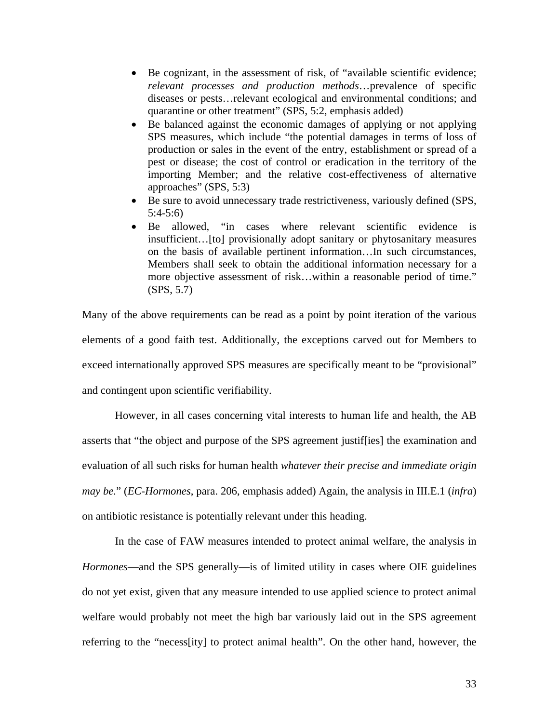- Be cognizant, in the assessment of risk, of "available scientific evidence; *relevant processes and production methods*…prevalence of specific diseases or pests…relevant ecological and environmental conditions; and quarantine or other treatment" (SPS, 5:2, emphasis added)
- Be balanced against the economic damages of applying or not applying SPS measures, which include "the potential damages in terms of loss of production or sales in the event of the entry, establishment or spread of a pest or disease; the cost of control or eradication in the territory of the importing Member; and the relative cost-effectiveness of alternative approaches" (SPS, 5:3)
- Be sure to avoid unnecessary trade restrictiveness, variously defined (SPS, 5:4-5:6)
- Be allowed, "in cases where relevant scientific evidence is insufficient…[to] provisionally adopt sanitary or phytosanitary measures on the basis of available pertinent information…In such circumstances, Members shall seek to obtain the additional information necessary for a more objective assessment of risk…within a reasonable period of time." (SPS, 5.7)

Many of the above requirements can be read as a point by point iteration of the various elements of a good faith test. Additionally, the exceptions carved out for Members to exceed internationally approved SPS measures are specifically meant to be "provisional" and contingent upon scientific verifiability.

However, in all cases concerning vital interests to human life and health, the AB asserts that "the object and purpose of the SPS agreement justif[ies] the examination and evaluation of all such risks for human health *whatever their precise and immediate origin may be.*" (*EC-Hormones*, para. 206, emphasis added) Again, the analysis in III.E.1 (*infra*) on antibiotic resistance is potentially relevant under this heading.

In the case of FAW measures intended to protect animal welfare, the analysis in *Hormones*—and the SPS generally—is of limited utility in cases where OIE guidelines do not yet exist, given that any measure intended to use applied science to protect animal welfare would probably not meet the high bar variously laid out in the SPS agreement referring to the "necess[ity] to protect animal health". On the other hand, however, the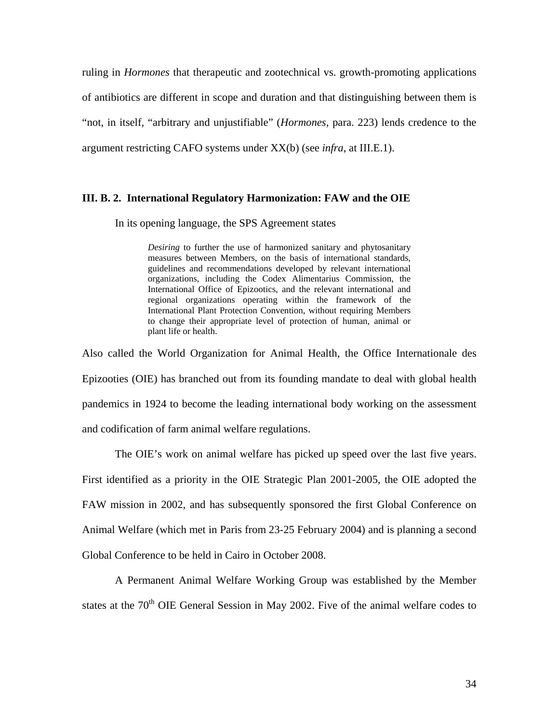ruling in *Hormones* that therapeutic and zootechnical vs. growth-promoting applications of antibiotics are different in scope and duration and that distinguishing between them is "not, in itself, "arbitrary and unjustifiable" (*Hormones*, para. 223) lends credence to the argument restricting CAFO systems under XX(b) (see *infra*, at III.E.1).

#### **III. B. 2. International Regulatory Harmonization: FAW and the OIE**

In its opening language, the SPS Agreement states

*Desiring* to further the use of harmonized sanitary and phytosanitary measures between Members, on the basis of international standards, guidelines and recommendations developed by relevant international organizations, including the Codex Alimentarius Commission, the International Office of Epizootics, and the relevant international and regional organizations operating within the framework of the International Plant Protection Convention, without requiring Members to change their appropriate level of protection of human, animal or plant life or health.

Also called the World Organization for Animal Health, the Office Internationale des Epizooties (OIE) has branched out from its founding mandate to deal with global health pandemics in 1924 to become the leading international body working on the assessment and codification of farm animal welfare regulations.

 The OIE's work on animal welfare has picked up speed over the last five years. First identified as a priority in the OIE Strategic Plan 2001-2005, the OIE adopted the FAW mission in 2002, and has subsequently sponsored the first Global Conference on Animal Welfare (which met in Paris from 23-25 February 2004) and is planning a second Global Conference to be held in Cairo in October 2008.

 A Permanent Animal Welfare Working Group was established by the Member states at the  $70<sup>th</sup>$  OIE General Session in May 2002. Five of the animal welfare codes to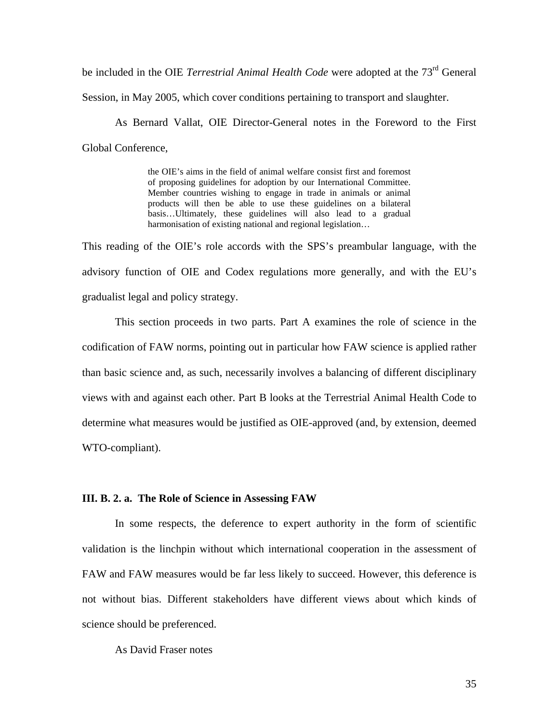be included in the OIE *Terrestrial Animal Health Code* were adopted at the 73<sup>rd</sup> General

Session, in May 2005, which cover conditions pertaining to transport and slaughter.

 As Bernard Vallat, OIE Director-General notes in the Foreword to the First Global Conference,

> the OIE's aims in the field of animal welfare consist first and foremost of proposing guidelines for adoption by our International Committee. Member countries wishing to engage in trade in animals or animal products will then be able to use these guidelines on a bilateral basis…Ultimately, these guidelines will also lead to a gradual harmonisation of existing national and regional legislation...

This reading of the OIE's role accords with the SPS's preambular language, with the advisory function of OIE and Codex regulations more generally, and with the EU's gradualist legal and policy strategy.

 This section proceeds in two parts. Part A examines the role of science in the codification of FAW norms, pointing out in particular how FAW science is applied rather than basic science and, as such, necessarily involves a balancing of different disciplinary views with and against each other. Part B looks at the Terrestrial Animal Health Code to determine what measures would be justified as OIE-approved (and, by extension, deemed WTO-compliant).

#### **III. B. 2. a. The Role of Science in Assessing FAW**

 In some respects, the deference to expert authority in the form of scientific validation is the linchpin without which international cooperation in the assessment of FAW and FAW measures would be far less likely to succeed. However, this deference is not without bias. Different stakeholders have different views about which kinds of science should be preferenced.

## As David Fraser notes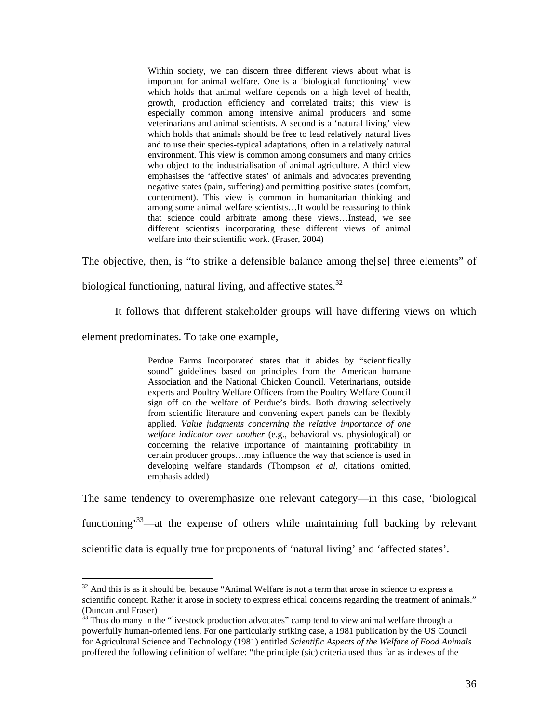Within society, we can discern three different views about what is important for animal welfare. One is a 'biological functioning' view which holds that animal welfare depends on a high level of health, growth, production efficiency and correlated traits; this view is especially common among intensive animal producers and some veterinarians and animal scientists. A second is a 'natural living' view which holds that animals should be free to lead relatively natural lives and to use their species-typical adaptations, often in a relatively natural environment. This view is common among consumers and many critics who object to the industrialisation of animal agriculture. A third view emphasises the 'affective states' of animals and advocates preventing negative states (pain, suffering) and permitting positive states (comfort, contentment). This view is common in humanitarian thinking and among some animal welfare scientists…It would be reassuring to think that science could arbitrate among these views…Instead, we see different scientists incorporating these different views of animal welfare into their scientific work. (Fraser, 2004)

The objective, then, is "to strike a defensible balance among the[se] three elements" of

biological functioning, natural living, and affective states.<sup>32</sup>

It follows that different stakeholder groups will have differing views on which

element predominates. To take one example,

 $\overline{a}$ 

Perdue Farms Incorporated states that it abides by "scientifically sound" guidelines based on principles from the American humane Association and the National Chicken Council. Veterinarians, outside experts and Poultry Welfare Officers from the Poultry Welfare Council sign off on the welfare of Perdue's birds. Both drawing selectively from scientific literature and convening expert panels can be flexibly applied. *Value judgments concerning the relative importance of one welfare indicator over another* (e.g., behavioral vs. physiological) or concerning the relative importance of maintaining profitability in certain producer groups…may influence the way that science is used in developing welfare standards (Thompson *et al*, citations omitted, emphasis added)

The same tendency to overemphasize one relevant category—in this case, 'biological functioning<sup>33</sup>—at the expense of others while maintaining full backing by relevant scientific data is equally true for proponents of 'natural living' and 'affected states'.

 $32$  And this is as it should be, because "Animal Welfare is not a term that arose in science to express a scientific concept. Rather it arose in society to express ethical concerns regarding the treatment of animals." (Duncan and Fraser)

 $33$  Thus do many in the "livestock production advocates" camp tend to view animal welfare through a powerfully human-oriented lens. For one particularly striking case, a 1981 publication by the US Council for Agricultural Science and Technology (1981) entitled *Scientific Aspects of the Welfare of Food Animals* proffered the following definition of welfare: "the principle (sic) criteria used thus far as indexes of the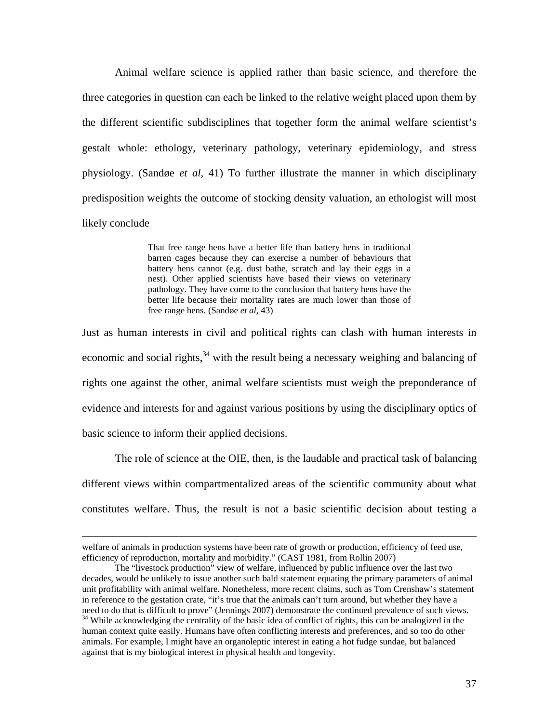Animal welfare science is applied rather than basic science, and therefore the three categories in question can each be linked to the relative weight placed upon them by the different scientific subdisciplines that together form the animal welfare scientist's gestalt whole: ethology, veterinary pathology, veterinary epidemiology, and stress physiology. (Sandøe *et al*, 41) To further illustrate the manner in which disciplinary predisposition weights the outcome of stocking density valuation, an ethologist will most likely conclude

> That free range hens have a better life than battery hens in traditional barren cages because they can exercise a number of behaviours that battery hens cannot (e.g. dust bathe, scratch and lay their eggs in a nest). Other applied scientists have based their views on veterinary pathology. They have come to the conclusion that battery hens have the better life because their mortality rates are much lower than those of free range hens. (Sandøe *et al*, 43)

Just as human interests in civil and political rights can clash with human interests in economic and social rights,  $34$  with the result being a necessary weighing and balancing of rights one against the other, animal welfare scientists must weigh the preponderance of evidence and interests for and against various positions by using the disciplinary optics of basic science to inform their applied decisions.

The role of science at the OIE, then, is the laudable and practical task of balancing different views within compartmentalized areas of the scientific community about what constitutes welfare. Thus, the result is not a basic scientific decision about testing a

welfare of animals in production systems have been rate of growth or production, efficiency of feed use, efficiency of reproduction, mortality and morbidity." (CAST 1981, from Rollin 2007)

The "livestock production" view of welfare, influenced by public influence over the last two decades, would be unlikely to issue another such bald statement equating the primary parameters of animal unit profitability with animal welfare. Nonetheless, more recent claims, such as Tom Crenshaw's statement in reference to the gestation crate, "it's true that the animals can't turn around, but whether they have a need to do that is difficult to prove" (Jennings 2007) demonstrate the continued prevalence of such views. <sup>34</sup> While acknowledging the centrality of the basic idea of conflict of rights, this can be analogized in the human context quite easily. Humans have often conflicting interests and preferences, and so too do other animals. For example, I might have an organoleptic interest in eating a hot fudge sundae, but balanced against that is my biological interest in physical health and longevity.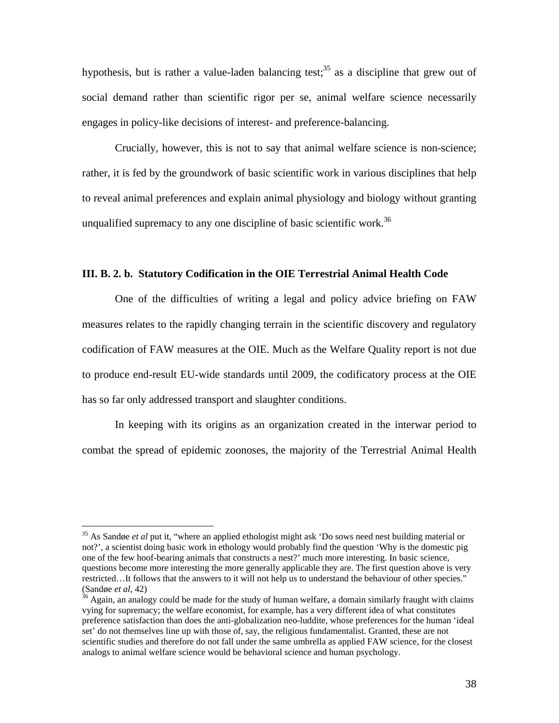hypothesis, but is rather a value-laden balancing test;<sup>35</sup> as a discipline that grew out of social demand rather than scientific rigor per se, animal welfare science necessarily engages in policy-like decisions of interest- and preference-balancing.

Crucially, however, this is not to say that animal welfare science is non-science; rather, it is fed by the groundwork of basic scientific work in various disciplines that help to reveal animal preferences and explain animal physiology and biology without granting unqualified supremacy to any one discipline of basic scientific work.<sup>36</sup>

### **III. B. 2. b. Statutory Codification in the OIE Terrestrial Animal Health Code**

 One of the difficulties of writing a legal and policy advice briefing on FAW measures relates to the rapidly changing terrain in the scientific discovery and regulatory codification of FAW measures at the OIE. Much as the Welfare Quality report is not due to produce end-result EU-wide standards until 2009, the codificatory process at the OIE has so far only addressed transport and slaughter conditions.

 In keeping with its origins as an organization created in the interwar period to combat the spread of epidemic zoonoses, the majority of the Terrestrial Animal Health

 $\overline{a}$ 

<sup>35</sup> As Sandøe *et al* put it, "where an applied ethologist might ask 'Do sows need nest building material or not?', a scientist doing basic work in ethology would probably find the question 'Why is the domestic pig one of the few hoof-bearing animals that constructs a nest?' much more interesting. In basic science, questions become more interesting the more generally applicable they are. The first question above is very restricted...It follows that the answers to it will not help us to understand the behaviour of other species."<br>(Sandøe *et al*, 42)

<sup>&</sup>lt;sup>36</sup> Again, an analogy could be made for the study of human welfare, a domain similarly fraught with claims vying for supremacy; the welfare economist, for example, has a very different idea of what constitutes preference satisfaction than does the anti-globalization neo-luddite, whose preferences for the human 'ideal set' do not themselves line up with those of, say, the religious fundamentalist. Granted, these are not scientific studies and therefore do not fall under the same umbrella as applied FAW science, for the closest analogs to animal welfare science would be behavioral science and human psychology.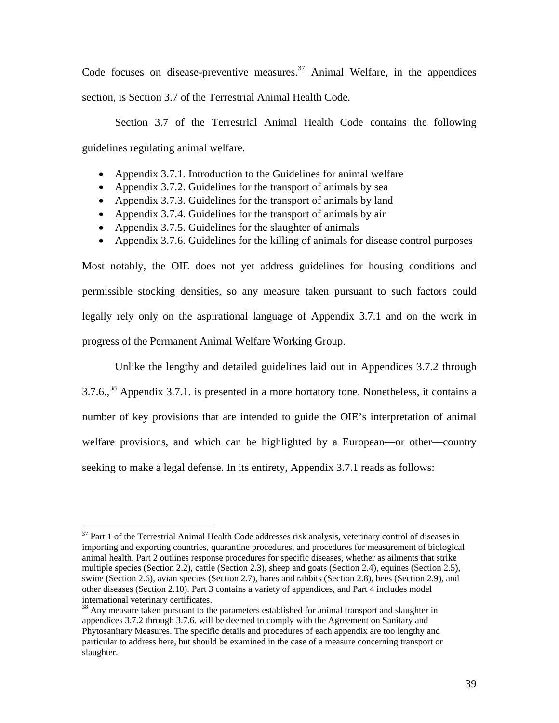Code focuses on disease-preventive measures.<sup>37</sup> Animal Welfare, in the appendices section, is Section 3.7 of the Terrestrial Animal Health Code.

 Section 3.7 of the Terrestrial Animal Health Code contains the following guidelines regulating animal welfare.

- Appendix 3.7.1. Introduction to the Guidelines for animal welfare
- Appendix 3.7.2. Guidelines for the transport of animals by sea
- Appendix 3.7.3. Guidelines for the transport of animals by land
- Appendix 3.7.4. Guidelines for the transport of animals by air
- Appendix 3.7.5. Guidelines for the slaughter of animals
- Appendix 3.7.6. Guidelines for the killing of animals for disease control purposes

Most notably, the OIE does not yet address guidelines for housing conditions and permissible stocking densities, so any measure taken pursuant to such factors could legally rely only on the aspirational language of Appendix 3.7.1 and on the work in progress of the Permanent Animal Welfare Working Group.

 Unlike the lengthy and detailed guidelines laid out in Appendices 3.7.2 through  $3.7.6$ ,  $38$  Appendix 3.7.1. is presented in a more hortatory tone. Nonetheless, it contains a number of key provisions that are intended to guide the OIE's interpretation of animal welfare provisions, and which can be highlighted by a European—or other—country seeking to make a legal defense. In its entirety, Appendix 3.7.1 reads as follows:

 $\overline{a}$ 

<sup>&</sup>lt;sup>37</sup> Part 1 of the Terrestrial Animal Health Code addresses risk analysis, veterinary control of diseases in importing and exporting countries, quarantine procedures, and procedures for measurement of biological animal health. Part 2 outlines response procedures for specific diseases, whether as ailments that strike multiple species (Section 2.2), cattle (Section 2.3), sheep and goats (Section 2.4), equines (Section 2.5), swine (Section 2.6), avian species (Section 2.7), hares and rabbits (Section 2.8), bees (Section 2.9), and other diseases (Section 2.10). Part 3 contains a variety of appendices, and Part 4 includes model international veterinary certificates.

<sup>&</sup>lt;sup>38</sup> Any measure taken pursuant to the parameters established for animal transport and slaughter in appendices 3.7.2 through 3.7.6. will be deemed to comply with the Agreement on Sanitary and Phytosanitary Measures. The specific details and procedures of each appendix are too lengthy and particular to address here, but should be examined in the case of a measure concerning transport or slaughter.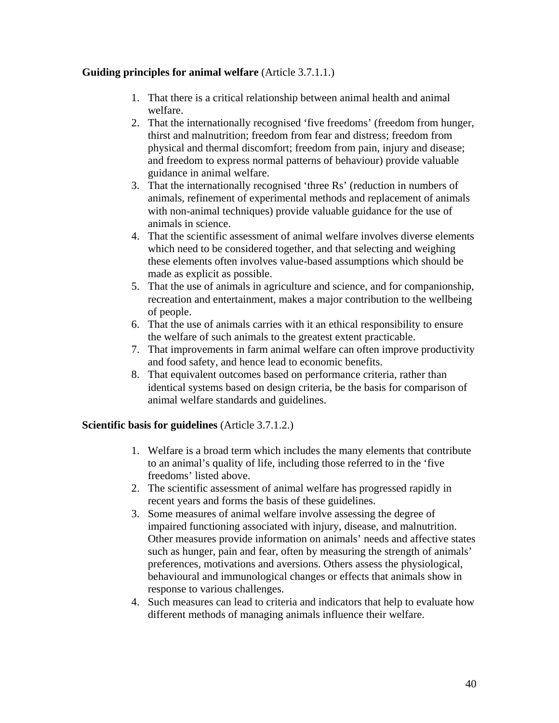# **Guiding principles for animal welfare** (Article 3.7.1.1.)

- 1. That there is a critical relationship between animal health and animal welfare.
- 2. That the internationally recognised 'five freedoms' (freedom from hunger, thirst and malnutrition; freedom from fear and distress; freedom from physical and thermal discomfort; freedom from pain, injury and disease; and freedom to express normal patterns of behaviour) provide valuable guidance in animal welfare.
- 3. That the internationally recognised 'three Rs' (reduction in numbers of animals, refinement of experimental methods and replacement of animals with non-animal techniques) provide valuable guidance for the use of animals in science.
- 4. That the scientific assessment of animal welfare involves diverse elements which need to be considered together, and that selecting and weighing these elements often involves value-based assumptions which should be made as explicit as possible.
- 5. That the use of animals in agriculture and science, and for companionship, recreation and entertainment, makes a major contribution to the wellbeing of people.
- 6. That the use of animals carries with it an ethical responsibility to ensure the welfare of such animals to the greatest extent practicable.
- 7. That improvements in farm animal welfare can often improve productivity and food safety, and hence lead to economic benefits.
- 8. That equivalent outcomes based on performance criteria, rather than identical systems based on design criteria, be the basis for comparison of animal welfare standards and guidelines.

# **Scientific basis for guidelines** (Article 3.7.1.2.)

- 1. Welfare is a broad term which includes the many elements that contribute to an animal's quality of life, including those referred to in the 'five freedoms' listed above.
- 2. The scientific assessment of animal welfare has progressed rapidly in recent years and forms the basis of these guidelines.
- 3. Some measures of animal welfare involve assessing the degree of impaired functioning associated with injury, disease, and malnutrition. Other measures provide information on animals' needs and affective states such as hunger, pain and fear, often by measuring the strength of animals' preferences, motivations and aversions. Others assess the physiological, behavioural and immunological changes or effects that animals show in response to various challenges.
- 4. Such measures can lead to criteria and indicators that help to evaluate how different methods of managing animals influence their welfare.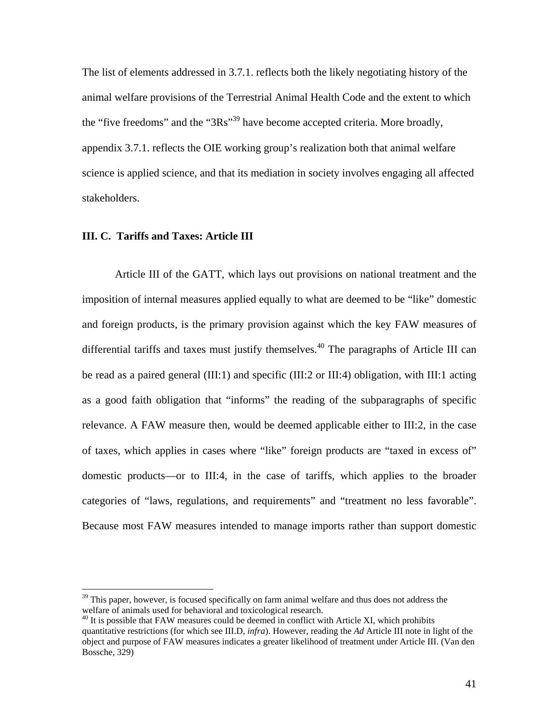The list of elements addressed in 3.7.1. reflects both the likely negotiating history of the animal welfare provisions of the Terrestrial Animal Health Code and the extent to which the "five freedoms" and the "3Rs"39 have become accepted criteria. More broadly, appendix 3.7.1. reflects the OIE working group's realization both that animal welfare science is applied science, and that its mediation in society involves engaging all affected stakeholders.

# **III. C. Tariffs and Taxes: Article III**

 $\overline{a}$ 

Article III of the GATT, which lays out provisions on national treatment and the imposition of internal measures applied equally to what are deemed to be "like" domestic and foreign products, is the primary provision against which the key FAW measures of differential tariffs and taxes must justify themselves.<sup>40</sup> The paragraphs of Article III can be read as a paired general (III:1) and specific (III:2 or III:4) obligation, with III:1 acting as a good faith obligation that "informs" the reading of the subparagraphs of specific relevance. A FAW measure then, would be deemed applicable either to III:2, in the case of taxes, which applies in cases where "like" foreign products are "taxed in excess of" domestic products—or to III:4, in the case of tariffs, which applies to the broader categories of "laws, regulations, and requirements" and "treatment no less favorable". Because most FAW measures intended to manage imports rather than support domestic

<sup>&</sup>lt;sup>39</sup> This paper, however, is focused specifically on farm animal welfare and thus does not address the welfare of animals used for behavioral and toxicological research.<br><sup>40</sup> It is possible that FAW measures could be deemed in conflict with Article XI, which prohibits

quantitative restrictions (for which see III.D, *infra*). However, reading the *Ad* Article III note in light of the object and purpose of FAW measures indicates a greater likelihood of treatment under Article III. (Van den Bossche, 329)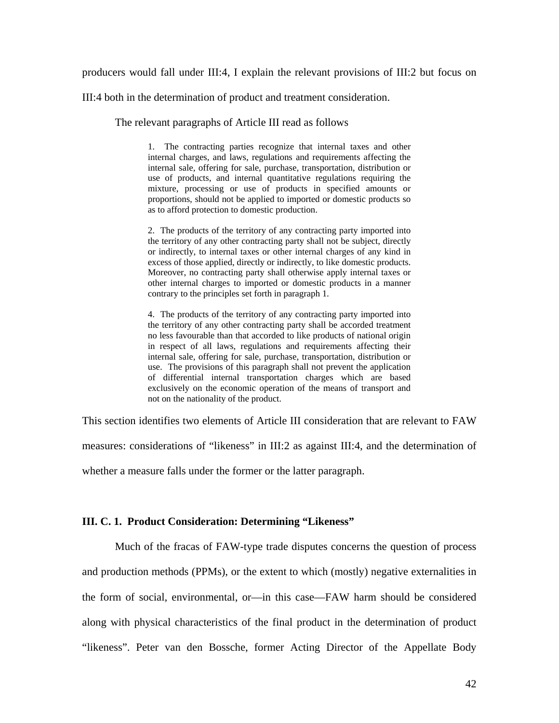producers would fall under III:4, I explain the relevant provisions of III:2 but focus on

III:4 both in the determination of product and treatment consideration.

The relevant paragraphs of Article III read as follows

1. The contracting parties recognize that internal taxes and other internal charges, and laws, regulations and requirements affecting the internal sale, offering for sale, purchase, transportation, distribution or use of products, and internal quantitative regulations requiring the mixture, processing or use of products in specified amounts or proportions, should not be applied to imported or domestic products so as to afford protection to domestic production.

2. The products of the territory of any contracting party imported into the territory of any other contracting party shall not be subject, directly or indirectly, to internal taxes or other internal charges of any kind in excess of those applied, directly or indirectly, to like domestic products. Moreover, no contracting party shall otherwise apply internal taxes or other internal charges to imported or domestic products in a manner contrary to the principles set forth in paragraph 1.

4. The products of the territory of any contracting party imported into the territory of any other contracting party shall be accorded treatment no less favourable than that accorded to like products of national origin in respect of all laws, regulations and requirements affecting their internal sale, offering for sale, purchase, transportation, distribution or use. The provisions of this paragraph shall not prevent the application of differential internal transportation charges which are based exclusively on the economic operation of the means of transport and not on the nationality of the product.

This section identifies two elements of Article III consideration that are relevant to FAW measures: considerations of "likeness" in III:2 as against III:4, and the determination of whether a measure falls under the former or the latter paragraph.

#### **III. C. 1. Product Consideration: Determining "Likeness"**

 Much of the fracas of FAW-type trade disputes concerns the question of process and production methods (PPMs), or the extent to which (mostly) negative externalities in the form of social, environmental, or—in this case—FAW harm should be considered along with physical characteristics of the final product in the determination of product "likeness". Peter van den Bossche, former Acting Director of the Appellate Body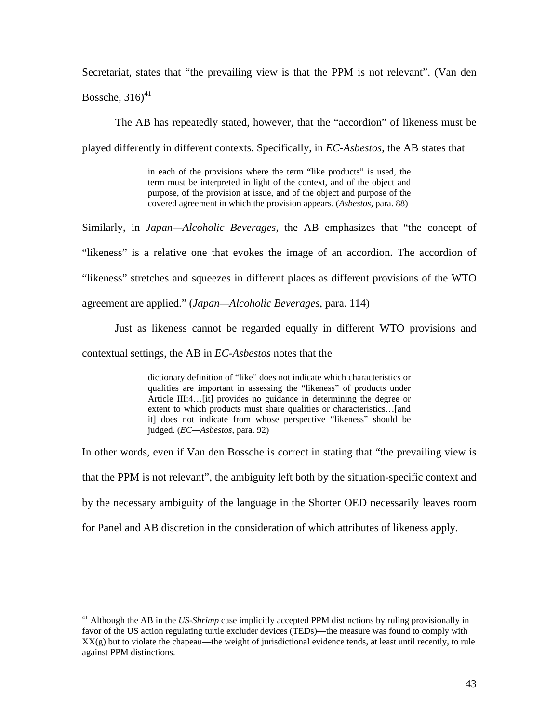Secretariat, states that "the prevailing view is that the PPM is not relevant". (Van den

Bossche, 316) $41$ 

 $\overline{a}$ 

The AB has repeatedly stated, however, that the "accordion" of likeness must be

played differently in different contexts. Specifically, in *EC-Asbestos*, the AB states that

in each of the provisions where the term "like products" is used, the term must be interpreted in light of the context, and of the object and purpose, of the provision at issue, and of the object and purpose of the covered agreement in which the provision appears. (*Asbestos*, para. 88)

Similarly, in *Japan—Alcoholic Beverages*, the AB emphasizes that "the concept of "likeness" is a relative one that evokes the image of an accordion. The accordion of "likeness" stretches and squeezes in different places as different provisions of the WTO agreement are applied." (*Japan—Alcoholic Beverages*, para. 114)

 Just as likeness cannot be regarded equally in different WTO provisions and contextual settings, the AB in *EC-Asbestos* notes that the

> dictionary definition of "like" does not indicate which characteristics or qualities are important in assessing the "likeness" of products under Article III:4…[it] provides no guidance in determining the degree or extent to which products must share qualities or characteristics…[and it] does not indicate from whose perspective "likeness" should be judged. (*EC—Asbestos*, para. 92)

In other words, even if Van den Bossche is correct in stating that "the prevailing view is that the PPM is not relevant", the ambiguity left both by the situation-specific context and by the necessary ambiguity of the language in the Shorter OED necessarily leaves room for Panel and AB discretion in the consideration of which attributes of likeness apply.

<sup>&</sup>lt;sup>41</sup> Although the AB in the *US-Shrimp* case implicitly accepted PPM distinctions by ruling provisionally in favor of the US action regulating turtle excluder devices (TEDs)—the measure was found to comply with  $XX(g)$  but to violate the chapeau—the weight of jurisdictional evidence tends, at least until recently, to rule against PPM distinctions.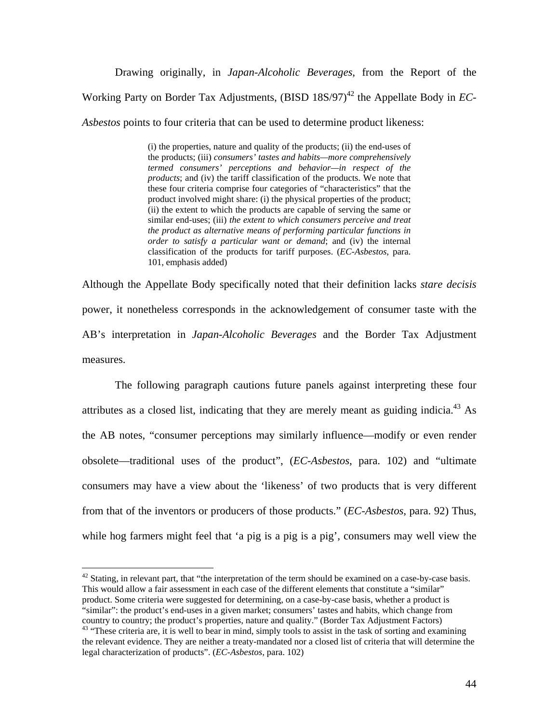Drawing originally, in *Japan-Alcoholic Beverages*, from the Report of the Working Party on Border Tax Adjustments, (BISD 18S/97)<sup>42</sup> the Appellate Body in *EC*-*Asbestos* points to four criteria that can be used to determine product likeness:

> (i) the properties, nature and quality of the products; (ii) the end-uses of the products; (iii) *consumers' tastes and habits—more comprehensively termed consumers' perceptions and behavior—in respect of the products*; and (iv) the tariff classification of the products. We note that these four criteria comprise four categories of "characteristics" that the product involved might share: (i) the physical properties of the product; (ii) the extent to which the products are capable of serving the same or similar end-uses; (iii) *the extent to which consumers perceive and treat the product as alternative means of performing particular functions in order to satisfy a particular want or demand*; and (iv) the internal classification of the products for tariff purposes. (*EC-Asbestos*, para. 101, emphasis added)

Although the Appellate Body specifically noted that their definition lacks *stare decisis* power, it nonetheless corresponds in the acknowledgement of consumer taste with the AB's interpretation in *Japan-Alcoholic Beverages* and the Border Tax Adjustment measures.

The following paragraph cautions future panels against interpreting these four attributes as a closed list, indicating that they are merely meant as guiding indicia.<sup>43</sup> As the AB notes, "consumer perceptions may similarly influence—modify or even render obsolete—traditional uses of the product", (*EC-Asbestos*, para. 102) and "ultimate consumers may have a view about the 'likeness' of two products that is very different from that of the inventors or producers of those products." (*EC-Asbestos*, para. 92) Thus, while hog farmers might feel that 'a pig is a pig is a pig', consumers may well view the

<sup>42</sup> Stating, in relevant part, that "the interpretation of the term should be examined on a case-by-case basis. This would allow a fair assessment in each case of the different elements that constitute a "similar" product. Some criteria were suggested for determining, on a case-by-case basis, whether a product is "similar": the product's end-uses in a given market; consumers' tastes and habits, which change from country to country; the product's properties, nature and quality." (Border Tax Adjustment Factors) 43 "These criteria are, it is well to bear in mind, simply tools to assist in the task of sorting and examining

 $\overline{a}$ 

the relevant evidence. They are neither a treaty-mandated nor a closed list of criteria that will determine the legal characterization of products". (*EC-Asbestos*, para. 102)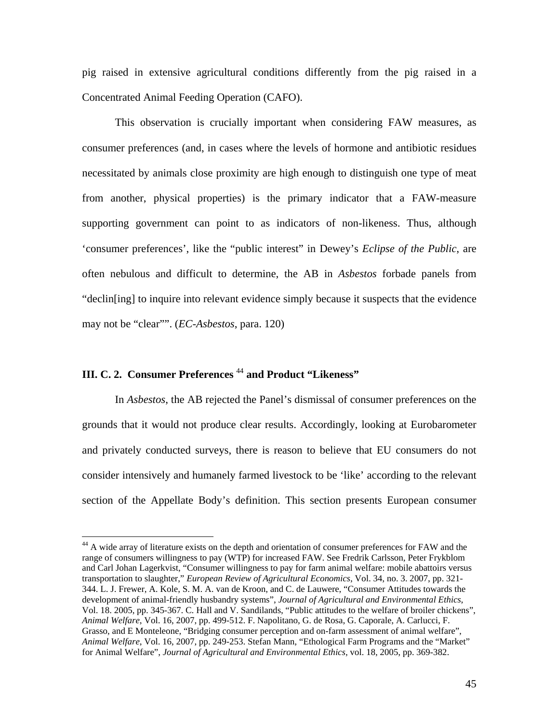pig raised in extensive agricultural conditions differently from the pig raised in a Concentrated Animal Feeding Operation (CAFO).

 This observation is crucially important when considering FAW measures, as consumer preferences (and, in cases where the levels of hormone and antibiotic residues necessitated by animals close proximity are high enough to distinguish one type of meat from another, physical properties) is the primary indicator that a FAW-measure supporting government can point to as indicators of non-likeness. Thus, although 'consumer preferences', like the "public interest" in Dewey's *Eclipse of the Public*, are often nebulous and difficult to determine, the AB in *Asbestos* forbade panels from "declin[ing] to inquire into relevant evidence simply because it suspects that the evidence may not be "clear"". (*EC-Asbestos*, para. 120)

# **III. C. 2. Consumer Preferences** <sup>44</sup> **and Product "Likeness"**

 $\overline{a}$ 

In *Asbestos*, the AB rejected the Panel's dismissal of consumer preferences on the grounds that it would not produce clear results. Accordingly, looking at Eurobarometer and privately conducted surveys, there is reason to believe that EU consumers do not consider intensively and humanely farmed livestock to be 'like' according to the relevant section of the Appellate Body's definition. This section presents European consumer

<sup>&</sup>lt;sup>44</sup> A wide array of literature exists on the depth and orientation of consumer preferences for FAW and the range of consumers willingness to pay (WTP) for increased FAW. See Fredrik Carlsson, Peter Frykblom and Carl Johan Lagerkvist, "Consumer willingness to pay for farm animal welfare: mobile abattoirs versus transportation to slaughter," *European Review of Agricultural Economics*, Vol. 34, no. 3. 2007, pp. 321- 344. L. J. Frewer, A. Kole, S. M. A. van de Kroon, and C. de Lauwere, "Consumer Attitudes towards the development of animal-friendly husbandry systems", *Journal of Agricultural and Environmental Ethics*, Vol. 18. 2005, pp. 345-367. C. Hall and V. Sandilands, "Public attitudes to the welfare of broiler chickens", *Animal Welfare*, Vol. 16, 2007, pp. 499-512. F. Napolitano, G. de Rosa, G. Caporale, A. Carlucci, F. Grasso, and E Monteleone, "Bridging consumer perception and on-farm assessment of animal welfare", *Animal Welfare*, Vol. 16, 2007, pp. 249-253. Stefan Mann, "Ethological Farm Programs and the "Market" for Animal Welfare", *Journal of Agricultural and Environmental Ethics*, vol. 18, 2005, pp. 369-382.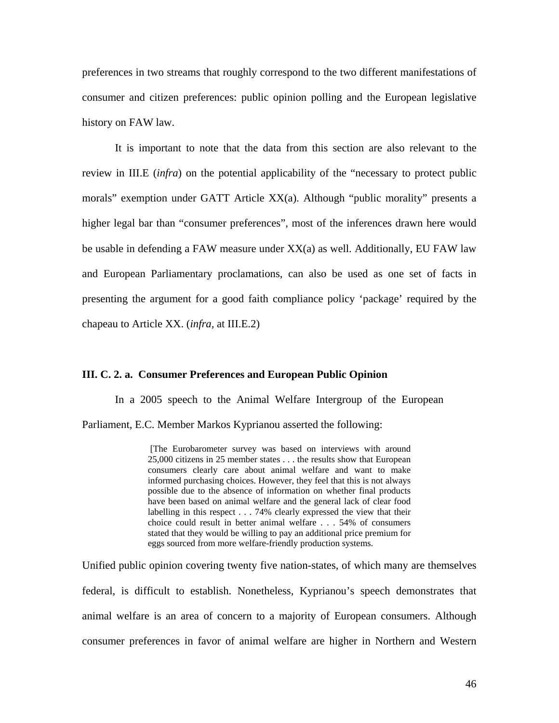preferences in two streams that roughly correspond to the two different manifestations of consumer and citizen preferences: public opinion polling and the European legislative history on FAW law.

 It is important to note that the data from this section are also relevant to the review in III.E (*infra*) on the potential applicability of the "necessary to protect public morals" exemption under GATT Article XX(a). Although "public morality" presents a higher legal bar than "consumer preferences", most of the inferences drawn here would be usable in defending a FAW measure under  $XX(a)$  as well. Additionally, EU FAW law and European Parliamentary proclamations, can also be used as one set of facts in presenting the argument for a good faith compliance policy 'package' required by the chapeau to Article XX. (*infra,* at III.E.2)

### **III. C. 2. a. Consumer Preferences and European Public Opinion**

In a 2005 speech to the Animal Welfare Intergroup of the European Parliament, E.C. Member Markos Kyprianou asserted the following:

> [The Eurobarometer survey was based on interviews with around 25,000 citizens in 25 member states . . . the results show that European consumers clearly care about animal welfare and want to make informed purchasing choices. However, they feel that this is not always possible due to the absence of information on whether final products have been based on animal welfare and the general lack of clear food labelling in this respect . . . 74% clearly expressed the view that their choice could result in better animal welfare . . . 54% of consumers stated that they would be willing to pay an additional price premium for eggs sourced from more welfare-friendly production systems.

Unified public opinion covering twenty five nation-states, of which many are themselves federal, is difficult to establish. Nonetheless, Kyprianou's speech demonstrates that animal welfare is an area of concern to a majority of European consumers. Although consumer preferences in favor of animal welfare are higher in Northern and Western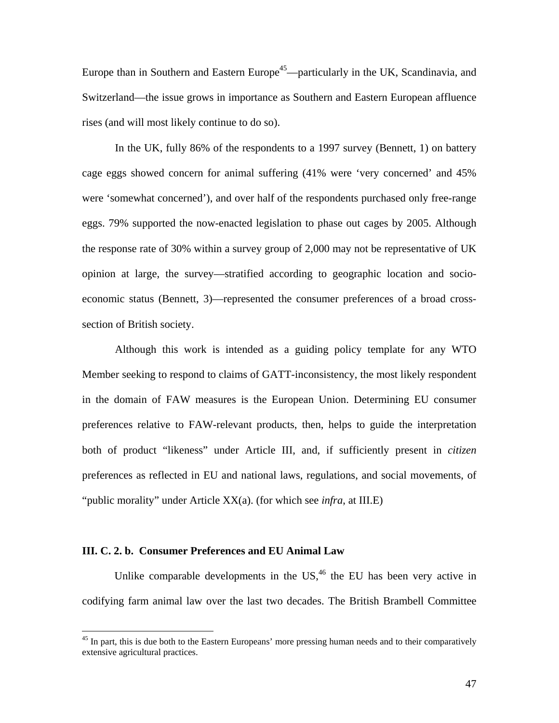Europe than in Southern and Eastern Europe<sup>45</sup>—particularly in the UK, Scandinavia, and Switzerland—the issue grows in importance as Southern and Eastern European affluence rises (and will most likely continue to do so).

 In the UK, fully 86% of the respondents to a 1997 survey (Bennett, 1) on battery cage eggs showed concern for animal suffering (41% were 'very concerned' and 45% were 'somewhat concerned'), and over half of the respondents purchased only free-range eggs. 79% supported the now-enacted legislation to phase out cages by 2005. Although the response rate of 30% within a survey group of 2,000 may not be representative of UK opinion at large, the survey—stratified according to geographic location and socioeconomic status (Bennett, 3)—represented the consumer preferences of a broad crosssection of British society.

Although this work is intended as a guiding policy template for any WTO Member seeking to respond to claims of GATT-inconsistency, the most likely respondent in the domain of FAW measures is the European Union. Determining EU consumer preferences relative to FAW-relevant products, then, helps to guide the interpretation both of product "likeness" under Article III, and, if sufficiently present in *citizen*  preferences as reflected in EU and national laws, regulations, and social movements, of "public morality" under Article XX(a). (for which see *infra*, at III.E)

### **III. C. 2. b. Consumer Preferences and EU Animal Law**

 $\overline{a}$ 

Unlike comparable developments in the  $US<sub>1</sub><sup>46</sup>$  the EU has been very active in codifying farm animal law over the last two decades. The British Brambell Committee

<sup>&</sup>lt;sup>45</sup> In part, this is due both to the Eastern Europeans' more pressing human needs and to their comparatively extensive agricultural practices.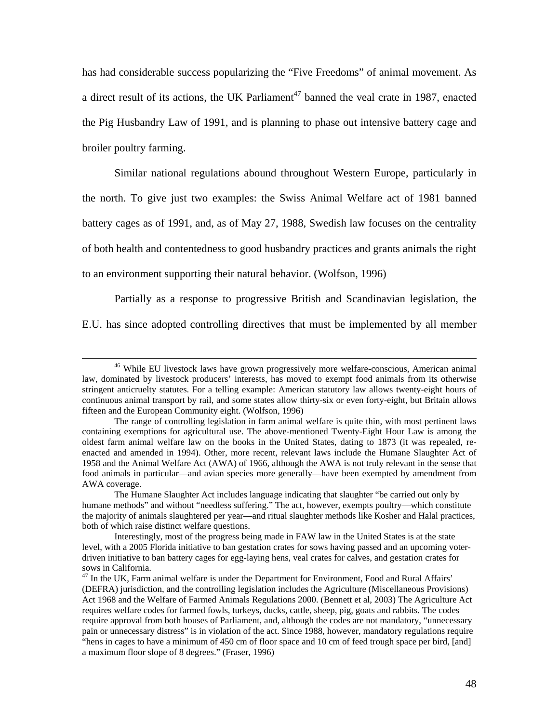has had considerable success popularizing the "Five Freedoms" of animal movement. As a direct result of its actions, the UK Parliament<sup>47</sup> banned the veal crate in 1987, enacted the Pig Husbandry Law of 1991, and is planning to phase out intensive battery cage and broiler poultry farming.

Similar national regulations abound throughout Western Europe, particularly in the north. To give just two examples: the Swiss Animal Welfare act of 1981 banned battery cages as of 1991, and, as of May 27, 1988, Swedish law focuses on the centrality of both health and contentedness to good husbandry practices and grants animals the right to an environment supporting their natural behavior. (Wolfson, 1996)

Partially as a response to progressive British and Scandinavian legislation, the E.U. has since adopted controlling directives that must be implemented by all member

<sup>&</sup>lt;sup>46</sup> While EU livestock laws have grown progressively more welfare-conscious, American animal law, dominated by livestock producers' interests, has moved to exempt food animals from its otherwise stringent anticruelty statutes. For a telling example: American statutory law allows twenty-eight hours of continuous animal transport by rail, and some states allow thirty-six or even forty-eight, but Britain allows fifteen and the European Community eight. (Wolfson, 1996)

The range of controlling legislation in farm animal welfare is quite thin, with most pertinent laws containing exemptions for agricultural use. The above-mentioned Twenty-Eight Hour Law is among the oldest farm animal welfare law on the books in the United States, dating to 1873 (it was repealed, reenacted and amended in 1994). Other, more recent, relevant laws include the Humane Slaughter Act of 1958 and the Animal Welfare Act (AWA) of 1966, although the AWA is not truly relevant in the sense that food animals in particular—and avian species more generally—have been exempted by amendment from AWA coverage.

The Humane Slaughter Act includes language indicating that slaughter "be carried out only by humane methods" and without "needless suffering." The act, however, exempts poultry—which constitute the majority of animals slaughtered per year—and ritual slaughter methods like Kosher and Halal practices, both of which raise distinct welfare questions.

Interestingly, most of the progress being made in FAW law in the United States is at the state level, with a 2005 Florida initiative to ban gestation crates for sows having passed and an upcoming voterdriven initiative to ban battery cages for egg-laying hens, veal crates for calves, and gestation crates for sows in California.

<sup>&</sup>lt;sup>47</sup> In the UK, Farm animal welfare is under the Department for Environment, Food and Rural Affairs' (DEFRA) jurisdiction, and the controlling legislation includes the Agriculture (Miscellaneous Provisions) Act 1968 and the Welfare of Farmed Animals Regulations 2000. (Bennett et al, 2003) The Agriculture Act requires welfare codes for farmed fowls, turkeys, ducks, cattle, sheep, pig, goats and rabbits. The codes require approval from both houses of Parliament, and, although the codes are not mandatory, "unnecessary pain or unnecessary distress" is in violation of the act. Since 1988, however, mandatory regulations require "hens in cages to have a minimum of 450 cm of floor space and 10 cm of feed trough space per bird, [and] a maximum floor slope of 8 degrees." (Fraser, 1996)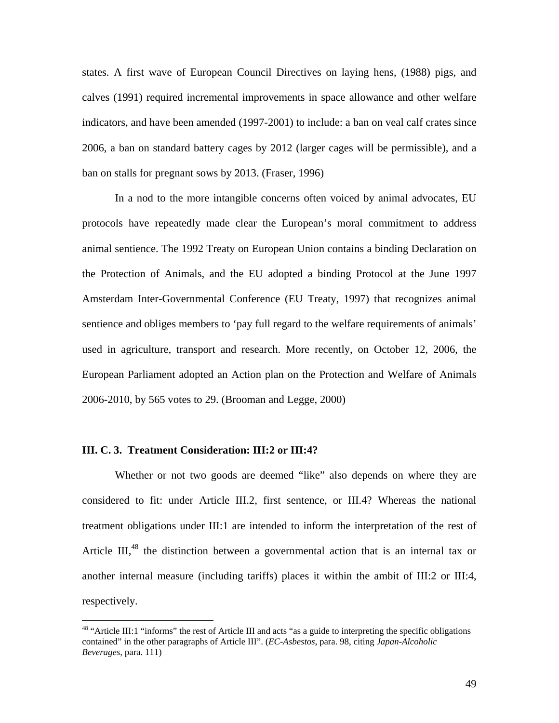states. A first wave of European Council Directives on laying hens, (1988) pigs, and calves (1991) required incremental improvements in space allowance and other welfare indicators, and have been amended (1997-2001) to include: a ban on veal calf crates since 2006, a ban on standard battery cages by 2012 (larger cages will be permissible), and a ban on stalls for pregnant sows by 2013. (Fraser, 1996)

In a nod to the more intangible concerns often voiced by animal advocates, EU protocols have repeatedly made clear the European's moral commitment to address animal sentience. The 1992 Treaty on European Union contains a binding Declaration on the Protection of Animals, and the EU adopted a binding Protocol at the June 1997 Amsterdam Inter-Governmental Conference (EU Treaty, 1997) that recognizes animal sentience and obliges members to 'pay full regard to the welfare requirements of animals' used in agriculture, transport and research. More recently, on October 12, 2006, the European Parliament adopted an Action plan on the Protection and Welfare of Animals 2006-2010, by 565 votes to 29. (Brooman and Legge, 2000)

### **III. C. 3. Treatment Consideration: III:2 or III:4?**

1

Whether or not two goods are deemed "like" also depends on where they are considered to fit: under Article III.2, first sentence, or III.4? Whereas the national treatment obligations under III:1 are intended to inform the interpretation of the rest of Article III,<sup>48</sup> the distinction between a governmental action that is an internal tax or another internal measure (including tariffs) places it within the ambit of III:2 or III:4, respectively.

<sup>&</sup>lt;sup>48</sup> "Article III:1 "informs" the rest of Article III and acts "as a guide to interpreting the specific obligations contained" in the other paragraphs of Article III". (*EC-Asbestos*, para. 98, citing *Japan-Alcoholic Beverages*, para. 111)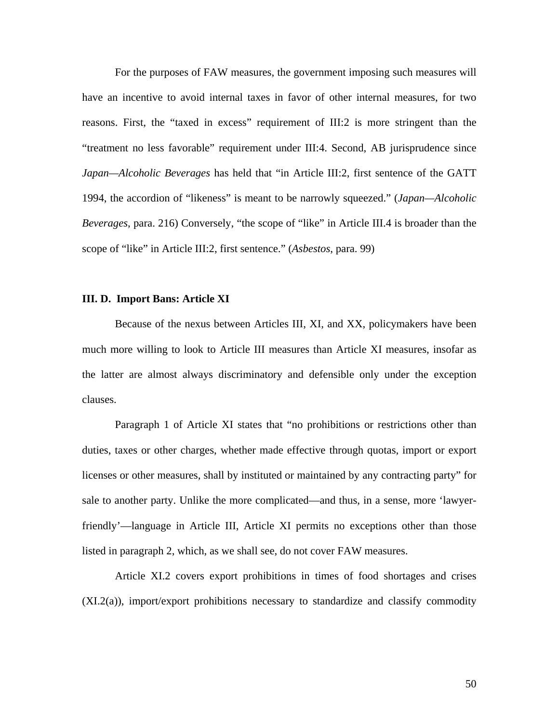For the purposes of FAW measures, the government imposing such measures will have an incentive to avoid internal taxes in favor of other internal measures, for two reasons. First, the "taxed in excess" requirement of III:2 is more stringent than the "treatment no less favorable" requirement under III:4. Second, AB jurisprudence since *Japan—Alcoholic Beverages* has held that "in Article III:2, first sentence of the GATT 1994, the accordion of "likeness" is meant to be narrowly squeezed." (*Japan—Alcoholic Beverages*, para. 216) Conversely, "the scope of "like" in Article III.4 is broader than the scope of "like" in Article III:2, first sentence." (*Asbestos*, para. 99)

#### **III. D. Import Bans: Article XI**

Because of the nexus between Articles III, XI, and XX, policymakers have been much more willing to look to Article III measures than Article XI measures, insofar as the latter are almost always discriminatory and defensible only under the exception clauses.

 Paragraph 1 of Article XI states that "no prohibitions or restrictions other than duties, taxes or other charges, whether made effective through quotas, import or export licenses or other measures, shall by instituted or maintained by any contracting party" for sale to another party. Unlike the more complicated—and thus, in a sense, more 'lawyerfriendly'—language in Article III, Article XI permits no exceptions other than those listed in paragraph 2, which, as we shall see, do not cover FAW measures.

 Article XI.2 covers export prohibitions in times of food shortages and crises (XI.2(a)), import/export prohibitions necessary to standardize and classify commodity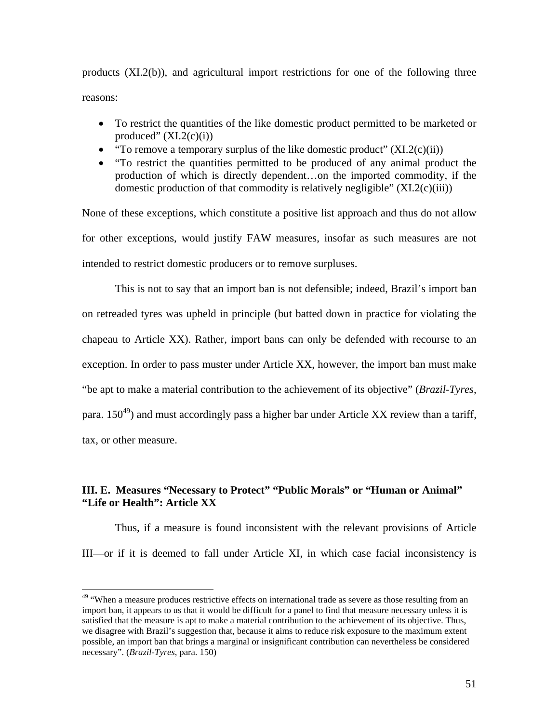products (XI.2(b)), and agricultural import restrictions for one of the following three reasons:

- To restrict the quantities of the like domestic product permitted to be marketed or produced"  $(XI.2(c)(i))$
- "To remove a temporary surplus of the like domestic product"  $(XI.2(c)(ii))$
- "To restrict the quantities permitted to be produced of any animal product the production of which is directly dependent…on the imported commodity, if the domestic production of that commodity is relatively negligible"  $(XI.2(c)(iii))$

None of these exceptions, which constitute a positive list approach and thus do not allow for other exceptions, would justify FAW measures, insofar as such measures are not intended to restrict domestic producers or to remove surpluses.

 This is not to say that an import ban is not defensible; indeed, Brazil's import ban on retreaded tyres was upheld in principle (but batted down in practice for violating the chapeau to Article XX). Rather, import bans can only be defended with recourse to an exception. In order to pass muster under Article XX, however, the import ban must make "be apt to make a material contribution to the achievement of its objective" (*Brazil-Tyres*, para. 150<sup>49</sup>) and must accordingly pass a higher bar under Article XX review than a tariff, tax, or other measure.

# **III. E. Measures "Necessary to Protect" "Public Morals" or "Human or Animal" "Life or Health": Article XX**

Thus, if a measure is found inconsistent with the relevant provisions of Article III—or if it is deemed to fall under Article XI, in which case facial inconsistency is

1

<sup>&</sup>lt;sup>49</sup> "When a measure produces restrictive effects on international trade as severe as those resulting from an import ban, it appears to us that it would be difficult for a panel to find that measure necessary unless it is satisfied that the measure is apt to make a material contribution to the achievement of its objective. Thus, we disagree with Brazil's suggestion that, because it aims to reduce risk exposure to the maximum extent possible, an import ban that brings a marginal or insignificant contribution can nevertheless be considered necessary". (*Brazil-Tyres*, para. 150)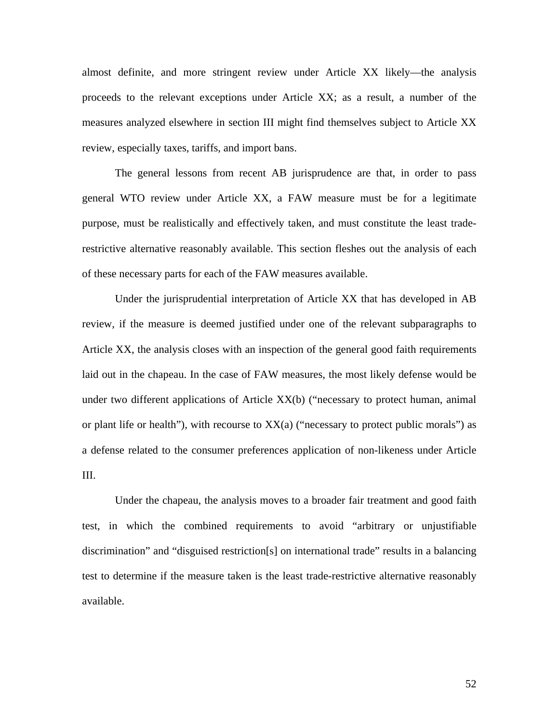almost definite, and more stringent review under Article XX likely—the analysis proceeds to the relevant exceptions under Article XX; as a result, a number of the measures analyzed elsewhere in section III might find themselves subject to Article XX review, especially taxes, tariffs, and import bans.

The general lessons from recent AB jurisprudence are that, in order to pass general WTO review under Article XX, a FAW measure must be for a legitimate purpose, must be realistically and effectively taken, and must constitute the least traderestrictive alternative reasonably available. This section fleshes out the analysis of each of these necessary parts for each of the FAW measures available.

Under the jurisprudential interpretation of Article XX that has developed in AB review, if the measure is deemed justified under one of the relevant subparagraphs to Article XX, the analysis closes with an inspection of the general good faith requirements laid out in the chapeau. In the case of FAW measures, the most likely defense would be under two different applications of Article  $XX(b)$  ("necessary to protect human, animal or plant life or health"), with recourse to  $XX(a)$  ("necessary to protect public morals") as a defense related to the consumer preferences application of non-likeness under Article III.

Under the chapeau, the analysis moves to a broader fair treatment and good faith test, in which the combined requirements to avoid "arbitrary or unjustifiable discrimination" and "disguised restriction[s] on international trade" results in a balancing test to determine if the measure taken is the least trade-restrictive alternative reasonably available.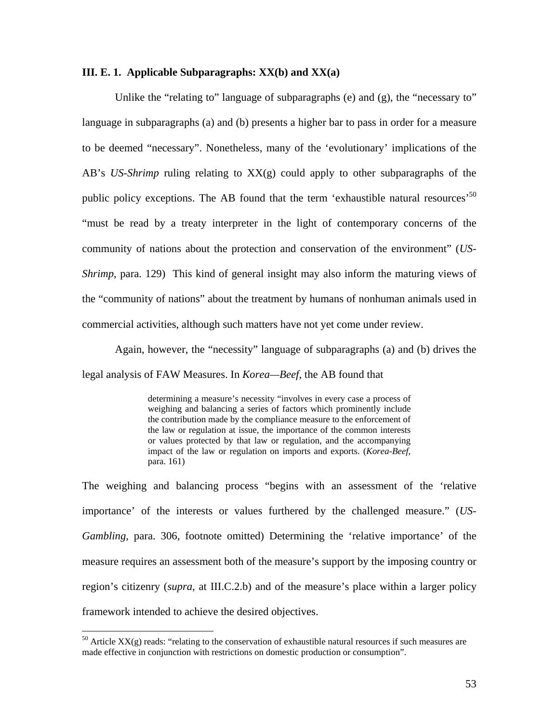#### **III. E. 1. Applicable Subparagraphs: XX(b) and XX(a)**

Unlike the "relating to" language of subparagraphs (e) and (g), the "necessary to" language in subparagraphs (a) and (b) presents a higher bar to pass in order for a measure to be deemed "necessary". Nonetheless, many of the 'evolutionary' implications of the AB's *US-Shrimp* ruling relating to  $XX(g)$  could apply to other subparagraphs of the public policy exceptions. The AB found that the term 'exhaustible natural resources'<sup>50</sup> "must be read by a treaty interpreter in the light of contemporary concerns of the community of nations about the protection and conservation of the environment" (*US-Shrimp*, para. 129) This kind of general insight may also inform the maturing views of the "community of nations" about the treatment by humans of nonhuman animals used in commercial activities, although such matters have not yet come under review.

 Again, however, the "necessity" language of subparagraphs (a) and (b) drives the legal analysis of FAW Measures. In *Korea—Beef*, the AB found that

> determining a measure's necessity "involves in every case a process of weighing and balancing a series of factors which prominently include the contribution made by the compliance measure to the enforcement of the law or regulation at issue, the importance of the common interests or values protected by that law or regulation, and the accompanying impact of the law or regulation on imports and exports. (*Korea-Beef*, para. 161)

The weighing and balancing process "begins with an assessment of the 'relative importance' of the interests or values furthered by the challenged measure." (*US-Gambling*, para. 306, footnote omitted) Determining the 'relative importance' of the measure requires an assessment both of the measure's support by the imposing country or region's citizenry (*supra*, at III.C.2.b) and of the measure's place within a larger policy framework intended to achieve the desired objectives.

1

 $50$  Article XX(g) reads: "relating to the conservation of exhaustible natural resources if such measures are made effective in conjunction with restrictions on domestic production or consumption".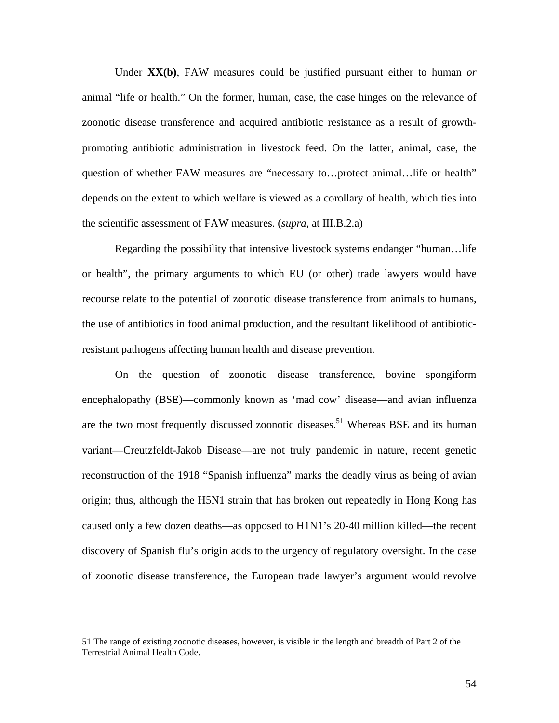Under **XX(b)**, FAW measures could be justified pursuant either to human *or* animal "life or health." On the former, human, case, the case hinges on the relevance of zoonotic disease transference and acquired antibiotic resistance as a result of growthpromoting antibiotic administration in livestock feed. On the latter, animal, case, the question of whether FAW measures are "necessary to...protect animal...life or health" depends on the extent to which welfare is viewed as a corollary of health, which ties into the scientific assessment of FAW measures. (*supra,* at III.B.2.a)

Regarding the possibility that intensive livestock systems endanger "human…life or health", the primary arguments to which EU (or other) trade lawyers would have recourse relate to the potential of zoonotic disease transference from animals to humans, the use of antibiotics in food animal production, and the resultant likelihood of antibioticresistant pathogens affecting human health and disease prevention.

 On the question of zoonotic disease transference, bovine spongiform encephalopathy (BSE)—commonly known as 'mad cow' disease—and avian influenza are the two most frequently discussed zoonotic diseases.<sup>51</sup> Whereas BSE and its human variant—Creutzfeldt-Jakob Disease—are not truly pandemic in nature, recent genetic reconstruction of the 1918 "Spanish influenza" marks the deadly virus as being of avian origin; thus, although the H5N1 strain that has broken out repeatedly in Hong Kong has caused only a few dozen deaths—as opposed to H1N1's 20-40 million killed—the recent discovery of Spanish flu's origin adds to the urgency of regulatory oversight. In the case of zoonotic disease transference, the European trade lawyer's argument would revolve

 $\overline{a}$ 

<sup>51</sup> The range of existing zoonotic diseases, however, is visible in the length and breadth of Part 2 of the Terrestrial Animal Health Code.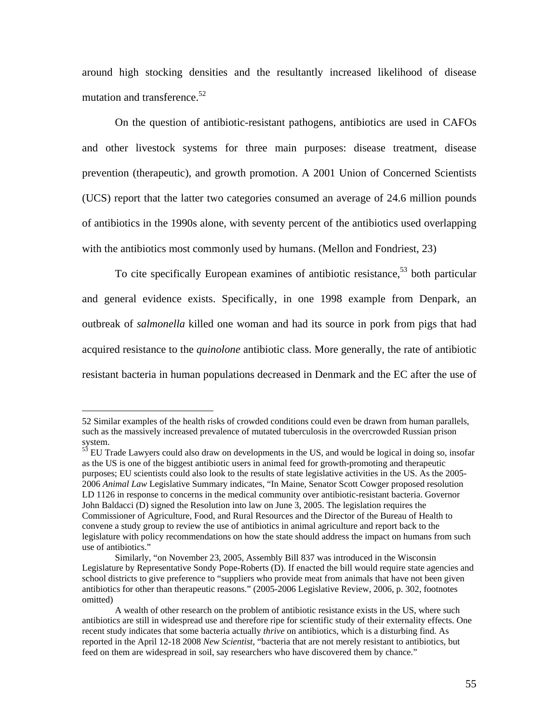around high stocking densities and the resultantly increased likelihood of disease mutation and transference.<sup>52</sup>

On the question of antibiotic-resistant pathogens, antibiotics are used in CAFOs and other livestock systems for three main purposes: disease treatment, disease prevention (therapeutic), and growth promotion. A 2001 Union of Concerned Scientists (UCS) report that the latter two categories consumed an average of 24.6 million pounds of antibiotics in the 1990s alone, with seventy percent of the antibiotics used overlapping with the antibiotics most commonly used by humans. (Mellon and Fondriest, 23)

To cite specifically European examines of antibiotic resistance,  $5<sup>3</sup>$  both particular and general evidence exists. Specifically, in one 1998 example from Denpark, an outbreak of *salmonella* killed one woman and had its source in pork from pigs that had acquired resistance to the *quinolone* antibiotic class. More generally, the rate of antibiotic resistant bacteria in human populations decreased in Denmark and the EC after the use of

 $\overline{a}$ 

<sup>52</sup> Similar examples of the health risks of crowded conditions could even be drawn from human parallels, such as the massively increased prevalence of mutated tuberculosis in the overcrowded Russian prison system.

<sup>&</sup>lt;sup>53</sup> EU Trade Lawyers could also draw on developments in the US, and would be logical in doing so, insofar as the US is one of the biggest antibiotic users in animal feed for growth-promoting and therapeutic purposes; EU scientists could also look to the results of state legislative activities in the US. As the 2005- 2006 *Animal Law* Legislative Summary indicates, "In Maine, Senator Scott Cowger proposed resolution LD 1126 in response to concerns in the medical community over antibiotic-resistant bacteria. Governor John Baldacci (D) signed the Resolution into law on June 3, 2005. The legislation requires the Commissioner of Agriculture, Food, and Rural Resources and the Director of the Bureau of Health to convene a study group to review the use of antibiotics in animal agriculture and report back to the legislature with policy recommendations on how the state should address the impact on humans from such use of antibiotics."

Similarly, "on November 23, 2005, Assembly Bill 837 was introduced in the Wisconsin Legislature by Representative Sondy Pope-Roberts (D). If enacted the bill would require state agencies and school districts to give preference to "suppliers who provide meat from animals that have not been given antibiotics for other than therapeutic reasons." (2005-2006 Legislative Review, 2006, p. 302, footnotes omitted)

A wealth of other research on the problem of antibiotic resistance exists in the US, where such antibiotics are still in widespread use and therefore ripe for scientific study of their externality effects. One recent study indicates that some bacteria actually *thrive* on antibiotics, which is a disturbing find. As reported in the April 12-18 2008 *New Scientist*, "bacteria that are not merely resistant to antibiotics, but feed on them are widespread in soil, say researchers who have discovered them by chance."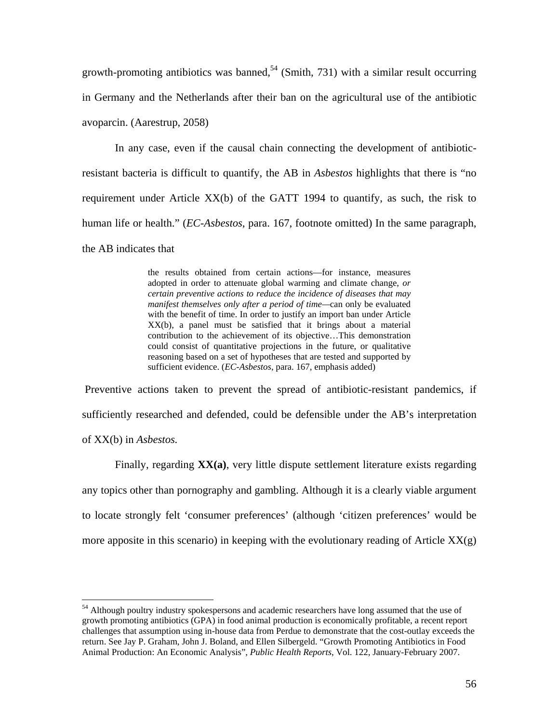growth-promoting antibiotics was banned,<sup>54</sup> (Smith, 731) with a similar result occurring in Germany and the Netherlands after their ban on the agricultural use of the antibiotic avoparcin. (Aarestrup, 2058)

In any case, even if the causal chain connecting the development of antibioticresistant bacteria is difficult to quantify, the AB in *Asbestos* highlights that there is "no requirement under Article XX(b) of the GATT 1994 to quantify, as such, the risk to human life or health." (*EC-Asbestos*, para. 167, footnote omitted) In the same paragraph, the AB indicates that

> the results obtained from certain actions—for instance, measures adopted in order to attenuate global warming and climate change, *or certain preventive actions to reduce the incidence of diseases that may manifest themselves only after a period of time—*can only be evaluated with the benefit of time. In order to justify an import ban under Article XX(b), a panel must be satisfied that it brings about a material contribution to the achievement of its objective…This demonstration could consist of quantitative projections in the future, or qualitative reasoning based on a set of hypotheses that are tested and supported by sufficient evidence. (*EC-Asbestos*, para. 167, emphasis added)

 Preventive actions taken to prevent the spread of antibiotic-resistant pandemics, if sufficiently researched and defended, could be defensible under the AB's interpretation of XX(b) in *Asbestos.* 

Finally, regarding **XX(a)**, very little dispute settlement literature exists regarding any topics other than pornography and gambling. Although it is a clearly viable argument to locate strongly felt 'consumer preferences' (although 'citizen preferences' would be more apposite in this scenario) in keeping with the evolutionary reading of Article  $XX(g)$ 

1

<sup>&</sup>lt;sup>54</sup> Although poultry industry spokespersons and academic researchers have long assumed that the use of growth promoting antibiotics (GPA) in food animal production is economically profitable, a recent report challenges that assumption using in-house data from Perdue to demonstrate that the cost-outlay exceeds the return. See Jay P. Graham, John J. Boland, and Ellen Silbergeld. "Growth Promoting Antibiotics in Food Animal Production: An Economic Analysis", *Public Health Reports*, Vol. 122, January-February 2007.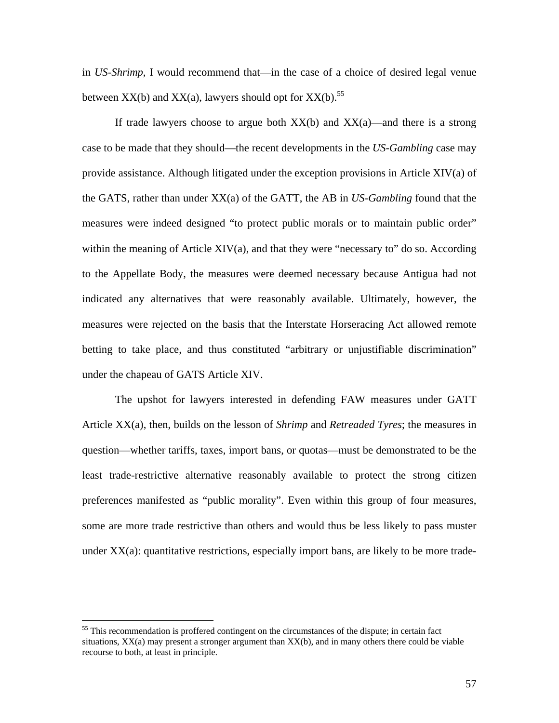in *US-Shrimp*, I would recommend that—in the case of a choice of desired legal venue between  $XX(b)$  and  $XX(a)$ , lawyers should opt for  $XX(b)$ .<sup>55</sup>

If trade lawyers choose to argue both  $XX(b)$  and  $XX(a)$ —and there is a strong case to be made that they should—the recent developments in the *US-Gambling* case may provide assistance. Although litigated under the exception provisions in Article XIV(a) of the GATS, rather than under XX(a) of the GATT, the AB in *US-Gambling* found that the measures were indeed designed "to protect public morals or to maintain public order" within the meaning of Article XIV(a), and that they were "necessary to" do so. According to the Appellate Body, the measures were deemed necessary because Antigua had not indicated any alternatives that were reasonably available. Ultimately, however, the measures were rejected on the basis that the Interstate Horseracing Act allowed remote betting to take place, and thus constituted "arbitrary or unjustifiable discrimination" under the chapeau of GATS Article XIV.

 The upshot for lawyers interested in defending FAW measures under GATT Article XX(a), then, builds on the lesson of *Shrimp* and *Retreaded Tyres*; the measures in question—whether tariffs, taxes, import bans, or quotas—must be demonstrated to be the least trade-restrictive alternative reasonably available to protect the strong citizen preferences manifested as "public morality". Even within this group of four measures, some are more trade restrictive than others and would thus be less likely to pass muster under  $XX(a)$ : quantitative restrictions, especially import bans, are likely to be more trade-

 $\overline{a}$ 

<sup>&</sup>lt;sup>55</sup> This recommendation is proffered contingent on the circumstances of the dispute; in certain fact situations, XX(a) may present a stronger argument than XX(b), and in many others there could be viable recourse to both, at least in principle.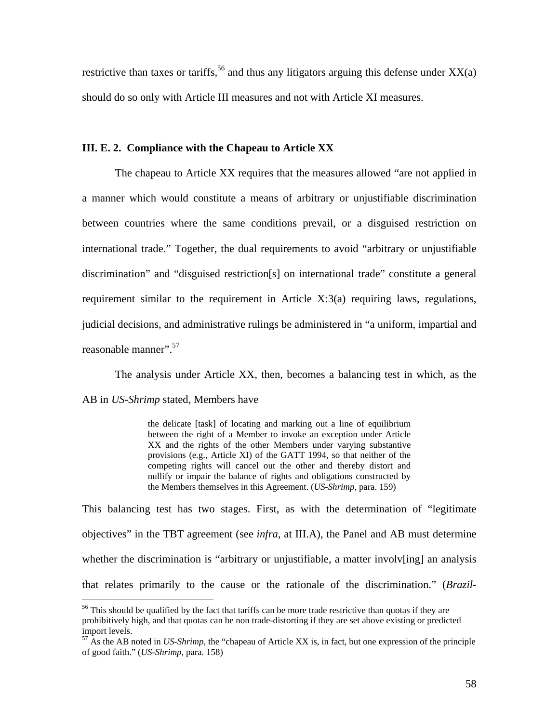restrictive than taxes or tariffs,<sup>56</sup> and thus any litigators arguing this defense under  $XX(a)$ should do so only with Article III measures and not with Article XI measures.

## **III. E. 2. Compliance with the Chapeau to Article XX**

The chapeau to Article XX requires that the measures allowed "are not applied in a manner which would constitute a means of arbitrary or unjustifiable discrimination between countries where the same conditions prevail, or a disguised restriction on international trade." Together, the dual requirements to avoid "arbitrary or unjustifiable discrimination" and "disguised restriction[s] on international trade" constitute a general requirement similar to the requirement in Article X:3(a) requiring laws, regulations, judicial decisions, and administrative rulings be administered in "a uniform, impartial and reasonable manner".<sup>57</sup>

The analysis under Article XX, then, becomes a balancing test in which, as the AB in *US-Shrimp* stated, Members have

> the delicate [task] of locating and marking out a line of equilibrium between the right of a Member to invoke an exception under Article XX and the rights of the other Members under varying substantive provisions (e.g., Article XI) of the GATT 1994, so that neither of the competing rights will cancel out the other and thereby distort and nullify or impair the balance of rights and obligations constructed by the Members themselves in this Agreement. (*US-Shrimp*, para. 159)

This balancing test has two stages. First, as with the determination of "legitimate objectives" in the TBT agreement (see *infra*, at III.A), the Panel and AB must determine whether the discrimination is "arbitrary or unjustifiable, a matter involvering an analysis that relates primarily to the cause or the rationale of the discrimination." (*Brazil-*

 $\overline{a}$ 

<sup>&</sup>lt;sup>56</sup> This should be qualified by the fact that tariffs can be more trade restrictive than quotas if they are prohibitively high, and that quotas can be non trade-distorting if they are set above existing or predicted import levels.

<sup>57</sup> As the AB noted in *US-Shrimp*, the "chapeau of Article XX is, in fact, but one expression of the principle of good faith." (*US-Shrimp*, para. 158)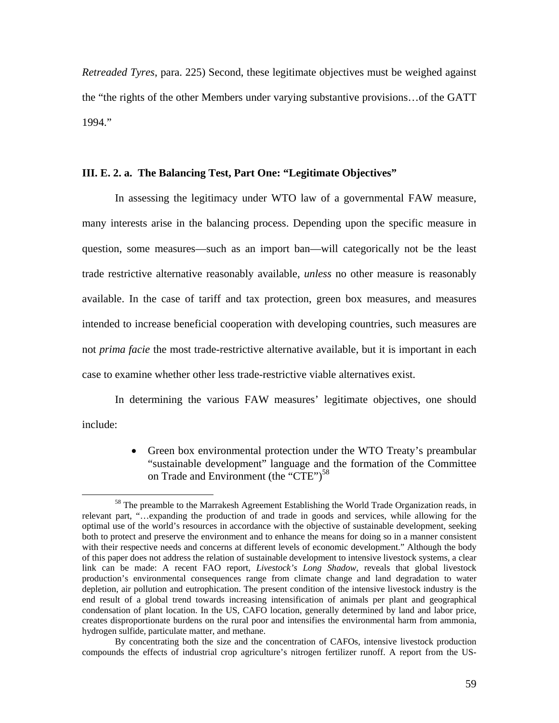*Retreaded Tyres*, para. 225) Second, these legitimate objectives must be weighed against the "the rights of the other Members under varying substantive provisions…of the GATT 1994."

# **III. E. 2. a. The Balancing Test, Part One: "Legitimate Objectives"**

 In assessing the legitimacy under WTO law of a governmental FAW measure, many interests arise in the balancing process. Depending upon the specific measure in question, some measures—such as an import ban—will categorically not be the least trade restrictive alternative reasonably available, *unless* no other measure is reasonably available. In the case of tariff and tax protection, green box measures, and measures intended to increase beneficial cooperation with developing countries, such measures are not *prima facie* the most trade-restrictive alternative available, but it is important in each case to examine whether other less trade-restrictive viable alternatives exist.

In determining the various FAW measures' legitimate objectives, one should include:

> • Green box environmental protection under the WTO Treaty's preambular "sustainable development" language and the formation of the Committee on Trade and Environment (the "CTE")<sup>58</sup>

<sup>&</sup>lt;sup>58</sup> The preamble to the Marrakesh Agreement Establishing the World Trade Organization reads, in relevant part, "…expanding the production of and trade in goods and services, while allowing for the optimal use of the world's resources in accordance with the objective of sustainable development, seeking both to protect and preserve the environment and to enhance the means for doing so in a manner consistent with their respective needs and concerns at different levels of economic development." Although the body of this paper does not address the relation of sustainable development to intensive livestock systems, a clear link can be made: A recent FAO report, *Livestock's Long Shadow*, reveals that global livestock production's environmental consequences range from climate change and land degradation to water depletion, air pollution and eutrophication. The present condition of the intensive livestock industry is the end result of a global trend towards increasing intensification of animals per plant and geographical condensation of plant location. In the US, CAFO location, generally determined by land and labor price, creates disproportionate burdens on the rural poor and intensifies the environmental harm from ammonia, hydrogen sulfide, particulate matter, and methane.

By concentrating both the size and the concentration of CAFOs, intensive livestock production compounds the effects of industrial crop agriculture's nitrogen fertilizer runoff. A report from the US-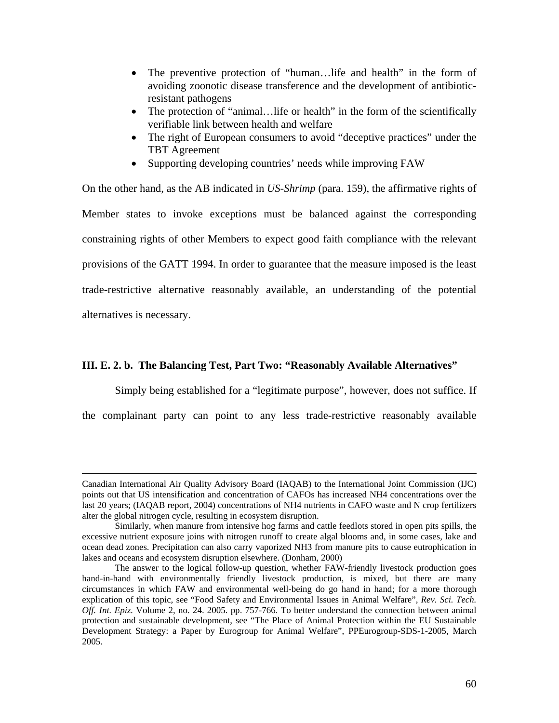- The preventive protection of "human...life and health" in the form of avoiding zoonotic disease transference and the development of antibioticresistant pathogens
- The protection of "animal... life or health" in the form of the scientifically verifiable link between health and welfare
- The right of European consumers to avoid "deceptive practices" under the TBT Agreement
- Supporting developing countries' needs while improving FAW

On the other hand, as the AB indicated in *US-Shrimp* (para. 159), the affirmative rights of Member states to invoke exceptions must be balanced against the corresponding constraining rights of other Members to expect good faith compliance with the relevant provisions of the GATT 1994. In order to guarantee that the measure imposed is the least trade-restrictive alternative reasonably available, an understanding of the potential alternatives is necessary.

# **III. E. 2. b. The Balancing Test, Part Two: "Reasonably Available Alternatives"**

Simply being established for a "legitimate purpose", however, does not suffice. If

the complainant party can point to any less trade-restrictive reasonably available

Canadian International Air Quality Advisory Board (IAQAB) to the International Joint Commission (IJC) points out that US intensification and concentration of CAFOs has increased NH4 concentrations over the last 20 years; (IAQAB report, 2004) concentrations of NH4 nutrients in CAFO waste and N crop fertilizers alter the global nitrogen cycle, resulting in ecosystem disruption.

Similarly, when manure from intensive hog farms and cattle feedlots stored in open pits spills, the excessive nutrient exposure joins with nitrogen runoff to create algal blooms and, in some cases, lake and ocean dead zones. Precipitation can also carry vaporized NH3 from manure pits to cause eutrophication in lakes and oceans and ecosystem disruption elsewhere. (Donham, 2000)

The answer to the logical follow-up question, whether FAW-friendly livestock production goes hand-in-hand with environmentally friendly livestock production, is mixed, but there are many circumstances in which FAW and environmental well-being do go hand in hand; for a more thorough explication of this topic, see "Food Safety and Environmental Issues in Animal Welfare", *Rev. Sci. Tech. Off. Int. Epiz.* Volume 2, no. 24. 2005. pp. 757-766. To better understand the connection between animal protection and sustainable development, see "The Place of Animal Protection within the EU Sustainable Development Strategy: a Paper by Eurogroup for Animal Welfare", PPEurogroup-SDS-1-2005, March 2005.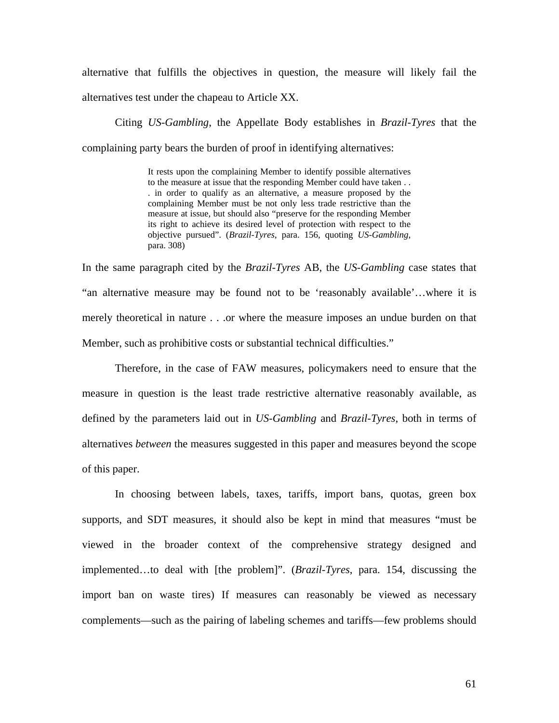alternative that fulfills the objectives in question, the measure will likely fail the alternatives test under the chapeau to Article XX.

 Citing *US-Gambling*, the Appellate Body establishes in *Brazil-Tyres* that the complaining party bears the burden of proof in identifying alternatives:

> It rests upon the complaining Member to identify possible alternatives to the measure at issue that the responding Member could have taken . . . in order to qualify as an alternative, a measure proposed by the complaining Member must be not only less trade restrictive than the measure at issue, but should also "preserve for the responding Member its right to achieve its desired level of protection with respect to the objective pursued". (*Brazil-Tyres*, para. 156, quoting *US-Gambling*, para. 308)

In the same paragraph cited by the *Brazil-Tyres* AB, the *US-Gambling* case states that "an alternative measure may be found not to be 'reasonably available'…where it is merely theoretical in nature . . .or where the measure imposes an undue burden on that Member, such as prohibitive costs or substantial technical difficulties."

 Therefore, in the case of FAW measures, policymakers need to ensure that the measure in question is the least trade restrictive alternative reasonably available, as defined by the parameters laid out in *US-Gambling* and *Brazil-Tyres*, both in terms of alternatives *between* the measures suggested in this paper and measures beyond the scope of this paper.

 In choosing between labels, taxes, tariffs, import bans, quotas, green box supports, and SDT measures, it should also be kept in mind that measures "must be viewed in the broader context of the comprehensive strategy designed and implemented…to deal with [the problem]". (*Brazil-Tyres*, para. 154, discussing the import ban on waste tires) If measures can reasonably be viewed as necessary complements—such as the pairing of labeling schemes and tariffs—few problems should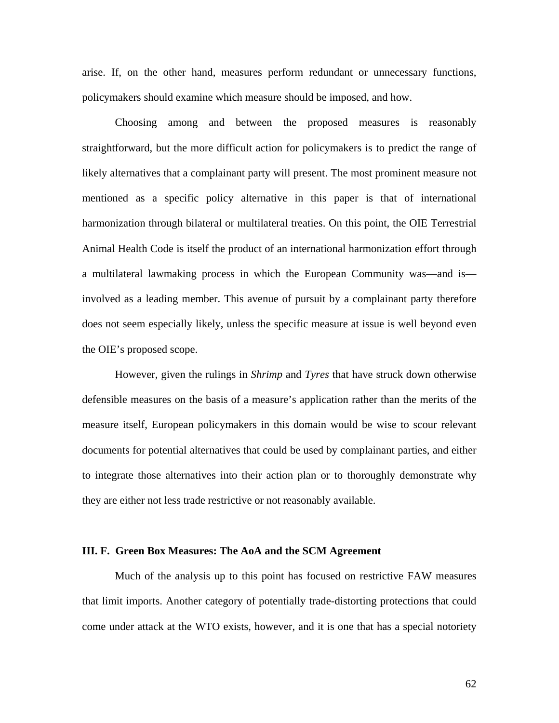arise. If, on the other hand, measures perform redundant or unnecessary functions, policymakers should examine which measure should be imposed, and how.

 Choosing among and between the proposed measures is reasonably straightforward, but the more difficult action for policymakers is to predict the range of likely alternatives that a complainant party will present. The most prominent measure not mentioned as a specific policy alternative in this paper is that of international harmonization through bilateral or multilateral treaties. On this point, the OIE Terrestrial Animal Health Code is itself the product of an international harmonization effort through a multilateral lawmaking process in which the European Community was—and is involved as a leading member. This avenue of pursuit by a complainant party therefore does not seem especially likely, unless the specific measure at issue is well beyond even the OIE's proposed scope.

 However, given the rulings in *Shrimp* and *Tyres* that have struck down otherwise defensible measures on the basis of a measure's application rather than the merits of the measure itself, European policymakers in this domain would be wise to scour relevant documents for potential alternatives that could be used by complainant parties, and either to integrate those alternatives into their action plan or to thoroughly demonstrate why they are either not less trade restrictive or not reasonably available.

#### **III. F. Green Box Measures: The AoA and the SCM Agreement**

Much of the analysis up to this point has focused on restrictive FAW measures that limit imports. Another category of potentially trade-distorting protections that could come under attack at the WTO exists, however, and it is one that has a special notoriety

62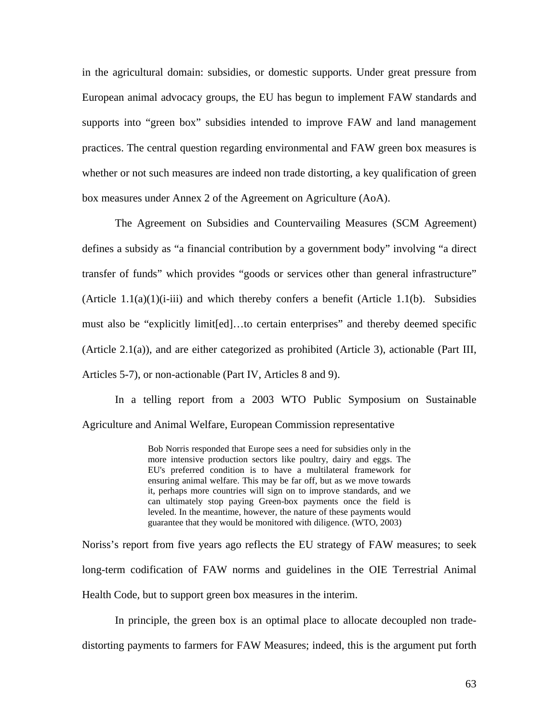in the agricultural domain: subsidies, or domestic supports. Under great pressure from European animal advocacy groups, the EU has begun to implement FAW standards and supports into "green box" subsidies intended to improve FAW and land management practices. The central question regarding environmental and FAW green box measures is whether or not such measures are indeed non trade distorting, a key qualification of green box measures under Annex 2 of the Agreement on Agriculture (AoA).

The Agreement on Subsidies and Countervailing Measures (SCM Agreement) defines a subsidy as "a financial contribution by a government body" involving "a direct transfer of funds" which provides "goods or services other than general infrastructure" (Article 1.1(a)(1)(i-iii) and which thereby confers a benefit (Article 1.1(b). Subsidies must also be "explicitly limit[ed]…to certain enterprises" and thereby deemed specific (Article 2.1(a)), and are either categorized as prohibited (Article 3), actionable (Part III, Articles 5-7), or non-actionable (Part IV, Articles 8 and 9).

 In a telling report from a 2003 WTO Public Symposium on Sustainable Agriculture and Animal Welfare, European Commission representative

> Bob Norris responded that Europe sees a need for subsidies only in the more intensive production sectors like poultry, dairy and eggs. The EU's preferred condition is to have a multilateral framework for ensuring animal welfare. This may be far off, but as we move towards it, perhaps more countries will sign on to improve standards, and we can ultimately stop paying Green-box payments once the field is leveled. In the meantime, however, the nature of these payments would guarantee that they would be monitored with diligence. (WTO, 2003)

Noriss's report from five years ago reflects the EU strategy of FAW measures; to seek long-term codification of FAW norms and guidelines in the OIE Terrestrial Animal Health Code, but to support green box measures in the interim.

 In principle, the green box is an optimal place to allocate decoupled non tradedistorting payments to farmers for FAW Measures; indeed, this is the argument put forth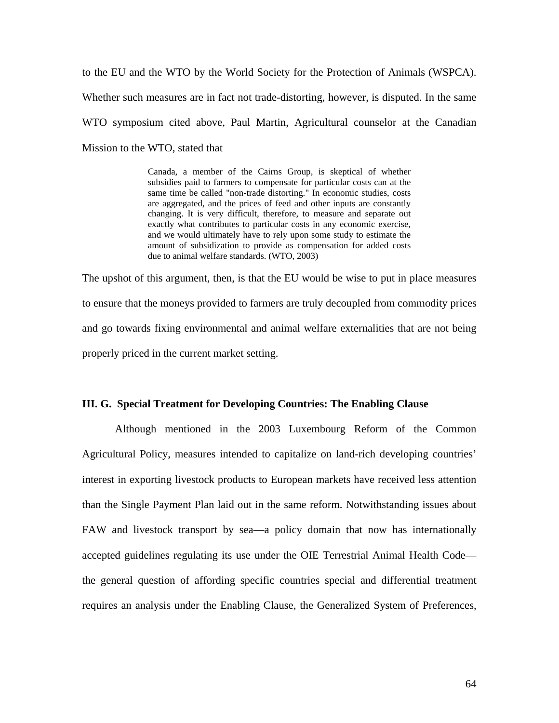to the EU and the WTO by the World Society for the Protection of Animals (WSPCA). Whether such measures are in fact not trade-distorting, however, is disputed. In the same WTO symposium cited above, Paul Martin, Agricultural counselor at the Canadian Mission to the WTO, stated that

> Canada, a member of the Cairns Group, is skeptical of whether subsidies paid to farmers to compensate for particular costs can at the same time be called "non-trade distorting." In economic studies, costs are aggregated, and the prices of feed and other inputs are constantly changing. It is very difficult, therefore, to measure and separate out exactly what contributes to particular costs in any economic exercise, and we would ultimately have to rely upon some study to estimate the amount of subsidization to provide as compensation for added costs due to animal welfare standards. (WTO, 2003)

The upshot of this argument, then, is that the EU would be wise to put in place measures to ensure that the moneys provided to farmers are truly decoupled from commodity prices and go towards fixing environmental and animal welfare externalities that are not being properly priced in the current market setting.

### **III. G. Special Treatment for Developing Countries: The Enabling Clause**

 Although mentioned in the 2003 Luxembourg Reform of the Common Agricultural Policy, measures intended to capitalize on land-rich developing countries' interest in exporting livestock products to European markets have received less attention than the Single Payment Plan laid out in the same reform. Notwithstanding issues about FAW and livestock transport by sea—a policy domain that now has internationally accepted guidelines regulating its use under the OIE Terrestrial Animal Health Code the general question of affording specific countries special and differential treatment requires an analysis under the Enabling Clause, the Generalized System of Preferences,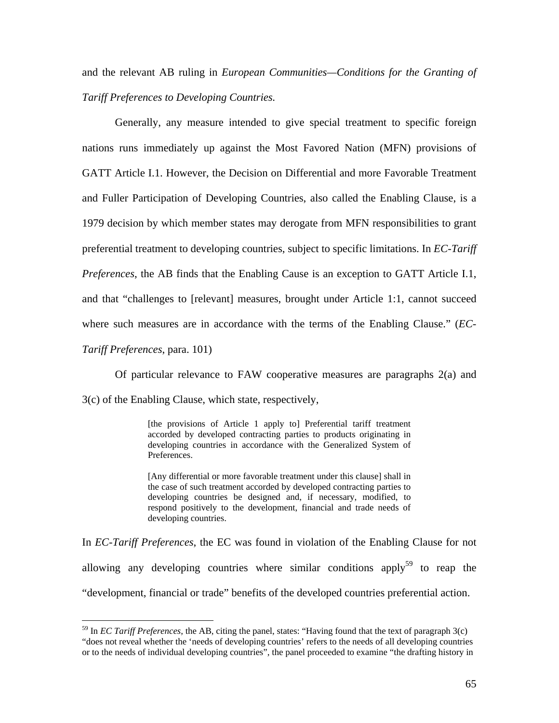and the relevant AB ruling in *European Communities—Conditions for the Granting of Tariff Preferences to Developing Countries.* 

 Generally, any measure intended to give special treatment to specific foreign nations runs immediately up against the Most Favored Nation (MFN) provisions of GATT Article I.1. However, the Decision on Differential and more Favorable Treatment and Fuller Participation of Developing Countries, also called the Enabling Clause, is a 1979 decision by which member states may derogate from MFN responsibilities to grant preferential treatment to developing countries, subject to specific limitations. In *EC-Tariff Preferences*, the AB finds that the Enabling Cause is an exception to GATT Article I.1, and that "challenges to [relevant] measures, brought under Article 1:1, cannot succeed where such measures are in accordance with the terms of the Enabling Clause." (*EC-*

*Tariff Preferences*, para. 101)

 $\overline{a}$ 

 Of particular relevance to FAW cooperative measures are paragraphs 2(a) and 3(c) of the Enabling Clause, which state, respectively,

> [the provisions of Article 1 apply to] Preferential tariff treatment accorded by developed contracting parties to products originating in developing countries in accordance with the Generalized System of Preferences.

> [Any differential or more favorable treatment under this clause] shall in the case of such treatment accorded by developed contracting parties to developing countries be designed and, if necessary, modified, to respond positively to the development, financial and trade needs of developing countries.

In *EC-Tariff Preferences*, the EC was found in violation of the Enabling Clause for not allowing any developing countries where similar conditions apply<sup>59</sup> to reap the "development, financial or trade" benefits of the developed countries preferential action.

<sup>59</sup> In *EC Tariff Preferences*, the AB, citing the panel, states: "Having found that the text of paragraph 3(c) "does not reveal whether the 'needs of developing countries' refers to the needs of all developing countries or to the needs of individual developing countries", the panel proceeded to examine "the drafting history in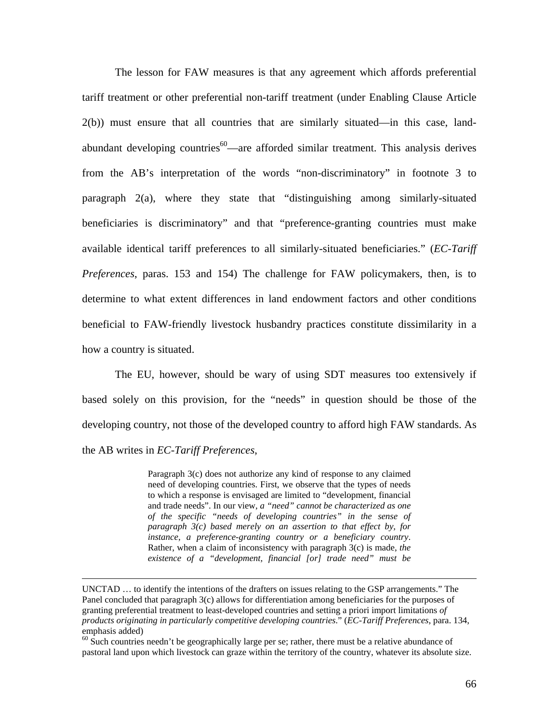The lesson for FAW measures is that any agreement which affords preferential tariff treatment or other preferential non-tariff treatment (under Enabling Clause Article 2(b)) must ensure that all countries that are similarly situated—in this case, landabundant developing countries $60$ —are afforded similar treatment. This analysis derives from the AB's interpretation of the words "non-discriminatory" in footnote 3 to paragraph 2(a), where they state that "distinguishing among similarly-situated beneficiaries is discriminatory" and that "preference-granting countries must make available identical tariff preferences to all similarly-situated beneficiaries." (*EC-Tariff Preferences*, paras. 153 and 154) The challenge for FAW policymakers, then, is to determine to what extent differences in land endowment factors and other conditions beneficial to FAW-friendly livestock husbandry practices constitute dissimilarity in a how a country is situated.

 The EU, however, should be wary of using SDT measures too extensively if based solely on this provision, for the "needs" in question should be those of the developing country, not those of the developed country to afford high FAW standards. As the AB writes in *EC-Tariff Preferences*,

> Paragraph 3(c) does not authorize any kind of response to any claimed need of developing countries. First, we observe that the types of needs to which a response is envisaged are limited to "development, financial and trade needs". In our view, *a "need" cannot be characterized as one of the specific "needs of developing countries" in the sense of paragraph 3(c) based merely on an assertion to that effect by, for instance, a preference-granting country or a beneficiary country*. Rather, when a claim of inconsistency with paragraph 3(c) is made, *the existence of a "development, financial [or] trade need" must be*

UNCTAD … to identify the intentions of the drafters on issues relating to the GSP arrangements." The Panel concluded that paragraph 3(c) allows for differentiation among beneficiaries for the purposes of granting preferential treatment to least-developed countries and setting a priori import limitations *of products originating in particularly competitive developing countries*." (*EC-Tariff Preferences*, para. 134, emphasis added)

 $60$  Such countries needn't be geographically large per se; rather, there must be a relative abundance of pastoral land upon which livestock can graze within the territory of the country, whatever its absolute size.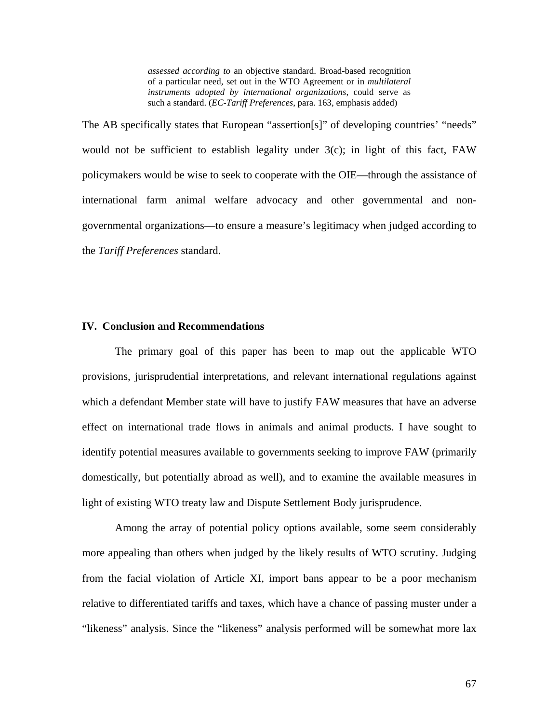*assessed according to* an objective standard. Broad-based recognition of a particular need, set out in the WTO Agreement or in *multilateral instruments adopted by international organizations*, could serve as such a standard. (*EC-Tariff Preferences*, para. 163, emphasis added)

The AB specifically states that European "assertion[s]" of developing countries' "needs" would not be sufficient to establish legality under 3(c); in light of this fact, FAW policymakers would be wise to seek to cooperate with the OIE—through the assistance of international farm animal welfare advocacy and other governmental and nongovernmental organizations—to ensure a measure's legitimacy when judged according to the *Tariff Preferences* standard.

## **IV. Conclusion and Recommendations**

 The primary goal of this paper has been to map out the applicable WTO provisions, jurisprudential interpretations, and relevant international regulations against which a defendant Member state will have to justify FAW measures that have an adverse effect on international trade flows in animals and animal products. I have sought to identify potential measures available to governments seeking to improve FAW (primarily domestically, but potentially abroad as well), and to examine the available measures in light of existing WTO treaty law and Dispute Settlement Body jurisprudence.

 Among the array of potential policy options available, some seem considerably more appealing than others when judged by the likely results of WTO scrutiny. Judging from the facial violation of Article XI, import bans appear to be a poor mechanism relative to differentiated tariffs and taxes, which have a chance of passing muster under a "likeness" analysis. Since the "likeness" analysis performed will be somewhat more lax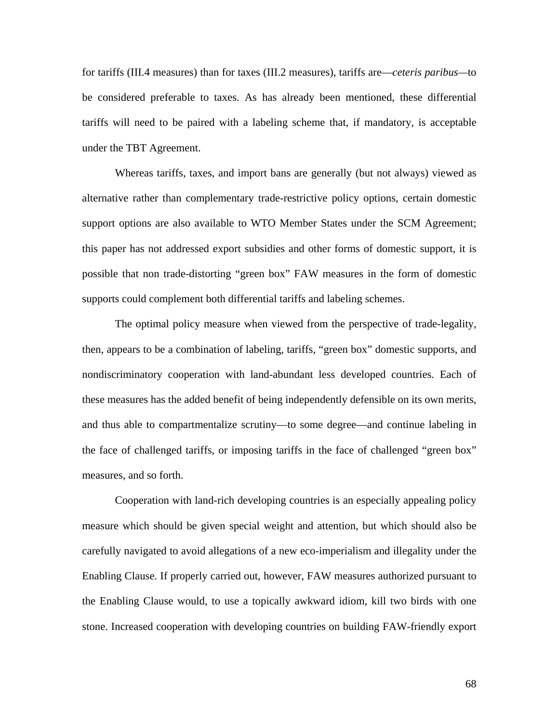for tariffs (III.4 measures) than for taxes (III.2 measures), tariffs are—*ceteris paribus—*to be considered preferable to taxes. As has already been mentioned, these differential tariffs will need to be paired with a labeling scheme that, if mandatory, is acceptable under the TBT Agreement.

Whereas tariffs, taxes, and import bans are generally (but not always) viewed as alternative rather than complementary trade-restrictive policy options, certain domestic support options are also available to WTO Member States under the SCM Agreement; this paper has not addressed export subsidies and other forms of domestic support, it is possible that non trade-distorting "green box" FAW measures in the form of domestic supports could complement both differential tariffs and labeling schemes.

 The optimal policy measure when viewed from the perspective of trade-legality, then, appears to be a combination of labeling, tariffs, "green box" domestic supports, and nondiscriminatory cooperation with land-abundant less developed countries. Each of these measures has the added benefit of being independently defensible on its own merits, and thus able to compartmentalize scrutiny—to some degree—and continue labeling in the face of challenged tariffs, or imposing tariffs in the face of challenged "green box" measures, and so forth.

 Cooperation with land-rich developing countries is an especially appealing policy measure which should be given special weight and attention, but which should also be carefully navigated to avoid allegations of a new eco-imperialism and illegality under the Enabling Clause. If properly carried out, however, FAW measures authorized pursuant to the Enabling Clause would, to use a topically awkward idiom, kill two birds with one stone. Increased cooperation with developing countries on building FAW-friendly export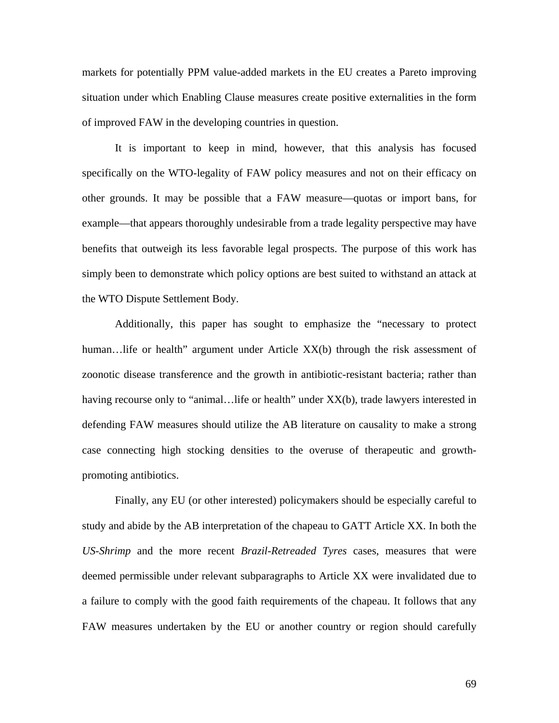markets for potentially PPM value-added markets in the EU creates a Pareto improving situation under which Enabling Clause measures create positive externalities in the form of improved FAW in the developing countries in question.

 It is important to keep in mind, however, that this analysis has focused specifically on the WTO-legality of FAW policy measures and not on their efficacy on other grounds. It may be possible that a FAW measure—quotas or import bans, for example—that appears thoroughly undesirable from a trade legality perspective may have benefits that outweigh its less favorable legal prospects. The purpose of this work has simply been to demonstrate which policy options are best suited to withstand an attack at the WTO Dispute Settlement Body.

 Additionally, this paper has sought to emphasize the "necessary to protect human...life or health" argument under Article XX(b) through the risk assessment of zoonotic disease transference and the growth in antibiotic-resistant bacteria; rather than having recourse only to "animal... life or health" under XX(b), trade lawyers interested in defending FAW measures should utilize the AB literature on causality to make a strong case connecting high stocking densities to the overuse of therapeutic and growthpromoting antibiotics.

Finally, any EU (or other interested) policymakers should be especially careful to study and abide by the AB interpretation of the chapeau to GATT Article XX. In both the *US-Shrimp* and the more recent *Brazil-Retreaded Tyres* cases, measures that were deemed permissible under relevant subparagraphs to Article XX were invalidated due to a failure to comply with the good faith requirements of the chapeau. It follows that any FAW measures undertaken by the EU or another country or region should carefully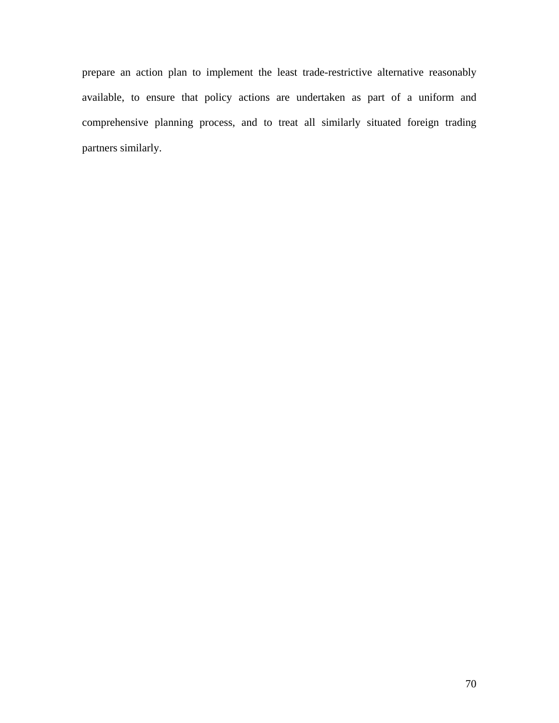prepare an action plan to implement the least trade-restrictive alternative reasonably available, to ensure that policy actions are undertaken as part of a uniform and comprehensive planning process, and to treat all similarly situated foreign trading partners similarly.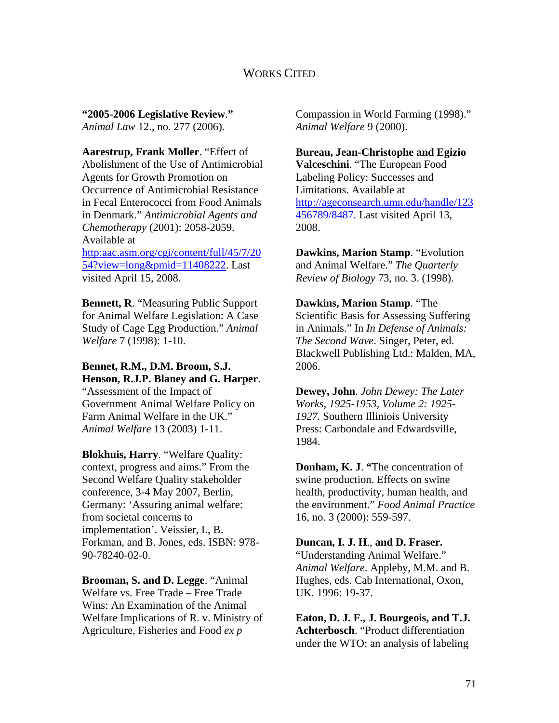# WORKS CITED

**"2005-2006 Legislative Review**.**"**  *Animal Law* 12., no. 277 (2006).

**Aarestrup, Frank Moller**. "Effect of Abolishment of the Use of Antimicrobial Agents for Growth Promotion on Occurrence of Antimicrobial Resistance in Fecal Enterococci from Food Animals in Denmark." *Antimicrobial Agents and Chemotherapy* (2001): 2058-2059. Available at http:aac.asm.org/cgi/content/full/45/7/20 54?view=long&pmid=11408222. Last visited April 15, 2008.

**Bennett, R**. "Measuring Public Support for Animal Welfare Legislation: A Case Study of Cage Egg Production." *Animal Welfare* 7 (1998): 1-10.

## **Bennet, R.M., D.M. Broom, S.J. Henson, R.J.P. Blaney and G. Harper**. "Assessment of the Impact of

Government Animal Welfare Policy on Farm Animal Welfare in the UK." *Animal Welfare* 13 (2003) 1-11.

**Blokhuis, Harry**. "Welfare Quality: context, progress and aims." From the Second Welfare Quality stakeholder conference, 3-4 May 2007, Berlin, Germany: 'Assuring animal welfare: from societal concerns to implementation'. Veissier, I., B. Forkman, and B. Jones, eds. ISBN: 978- 90-78240-02-0.

**Brooman, S. and D. Legge**. "Animal Welfare vs*.* Free Trade – Free Trade Wins: An Examination of the Animal Welfare Implications of R. v. Ministry of Agriculture, Fisheries and Food *ex p*

Compassion in World Farming (1998)." *Animal Welfare* 9 (2000).

**Bureau, Jean-Christophe and Egizio Valceschini**. "The European Food Labeling Policy: Successes and Limitations. Available at http://ageconsearch.umn.edu/handle/123 456789/8487. Last visited April 13, 2008.

**Dawkins, Marion Stamp**. "Evolution and Animal Welfare." *The Quarterly Review of Biology* 73, no. 3. (1998).

**Dawkins, Marion Stamp**. "The Scientific Basis for Assessing Suffering in Animals." In *In Defense of Animals: The Second Wave*. Singer, Peter, ed. Blackwell Publishing Ltd.: Malden, MA, 2006.

**Dewey, John**. *John Dewey: The Later Works, 1925-1953, Volume 2: 1925- 1927.* Southern Illiniois University Press: Carbondale and Edwardsville, 1984.

**Donham, K. J**. **"**The concentration of swine production. Effects on swine health, productivity, human health, and the environment." *Food Animal Practice* 16, no. 3 (2000): 559-597.

**Duncan, I. J. H**., **and D. Fraser.** 

"Understanding Animal Welfare." *Animal Welfare*. Appleby, M.M. and B. Hughes, eds. Cab International, Oxon, UK. 1996: 19-37.

**Eaton, D. J. F., J. Bourgeois, and T.J. Achterbosch**. "Product differentiation under the WTO: an analysis of labeling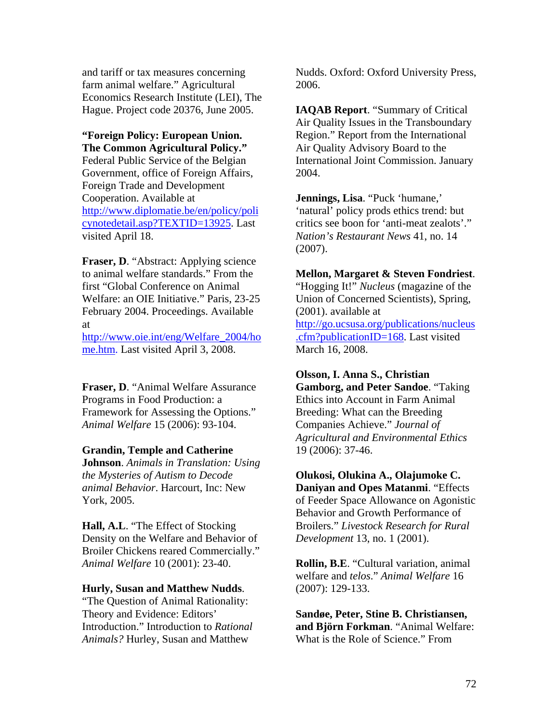and tariff or tax measures concerning farm animal welfare." Agricultural Economics Research Institute (LEI), The Hague. Project code 20376, June 2005.

## **"Foreign Policy: European Union. The Common Agricultural Policy."**

Federal Public Service of the Belgian Government, office of Foreign Affairs, Foreign Trade and Development Cooperation. Available at http://www.diplomatie.be/en/policy/poli cynotedetail.asp?TEXTID=13925. Last visited April 18.

**Fraser, D.** "Abstract: Applying science to animal welfare standards." From the first "Global Conference on Animal Welfare: an OIE Initiative." Paris, 23-25 February 2004. Proceedings. Available at

http://www.oie.int/eng/Welfare\_2004/ho me.htm. Last visited April 3, 2008.

**Fraser, D**. "Animal Welfare Assurance Programs in Food Production: a Framework for Assessing the Options." *Animal Welfare* 15 (2006): 93-104.

### **Grandin, Temple and Catherine**

**Johnson**. *Animals in Translation: Using the Mysteries of Autism to Decode animal Behavior*. Harcourt, Inc: New York, 2005.

**Hall, A.L**. "The Effect of Stocking Density on the Welfare and Behavior of Broiler Chickens reared Commercially." *Animal Welfare* 10 (2001): 23-40.

### **Hurly, Susan and Matthew Nudds**.

"The Question of Animal Rationality: Theory and Evidence: Editors' Introduction." Introduction to *Rational Animals?* Hurley, Susan and Matthew

Nudds. Oxford: Oxford University Press, 2006.

**IAQAB Report**. "Summary of Critical Air Quality Issues in the Transboundary Region." Report from the International Air Quality Advisory Board to the International Joint Commission. January 2004.

**Jennings, Lisa**. "Puck 'humane,' 'natural' policy prods ethics trend: but critics see boon for 'anti-meat zealots'." *Nation's Restaurant News* 41, no. 14 (2007).

# **Mellon, Margaret & Steven Fondriest**.

"Hogging It!" *Nucleus* (magazine of the Union of Concerned Scientists), Spring, (2001). available at http://go.ucsusa.org/publications/nucleus .cfm?publicationID=168. Last visited March 16, 2008.

### **Olsson, I. Anna S., Christian**

**Gamborg, and Peter Sandoe**. "Taking Ethics into Account in Farm Animal Breeding: What can the Breeding Companies Achieve." *Journal of Agricultural and Environmental Ethics* 19 (2006): 37-46.

**Olukosi, Olukina A., Olajumoke C. Daniyan and Opes Matanmi**. "Effects of Feeder Space Allowance on Agonistic Behavior and Growth Performance of Broilers." *Livestock Research for Rural Development* 13, no. 1 (2001).

**Rollin, B.E**. "Cultural variation, animal welfare and *telos*." *Animal Welfare* 16 (2007): 129-133.

**Sandøe, Peter, Stine B. Christiansen, and Björn Forkman**. "Animal Welfare: What is the Role of Science." From